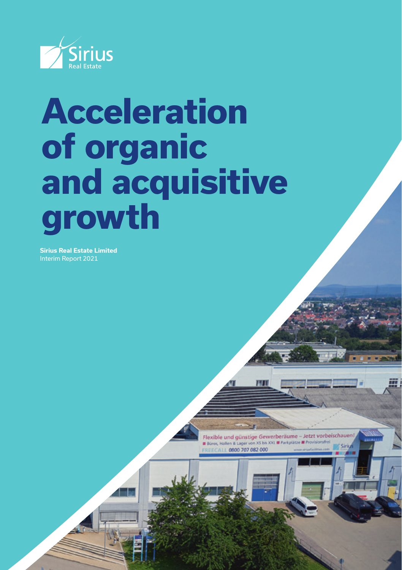

# **Acceleration of organic and acquisitive growth**

**Sirius Real Estate Limited** Interim Report 2021

> Flexible und günstige Gewerberäume - Jetzt vorbeischauen! B Boros, Hallen & Laper von XS bis XXL CALL 0800 707 082 00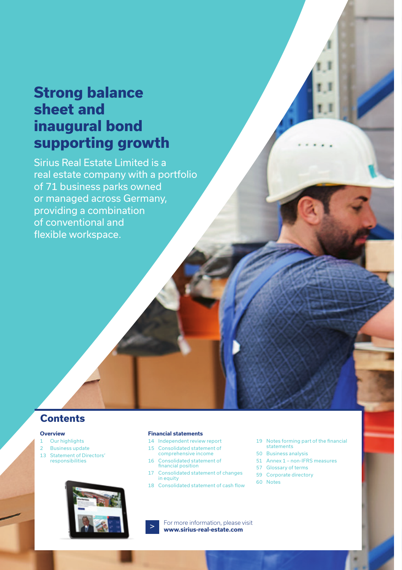# **Strong balance sheet and inaugural bond supporting growth**

Sirius Real Estate Limited is a real estate company with a portfolio of 71 business parks owned or managed across Germany, providing a combination of conventional and flexible workspace.

#### **Contents**

#### **[Overview](#page-2-0)**

- 1 [Our highlights](#page-2-0)
- 2 [Business update](#page-3-0)
- 13 [Statement of Directors'](#page-14-0)  [responsibilities](#page-14-0)



#### **[Financial statements](#page-15-0)**

- 14 [Independent review report](#page-15-0)
- 15 [Consolidated statement of](#page-16-0)  [comprehensive income](#page-16-0)
- 16 [Consolidated statement of](#page-17-0)  [financial position](#page-17-0)
- 17 [Consolidated statement of changes](#page-18-0)  [in equity](#page-18-0)
- 18 [Consolidated statement of cash flow](#page-19-0)
- 19 [Notes forming part of the financial](#page-20-0)  [statements](#page-20-0)
- 50 [Business analysis](#page-51-0)
- 51 [Annex 1 non-IFRS measures](#page-52-0)
- 57 [Glossary of terms](#page-58-0)
- 59 [Corporate directory](#page-60-0)
- 60 [Notes](#page-61-0)
- > For more information, please visit **[www.sirius-real-estate.com](http://www.sirius-real-estate.com)**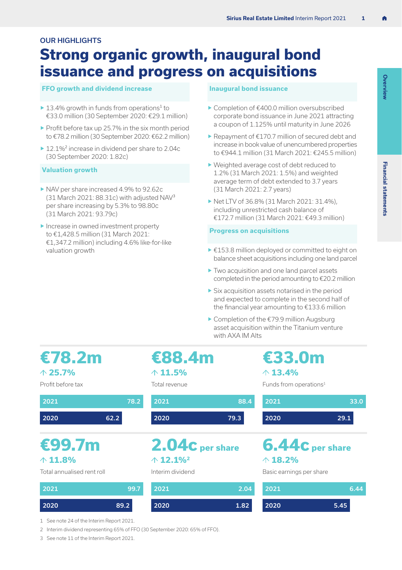#### <span id="page-2-0"></span>OUR HIGHLIGHTS

# **Strong organic growth, inaugural bond issuance and progress on acquisitions**

#### **FFO growth and dividend increase**

- $\blacktriangleright$  13.4% growth in funds from operations<sup>1</sup> to €33.0 million (30 September 2020: €29.1 million)
- ▶ Profit before tax up 25.7% in the six month period to €78.2 million (30 September 2020: €62.2 million)
- ▶ 12.1%<sup>2</sup> increase in dividend per share to 2.04c (30 September 2020: 1.82c)

#### **Valuation growth**

- ▶ NAV per share increased 4.9% to 92.62c (31 March 2021: 88.31c) with adjusted NAV³ per share increasing by 5.3% to 98.80c (31 March 2021: 93.79c)
- ▶ Increase in owned investment property to €1,428.5 million (31 March 2021: €1,347.2 million) including 4.6% like-for-like

#### **Inaugural bond issuance**

- ▶ Completion of €400.0 million oversubscribed corporate bond issuance in June 2021 attracting a coupon of 1.125% until maturity in June 2026
- ▶ Repayment of €170.7 million of secured debt and increase in book value of unencumbered properties to €944.1 million (31 March 2021: €245.5 million)
- ▶ Weighted average cost of debt reduced to 1.2% (31 March 2021: 1.5%) and weighted average term of debt extended to 3.7 years (31 March 2021: 2.7 years)
- ▶ Net LTV of 36.8% (31 March 2021: 31.4%), including unrestricted cash balance of €172.7 million (31 March 2021: €49.3 million)

#### **Progress on acquisitions**

- valuation growth <br>
→ €153.8 million deployed or committed to eight on balance sheet acquisitions including one land parcel
	- ▶ Two acquisition and one land parcel assets completed in the period amounting to €20.2 million
	- ▶ Six acquisition assets notarised in the period and expected to complete in the second half of the financial year amounting to €133.6 million
	- ▶ Completion of the €79.9 million Augsburg asset acquisition within the Titanium venture with AXA IM Alts

### **€78.2m 25.7%**

Profit before tax

 **11.5%** Total revenue

**€88.4m**

**€33.0m 13.4%**

Funds from operations<sup>1</sup>

2020 5.45

| 2021                                                  |      | 78.2 | 2021                                                                 |      | 88.4 | 2021                                                            | 33.0 |
|-------------------------------------------------------|------|------|----------------------------------------------------------------------|------|------|-----------------------------------------------------------------|------|
| 2020                                                  | 62.2 |      | 2020                                                                 | 79.3 |      | 2020                                                            | 29.1 |
| €99.7m<br>$\land$ 11.8%<br>Total annualised rent roll |      |      | 2.04C per share<br>$\uparrow$ 12.1% <sup>2</sup><br>Interim dividend |      |      | 6.44C per share<br>$\uparrow$ 18.2%<br>Basic earnings per share |      |
| 2021                                                  |      | 99.7 | 2021                                                                 |      | 2.04 | 2021                                                            | 6.44 |

2020 1.82

1 See [note 24](#page-48-0) of the Interim Report 2021. 2020 89.2

2 Interim dividend representing 65% of FFO (30 September 2020: 65% of FFO).

3 See [note 11](#page-33-0) of the Interim Report 2021.

# Financial statements **Financial statements**

**Overview**

Overvie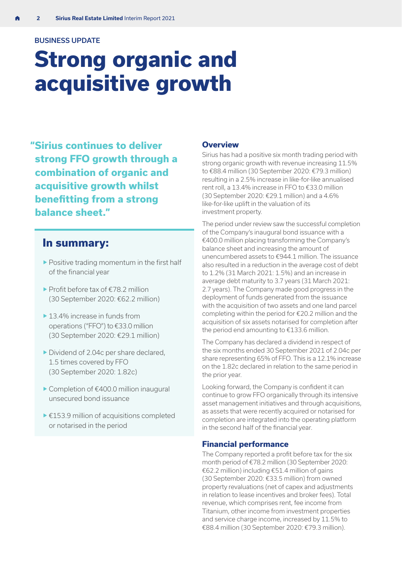#### <span id="page-3-0"></span>BUSINESS UPDATE

# **Strong organic and acquisitive growth**

**"Sirius continues to deliver strong FFO growth through a combination of organic and acquisitive growth whilst benefitting from a strong balance sheet."**

#### **In summary:**

- ▶ Positive trading momentum in the first half of the financial year
- ▶ Profit before tax of €78.2 million (30 September 2020: €62.2 million)
- ▶ 13.4% increase in funds from operations ("FFO") to €33.0 million (30 September 2020: €29.1 million)
- ▶ Dividend of 2.04c per share declared, 1.5 times covered by FFO (30 September 2020: 1.82c)
- ▶ Completion of €400.0 million inaugural unsecured bond issuance
- ▶ €153.9 million of acquisitions completed or notarised in the period

#### **Overview**

Sirius has had a positive six month trading period with strong organic growth with revenue increasing 11.5% to €88.4 million (30 September 2020: €79.3 million) resulting in a 2.5% increase in like-for-like annualised rent roll, a 13.4% increase in FFO to €33.0 million (30 September 2020: €29.1 million) and a 4.6% like-for-like uplift in the valuation of its investment property.

The period under review saw the successful completion of the Company's inaugural bond issuance with a €400.0 million placing transforming the Company's balance sheet and increasing the amount of unencumbered assets to €944.1 million. The issuance also resulted in a reduction in the average cost of debt to 1.2% (31 March 2021: 1.5%) and an increase in average debt maturity to 3.7 years (31 March 2021: 2.7 years). The Company made good progress in the deployment of funds generated from the issuance with the acquisition of two assets and one land parcel completing within the period for €20.2 million and the acquisition of six assets notarised for completion after the period end amounting to €133.6 million.

The Company has declared a dividend in respect of the six months ended 30 September 2021 of 2.04c per share representing 65% of FFO. This is a 12.1% increase on the 1.82c declared in relation to the same period in the prior year.

Looking forward, the Company is confident it can continue to grow FFO organically through its intensive asset management initiatives and through acquisitions, as assets that were recently acquired or notarised for completion are integrated into the operating platform in the second half of the financial year.

#### **Financial performance**

The Company reported a profit before tax for the six month period of €78.2 million (30 September 2020: €62.2 million) including €51.4 million of gains (30 September 2020: €33.5 million) from owned property revaluations (net of capex and adjustments in relation to lease incentives and broker fees). Total revenue, which comprises rent, fee income from Titanium, other income from investment properties and service charge income, increased by 11.5% to €88.4 million (30 September 2020: €79.3 million).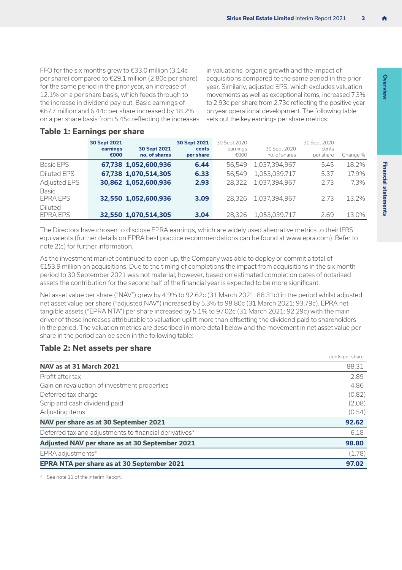FFO for the six months grew to €33.0 million (3.14c per share) compared to €29.1 million (2.80c per share) for the same period in the prior year, an increase of 12.1% on a per share basis, which feeds through to the increase in dividend pay-out. Basic earnings of €67.7 million and 6.44c per share increased by 18.2% on a per share basis from 5.45c reflecting the increases in valuations, organic growth and the impact of acquisitions compared to the same period in the prior year. Similarly, adjusted EPS, which excludes valuation movements as well as exceptional items, increased 7.3% to 2.93c per share from 2.73c reflecting the positive year on year operational development. The following table sets out the key earnings per share metrics:

|                            | 30 Sept 2021<br>earnings<br>€000 | 30 Sept 2021<br>no. of shares | 30 Sept 2021<br>cents<br>per share | 30 Sept 2020<br>earnings<br>€000 | 30 Sept 2020<br>no. of shares | 30 Sept 2020<br>cents<br>per share | Change % |
|----------------------------|----------------------------------|-------------------------------|------------------------------------|----------------------------------|-------------------------------|------------------------------------|----------|
| <b>Basic EPS</b>           |                                  | 67,738 1,052,600,936          | 6.44                               | 56,549                           | 1,037,394,967                 | 5.45                               | 18.2%    |
| <b>Diluted EPS</b>         |                                  | 67,738 1,070,514,305          | 6.33                               | 56,549                           | 1,053,039,717                 | 5.37                               | 17.9%    |
| Adjusted EPS               |                                  | 30,862 1,052,600,936          | 2.93                               | 28,322                           | 1,037,394,967                 | 2.73                               | 7.3%     |
| Basic<br><b>FPRA FPS</b>   |                                  | 32,550 1,052,600,936          | 3.09                               | 28,326                           | 1,037,394,967                 | 2.73                               | 13.2%    |
| Diluted<br><b>FPRA FPS</b> |                                  | 32,550 1,070,514,305          | 3.04                               | 28,326                           | 1,053,039,717                 | 2.69                               | 13.0%    |

#### **Table 1: Earnings per share**

The Directors have chosen to disclose EPRA earnings, which are widely used alternative metrics to their IFRS equivalents (further details on EPRA best practice recommendations can be found at [www.epra.com\)](http://www.epra.com). Refer to [note 2\(c\)](#page-20-0) for further information.

As the investment market continued to open up, the Company was able to deploy or commit a total of €153.9 million on acquisitions. Due to the timing of completions the impact from acquisitions in the six month period to 30 September 2021 was not material; however, based on estimated completion dates of notarised assets the contribution for the second half of the financial year is expected to be more significant.

Net asset value per share ("NAV") grew by 4.9% to 92.62c (31 March 2021: 88.31c) in the period whilst adjusted net asset value per share ("adjusted NAV") increased by 5.3% to 98.80c (31 March 2021: 93.79c). EPRA net tangible assets ("EPRA NTA") per share increased by 5.1% to 97.02c (31 March 2021: 92.29c) with the main driver of these increases attributable to valuation uplift more than offsetting the dividend paid to shareholders in the period. The valuation metrics are described in more detail below and the movement in net asset value per share in the period can be seen in the following table:

#### **Table 2: Net assets per share**

|                                                        | cents per share |
|--------------------------------------------------------|-----------------|
| NAV as at 31 March 2021                                | 88.31           |
| Profit after tax                                       | 2.89            |
| Gain on revaluation of investment properties           | 4.86            |
| Deferred tax charge                                    | (0.82)          |
| Scrip and cash dividend paid                           | (2.08)          |
| Adjusting items                                        | (0.54)          |
| NAV per share as at 30 September 2021                  | 92.62           |
| Deferred tax and adjustments to financial derivatives* | 6.18            |
| Adjusted NAV per share as at 30 September 2021         | 98.80           |
| EPRA adjustments*                                      | (1.78)          |
| EPRA NTA per share as at 30 September 2021             | 97.02           |

\* See [note 11](#page-33-0) of the Interim Report.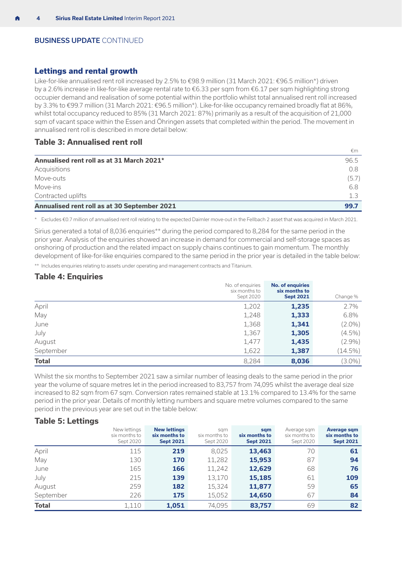#### BUSINESS UPDATE CONTINUED

#### **Lettings and rental growth**

Like-for-like annualised rent roll increased by 2.5% to €98.9 million (31 March 2021: €96.5 million\*) driven by a 2.6% increase in like-for-like average rental rate to €6.33 per sqm from €6.17 per sqm highlighting strong occupier demand and realisation of some potential within the portfolio whilst total annualised rent roll increased by 3.3% to €99.7 million (31 March 2021: €96.5 million\*). Like-for-like occupancy remained broadly flat at 86%, whilst total occupancy reduced to 85% (31 March 2021: 87%) primarily as a result of the acquisition of 21,000 sqm of vacant space within the Essen and Öhringen assets that completed within the period. The movement in annualised rent roll is described in more detail below:

#### **Table 3: Annualised rent roll**

|                                              | €m    |
|----------------------------------------------|-------|
| Annualised rent roll as at 31 March 2021*    | 96.5  |
| Acquisitions                                 | 0.8   |
| Move-outs                                    | (5.7) |
| Move-ins                                     | 6.8   |
| Contracted uplifts                           | 1.3   |
| Annualised rent roll as at 30 September 2021 | 99.7  |

\* Excludes €0.7 million of annualised rent roll relating to the expected Daimler move-out in the Fellbach 2 asset that was acquired in March 2021.

Sirius generated a total of 8,036 enquiries\*\* during the period compared to 8,284 for the same period in the prior year. Analysis of the enquiries showed an increase in demand for commercial and self-storage spaces as onshoring of production and the related impact on supply chains continues to gain momentum. The monthly development of like-for-like enquiries compared to the same period in the prior year is detailed in the table below:

\*\* Includes enquiries relating to assets under operating and management contracts and Titanium.

#### **Table 4: Enquiries**

|              | No. of enquiries<br>six months to | <b>No. of enquiries</b><br>six months to |            |  |
|--------------|-----------------------------------|------------------------------------------|------------|--|
|              | Sept 2020                         | <b>Sept 2021</b>                         | Change %   |  |
| April        | 1,202                             | 1,235                                    | 2.7%       |  |
| May          | 1,248                             | 1,333                                    | 6.8%       |  |
| June         | 1,368                             | 1,341                                    | $(2.0\%)$  |  |
| July         | 1,367                             | 1,305                                    | $(4.5\%)$  |  |
| August       | 1,477                             | 1,435                                    | $(2.9\%)$  |  |
| September    | 1,622                             | 1,387                                    | $(14.5\%)$ |  |
| <b>Total</b> | 8,284                             | 8,036                                    | $(3.0\%)$  |  |

Whilst the six months to September 2021 saw a similar number of leasing deals to the same period in the prior year the volume of square metres let in the period increased to 83,757 from 74,095 whilst the average deal size increased to 82 sqm from 67 sqm. Conversion rates remained stable at 13.1% compared to 13.4% for the same period in the prior year. Details of monthly letting numbers and square metre volumes compared to the same period in the previous year are set out in the table below:

#### **Table 5: Lettings**

|              | New lettings<br>six months to<br>Sept 2020 | <b>New lettings</b><br>six months to<br><b>Sept 2021</b> | sqm<br>six months to<br>Sept 2020 | sqm<br>six months to<br><b>Sept 2021</b> | Average sam<br>six months to<br>Sept 2020 | Average sam<br>six months to<br><b>Sept 2021</b> |
|--------------|--------------------------------------------|----------------------------------------------------------|-----------------------------------|------------------------------------------|-------------------------------------------|--------------------------------------------------|
| April        | 115                                        | 219                                                      | 8,025                             | 13,463                                   | 70                                        | 61                                               |
| May          | 130                                        | 170                                                      | 11,282                            | 15,953                                   | 87                                        | 94                                               |
| June         | 165                                        | 166                                                      | 11,242                            | 12,629                                   | 68                                        | 76                                               |
| July         | 215                                        | 139                                                      | 13,170                            | 15,185                                   | 61                                        | 109                                              |
| August       | 259                                        | 182                                                      | 15,324                            | 11,877                                   | 59                                        | 65                                               |
| September    | 226                                        | 175                                                      | 15,052                            | 14,650                                   | 67                                        | 84                                               |
| <b>Total</b> | 1,110                                      | 1,051                                                    | 74,095                            | 83,757                                   | 69                                        | 82                                               |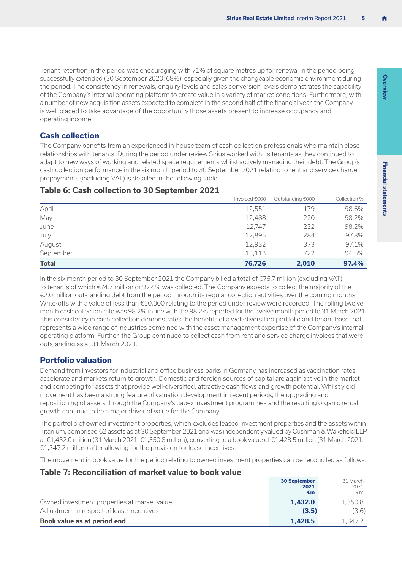Tenant retention in the period was encouraging with 71% of square metres up for renewal in the period being successfully extended (30 September 2020: 68%), especially given the changeable economic environment during the period. The consistency in renewals, enquiry levels and sales conversion levels demonstrates the capability of the Company's internal operating platform to create value in a variety of market conditions. Furthermore, with a number of new acquisition assets expected to complete in the second half of the financial year, the Company is well placed to take advantage of the opportunity those assets present to increase occupancy and operating income.

#### **Cash collection**

The Company benefits from an experienced in-house team of cash collection professionals who maintain close relationships with tenants. During the period under review Sirius worked with its tenants as they continued to adapt to new ways of working and related space requirements whilst actively managing their debt. The Group's cash collection performance in the six month period to 30 September 2021 relating to rent and service charge prepayments (excluding VAT) is detailed in the following table:

#### **Table 6: Cash collection to 30 September 2021**

|              | Invoiced €000 | Outstanding €000 | Collection % |
|--------------|---------------|------------------|--------------|
| April        | 12,551        | 179              | 98.6%        |
| May          | 12,488        | 220              | 98.2%        |
| June         | 12.747        | 232              | 98.2%        |
| July         | 12,895        | 284              | 97.8%        |
| August       | 12,932        | 373              | 97.1%        |
| September    | 13,113        | 722              | 94.5%        |
| <b>Total</b> | 76.726        | 2.010            | 97.4%        |

In the six month period to 30 September 2021 the Company billed a total of €76.7 million (excluding VAT) to tenants of which €74.7 million or 97.4% was collected. The Company expects to collect the majority of the €2.0 million outstanding debt from the period through its regular collection activities over the coming months. Write-offs with a value of less than €50,000 relating to the period under review were recorded. The rolling twelve month cash collection rate was 98.2% in line with the 98.2% reported for the twelve month period to 31 March 2021. This consistency in cash collection demonstrates the benefits of a well-diversified portfolio and tenant base that represents a wide range of industries combined with the asset management expertise of the Company's internal operating platform. Further, the Group continued to collect cash from rent and service charge invoices that were outstanding as at 31 March 2021.

#### **Portfolio valuation**

Demand from investors for industrial and office business parks in Germany has increased as vaccination rates accelerate and markets return to growth. Domestic and foreign sources of capital are again active in the market and competing for assets that provide well-diversified, attractive cash flows and growth potential. Whilst yield movement has been a strong feature of valuation development in recent periods, the upgrading and repositioning of assets through the Company's capex investment programmes and the resulting organic rental growth continue to be a major driver of value for the Company.

The portfolio of owned investment properties, which excludes leased investment properties and the assets within Titanium, comprised 62 assets as at 30 September 2021 and was independently valued by Cushman & Wakefield LLP at €1,432.0 million (31 March 2021: €1,350.8 million), converting to a book value of €1,428.5 million (31 March 2021: €1,347.2 million) after allowing for the provision for lease incentives.

The movement in book value for the period relating to owned investment properties can be reconciled as follows:

#### **Table 7: Reconciliation of market value to book value**

|                                             | <b>30 September</b><br>2021<br>€m | 31 March<br>2021<br>€m |
|---------------------------------------------|-----------------------------------|------------------------|
| Owned investment properties at market value | 1,432.0                           | 1,350.8                |
| Adjustment in respect of lease incentives   | (3.5)                             | (3.6)                  |
| Book value as at period end                 | 1.428.5                           | 1,347.2                |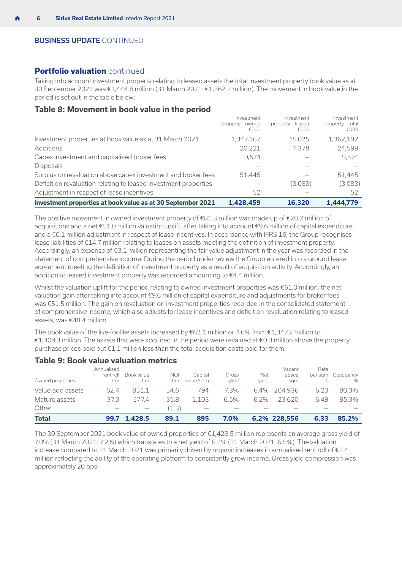#### BUSINESS UPDATE CONTINUED

#### **Portfolio valuation** continued

Taking into account investment property relating to leased assets the total investment property book value as at 30 September 2021 was €1,444.8 million (31 March 2021: €1,362.2 million). The movement in book value in the period is set out in the table below:

#### **Table 8: Movement in book value in the period**

| Investment properties at book value as at 30 September 2021     | 1.428.459                              | 16,320                                  | 1.444.779                              |
|-----------------------------------------------------------------|----------------------------------------|-----------------------------------------|----------------------------------------|
| Adjustment in respect of lease incentives                       | 52                                     |                                         | 52                                     |
| Deficit on revaluation relating to leased investment properties |                                        | (3,083)                                 | (3,083)                                |
| Surplus on revaluation above capex investment and broker fees   | 51,445                                 |                                         | 51,445                                 |
| <b>Disposals</b>                                                |                                        |                                         |                                        |
| Capex investment and capitalised broker fees                    | 9.574                                  |                                         | 9,574                                  |
| <b>Additions</b>                                                | 20,221                                 | 4,378                                   | 24,599                                 |
| Investment properties at book value as at 31 March 2021         | 1,347,167                              | 15,025                                  | 1,362,192                              |
|                                                                 | Investment<br>property - owned<br>€000 | Investment<br>property - leased<br>€000 | Investment<br>property - total<br>€000 |

The positive movement in owned investment property of €81.3 million was made up of €20.2 million of acquisitions and a net €51.0 million valuation uplift, after taking into account €9.6 million of capital expenditure and a €0.1 million adjustment in respect of lease incentives. In accordance with IFRS 16, the Group recognises lease liabilities of €14.7 million relating to leases on assets meeting the definition of investment property. Accordingly, an expense of €3.1 million representing the fair value adjustment in the year was recorded in the statement of comprehensive income. During the period under review the Group entered into a ground lease agreement meeting the definition of investment property as a result of acquisition activity. Accordingly, an addition to leased investment property was recorded amounting to €4.4 million.

Whilst the valuation uplift for the period relating to owned investment properties was €61.0 million, the net valuation gain after taking into account €9.6 million of capital expenditure and adjustments for broker fees was €51.5 million. The gain on revaluation on investment properties recorded in the consolidated statement of comprehensive income, which also adjusts for lease incentives and deficit on revaluation relating to leased assets, was €48.4 million.

The book value of the like-for-like assets increased by €62.1 million or 4.6% from €1,347.2 million to €1,409.3 million. The assets that were acquired in the period were revalued at €0.3 million above the property purchase prices paid but €1.1 million less than the total acquisition costs paid for them.

#### **Table 9: Book value valuation metrics**

| Owned properties | Annualised<br>rent roll<br>€m | Book value<br>€m         | <b>NOI</b><br>€m | Capital<br>value/sɑm     | Gross<br>vield | Net<br>vield | Vacant<br>space<br>sam | Rate<br>per sqm | Occupancy<br>$\%$ |
|------------------|-------------------------------|--------------------------|------------------|--------------------------|----------------|--------------|------------------------|-----------------|-------------------|
| Value-add assets | 624                           | 851.1                    | 54.6             | 794                      | 7.3%           |              | 6.4% 204.936           | 6.23            | 80.3%             |
| Mature assets    | 37.3                          | 5774                     | 35.8             | 1,103                    | 6.5%           | 6.2%         | 23,620                 | 6.49            | 95.3%             |
| Other            | _                             | $\overline{\phantom{a}}$ | (1.3)            | $\overline{\phantom{a}}$ | -              |              |                        |                 |                   |
| <b>Total</b>     |                               | 99.7 1.428.5             | 89.1             | 895                      | 7.0%           |              | 6.2% 228.556           | 6.33            | 85.2%             |

The 30 September 2021 book value of owned properties of €1,428.5 million represents an average gross yield of 7.0% (31 March 2021: 7.2%) which translates to a net yield of 6.2% (31 March 2021: 6.5%). The valuation increase compared to 31 March 2021 was primarily driven by organic increases in annualised rent roll of €2.4 million reflecting the ability of the operating platform to consistently grow income. Gross yield compression was approximately 20 bps.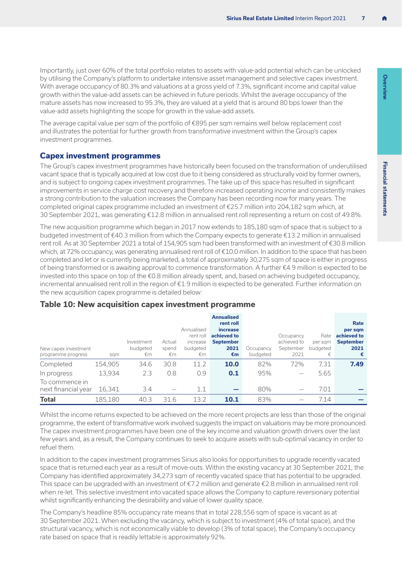Importantly, just over 60% of the total portfolio relates to assets with value-add potential which can be unlocked by utilising the Company's platform to undertake intensive asset management and selective capex investment. With average occupancy of 80.3% and valuations at a gross yield of 7.3%, significant income and capital value growth within the value-add assets can be achieved in future periods. Whilst the average occupancy of the mature assets has now increased to 95.3%, they are valued at a yield that is around 80 bps lower than the value-add assets highlighting the scope for growth in the value-add assets.

The average capital value per sqm of the portfolio of €895 per sqm remains well below replacement cost and illustrates the potential for further growth from transformative investment within the Group's capex investment programmes.

#### **Capex investment programmes**

The Group's capex investment programmes have historically been focused on the transformation of underutilised vacant space that is typically acquired at low cost due to it being considered as structurally void by former owners, and is subject to ongoing capex investment programmes. The take up of this space has resulted in significant improvements in service charge cost recovery and therefore increased operating income and consistently makes a strong contribution to the valuation increases the Company has been recording now for many years. The completed original capex programme included an investment of €25.7 million into 204,182 sqm which, at 30 September 2021, was generating €12.8 million in annualised rent roll representing a return on cost of 49.8%.

The new acquisition programme which began in 2017 now extends to 185,180 sqm of space that is subject to a budgeted investment of €40.3 million from which the Company expects to generate €13.2 million in annualised rent roll. As at 30 September 2021 a total of 154,905 sqm had been transformed with an investment of €30.8 million which, at 72% occupancy, was generating annualised rent roll of €10.0 million. In addition to the space that has been completed and let or is currently being marketed, a total of approximately 30,275 sqm of space is either in progress of being transformed or is awaiting approval to commence transformation. A further €4.9 million is expected to be invested into this space on top of the €0.8 million already spent, and, based on achieving budgeted occupancy, incremental annualised rent roll in the region of €1.9 million is expected to be generated. Further information on the new acquisition capex programme is detailed below:

| New capex investment<br>programme progress | sam               | Investment<br>budgeted<br>€m | Actual<br>spend<br>€m    | Annualised<br>rent roll<br>increase<br>budgeted<br>€m | <b>Annualised</b><br>rent roll<br>increase<br>achieved to<br><b>September</b><br>2021<br>€m | Occupancy<br>budgeted | Occupancy<br>achieved to<br>September<br>2021 | Rate<br>per sam<br>budgeted<br>€ | Rate<br>per sqm<br>achieved to<br><b>September</b><br>2021<br>€ |
|--------------------------------------------|-------------------|------------------------------|--------------------------|-------------------------------------------------------|---------------------------------------------------------------------------------------------|-----------------------|-----------------------------------------------|----------------------------------|-----------------------------------------------------------------|
| Completed<br>In progress                   | 154,905<br>13,934 | 34.6<br>2.3                  | 30.8<br>0.8              | 11.2<br>0.9                                           | 10.0<br>0.1                                                                                 | 82%<br>95%            | 72%<br>$\overline{\phantom{a}}$               | 7.31<br>5.65                     | 7.49                                                            |
| To commence in<br>next financial year      | 16,341            | 3.4                          | $\overline{\phantom{a}}$ | 1.1                                                   |                                                                                             | 80%                   | $\overline{\phantom{a}}$                      | 7.01                             |                                                                 |
| <b>Total</b>                               | 185,180           | 40.3                         | 31.6                     | 13.2                                                  | 10.1                                                                                        | 83%                   | $\overline{\phantom{a}}$                      | 7.14                             |                                                                 |

#### **Table 10: New acquisition capex investment programme**

Whilst the income returns expected to be achieved on the more recent projects are less than those of the original programme, the extent of transformative work involved suggests the impact on valuations may be more pronounced. The capex investment programmes have been one of the key income and valuation growth drivers over the last few years and, as a result, the Company continues to seek to acquire assets with sub-optimal vacancy in order to refuel them.

In addition to the capex investment programmes Sirius also looks for opportunities to upgrade recently vacated space that is returned each year as a result of move-outs. Within the existing vacancy at 30 September 2021, the Company has identified approximately 34,273 sqm of recently vacated space that has potential to be upgraded. This space can be upgraded with an investment of €7.2 million and generate €2.8 million in annualised rent roll when re-let. This selective investment into vacated space allows the Company to capture reversionary potential whilst significantly enhancing the desirability and value of lower quality space.

The Company's headline 85% occupancy rate means that in total 228,556 sqm of space is vacant as at 30 September 2021. When excluding the vacancy, which is subject to investment (4% of total space), and the structural vacancy, which is not economically viable to develop (3% of total space), the Company's occupancy rate based on space that is readily lettable is approximately 92%.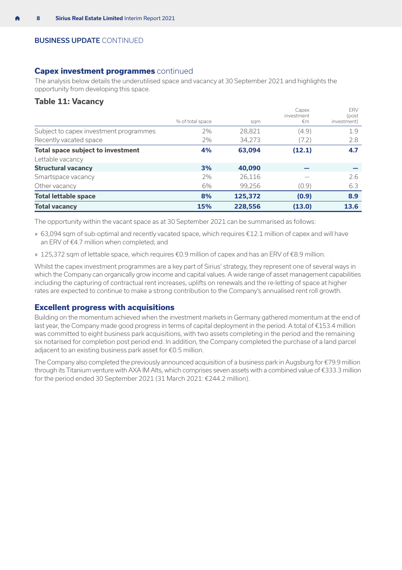#### BUSINESS UPDATE CONTINUED

#### **Capex investment programmes** continued

The analysis below details the underutilised space and vacancy at 30 September 2021 and highlights the opportunity from developing this space.

#### **Table 11: Vacancy**

|                                          |                  |         | Capex            | <b>FRV</b>           |
|------------------------------------------|------------------|---------|------------------|----------------------|
|                                          | % of total space | sqm     | investment<br>€m | (post<br>investment) |
| Subject to capex investment programmes   | 2%               | 28,821  | (4.9)            | 1.9                  |
| Recently vacated space                   | 7%               | 34,273  | (7.2)            | 2.8                  |
| <b>Total space subject to investment</b> | 4%               | 63,094  | (12.1)           | 4.7                  |
| Lettable vacancy                         |                  |         |                  |                      |
| <b>Structural vacancy</b>                | 3%               | 40.090  |                  |                      |
| Smartspace vacancy                       | 7%               | 26,116  |                  | 2.6                  |
| Other vacancy                            | 6%               | 99,256  | (0.9)            | 6.3                  |
| <b>Total lettable space</b>              | 8%               | 125,372 | (0.9)            | 8.9                  |
| <b>Total vacancy</b>                     | 15%              | 228,556 | (13.0)           | 13.6                 |

The opportunity within the vacant space as at 30 September 2021 can be summarised as follows:

- » 63,094 sqm of sub-optimal and recently vacated space, which requires €12.1 million of capex and will have an ERV of €4.7 million when completed; and
- » 125,372 sqm of lettable space, which requires €0.9 million of capex and has an ERV of €8.9 million.

Whilst the capex investment programmes are a key part of Sirius' strategy, they represent one of several ways in which the Company can organically grow income and capital values. A wide range of asset management capabilities including the capturing of contractual rent increases, uplifts on renewals and the re-letting of space at higher rates are expected to continue to make a strong contribution to the Company's annualised rent roll growth.

#### **Excellent progress with acquisitions**

Building on the momentum achieved when the investment markets in Germany gathered momentum at the end of last year, the Company made good progress in terms of capital deployment in the period. A total of €153.4 million was committed to eight business park acquisitions, with two assets completing in the period and the remaining six notarised for completion post period end. In addition, the Company completed the purchase of a land parcel adjacent to an existing business park asset for €0.5 million.

The Company also completed the previously announced acquisition of a business park in Augsburg for €79.9 million through its Titanium venture with AXA IM Alts, which comprises seven assets with a combined value of €333.3 million for the period ended 30 September 2021 (31 March 2021: €244.2 million).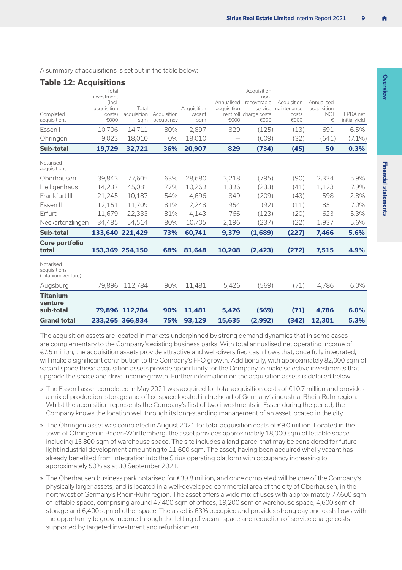| <b>Table 12: Acquisitions</b>                   |                               |                             |                          |                              |                     |                                    |                                      |                                |                           |
|-------------------------------------------------|-------------------------------|-----------------------------|--------------------------|------------------------------|---------------------|------------------------------------|--------------------------------------|--------------------------------|---------------------------|
|                                                 | Total<br>investment<br>(incl. |                             |                          |                              | Annualised          | Acquisition<br>non-<br>recoverable | Acquisition                          | Annualised                     |                           |
| Completed<br>acquisitions                       | acquisition<br>costs)<br>€000 | Total<br>acquisition<br>sgm | Acquisition<br>occupancy | Acquisition<br>vacant<br>sqm | acquisition<br>€000 | rent roll charge costs<br>€000     | service maintenance<br>costs<br>€000 | acquisition<br><b>NOI</b><br>€ | EPRA net<br>initial yield |
| Essen I                                         | 10,706                        | 14,711                      | 80%                      | 2,897                        | 829                 | (125)                              | (13)                                 | 691                            | 6.5%                      |
| Ohringen                                        | 9,023                         | 18,010                      | 0%                       | 18,010                       |                     | (609)                              | (32)                                 | (641)                          | $(7.1\%)$                 |
| Sub-total                                       | 19,729                        | 32,721                      | 36%                      | 20,907                       | 829                 | (734)                              | (45)                                 | 50                             | 0.3%                      |
| Notarised<br>acquisitions                       |                               |                             |                          |                              |                     |                                    |                                      |                                |                           |
| Oberhausen                                      | 39,843                        | 77,605                      | 63%                      | 28,680                       | 3,218               | (795)                              | (90)                                 | 2,334                          | 5.9%                      |
| Heiligenhaus                                    | 14,237                        | 45,081                      | 77%                      | 10,269                       | 1,396               | (233)                              | (41)                                 | 1,123                          | 7.9%                      |
| Frankfurt III                                   | 21,245                        | 10,187                      | 54%                      | 4,696                        | 849                 | (209)                              | (43)                                 | 598                            | 2.8%                      |
| Fssen II                                        | 12,151                        | 11,709                      | 81%                      | 2,248                        | 954                 | (92)                               | (11)                                 | 851                            | 7.0%                      |
| Frfurt                                          | 11,679                        | 22,333                      | 81%                      | 4,143                        | 766                 | (123)                              | (20)                                 | 623                            | 5.3%                      |
| Neckartenzlingen                                | 34,485                        | 54,514                      | 80%                      | 10,705                       | 2,196               | (237)                              | (22)                                 | 1,937                          | 5.6%                      |
| Sub-total                                       |                               | 133,640 221,429             | 73%                      | 60,741                       | 9,379               | (1,689)                            | (227)                                | 7,466                          | 5.6%                      |
| Core portfolio<br>total                         |                               | 153,369 254,150             | 68%                      | 81,648                       | 10,208              | (2, 423)                           | (272)                                | 7,515                          | 4.9%                      |
| Notarised<br>acquisitions<br>(Titanium venture) |                               |                             |                          |                              |                     |                                    |                                      |                                |                           |
| Augsburg                                        | 79,896                        | 112,784                     | 90%                      | 11,481                       | 5,426               | (569)                              | (71)                                 | 4,786                          | 6.0%                      |
| <b>Titanium</b><br>venture<br>sub-total         | 79.896                        | 112.784                     | 90%                      | 11,481                       | 5,426               | (569)                              | (71)                                 | 4,786                          | 6.0%                      |
| <b>Grand total</b>                              |                               | 233,265 366,934             | 75%                      | 93,129                       | 15,635              | (2,992)                            | (342)                                | 12,301                         | 5.3%                      |

A summary of acquisitions is set out in the table below:

The acquisition assets are located in markets underpinned by strong demand dynamics that in some cases are complementary to the Company's existing business parks. With total annualised net operating income of €7.5 million, the acquisition assets provide attractive and well-diversified cash flows that, once fully integrated, will make a significant contribution to the Company's FFO growth. Additionally, with approximately 82,000 sqm of vacant space these acquisition assets provide opportunity for the Company to make selective investments that upgrade the space and drive income growth. Further information on the acquisition assets is detailed below:

- » The Essen I asset completed in May 2021 was acquired for total acquisition costs of €10.7 million and provides a mix of production, storage and office space located in the heart of Germany's industrial Rhein-Ruhr region. Whilst the acquisition represents the Company's first of two investments in Essen during the period, the Company knows the location well through its long-standing management of an asset located in the city.
- » The Öhringen asset was completed in August 2021 for total acquisition costs of €9.0 million. Located in the town of Öhringen in Baden-Württemberg, the asset provides approximately 18,000 sqm of lettable space including 15,800 sqm of warehouse space. The site includes a land parcel that may be considered for future light industrial development amounting to 11,600 sqm. The asset, having been acquired wholly vacant has already benefited from integration into the Sirius operating platform with occupancy increasing to approximately 50% as at 30 September 2021.
- » The Oberhausen business park notarised for €39.8 million, and once completed will be one of the Company's physically larger assets, and is located in a well-developed commercial area of the city of Oberhausen, in the northwest of Germany's Rhein-Ruhr region. The asset offers a wide mix of uses with approximately 77,600 sqm of lettable space, comprising around 47,400 sqm of offices, 19,200 sqm of warehouse space, 4,600 sqm of storage and 6,400 sqm of other space. The asset is 63% occupied and provides strong day one cash flows with the opportunity to grow income through the letting of vacant space and reduction of service charge costs supported by targeted investment and refurbishment.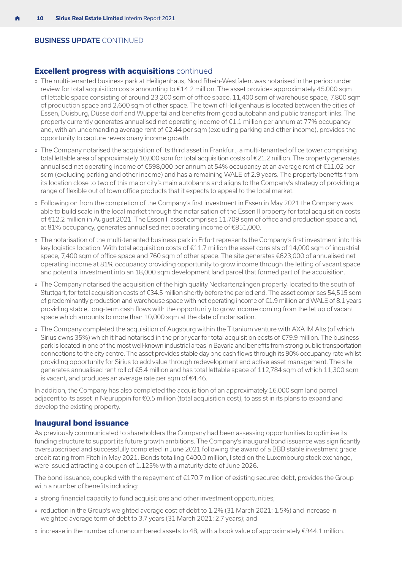#### BUSINESS UPDATE CONTINUED

#### **Excellent progress with acquisitions** continued

- » The multi-tenanted business park at Heiligenhaus, Nord Rhein-Westfalen, was notarised in the period under review for total acquisition costs amounting to €14.2 million. The asset provides approximately 45,000 sqm of lettable space consisting of around 23,200 sqm of office space, 11,400 sqm of warehouse space, 7,800 sqm of production space and 2,600 sqm of other space. The town of Heiligenhaus is located between the cities of Essen, Duisburg, Düsseldorf and Wuppertal and benefits from good autobahn and public transport links. The property currently generates annualised net operating income of €1.1 million per annum at 77% occupancy and, with an undemanding average rent of €2.44 per sqm (excluding parking and other income), provides the opportunity to capture reversionary income growth.
- » The Company notarised the acquisition of its third asset in Frankfurt, a multi-tenanted office tower comprising total lettable area of approximately 10,000 sqm for total acquisition costs of €21.2 million. The property generates annualised net operating income of €598,000 per annum at 54% occupancy at an average rent of €11.02 per sam (excluding parking and other income) and has a remaining WALE of 2.9 years. The property benefits from its location close to two of this major city's main autobahns and aligns to the Company's strategy of providing a range of flexible out of town office products that it expects to appeal to the local market.
- » Following on from the completion of the Company's first investment in Essen in May 2021 the Company was able to build scale in the local market through the notarisation of the Essen II property for total acquisition costs of €12.2 million in August 2021. The Essen II asset comprises 11,709 sqm of office and production space and, at 81% occupancy, generates annualised net operating income of €851,000.
- » The notarisation of the multi-tenanted business park in Erfurt represents the Company's first investment into this key logistics location. With total acquisition costs of €11.7 million the asset consists of 14,000 sqm of industrial space, 7,400 sqm of office space and 760 sqm of other space. The site generates €623,000 of annualised net operating income at 81% occupancy providing opportunity to grow income through the letting of vacant space and potential investment into an 18,000 sqm development land parcel that formed part of the acquisition.
- » The Company notarised the acquisition of the high quality Neckartenzlingen property, located to the south of Stuttgart, for total acquisition costs of €34.5 million shortly before the period end. The asset comprises 54,515 sqm of predominantly production and warehouse space with net operating income of €1.9 million and WALE of 8.1 years providing stable, long-term cash flows with the opportunity to grow income coming from the let up of vacant space which amounts to more than 10,000 sqm at the date of notarisation.
- » The Company completed the acquisition of Augsburg within the Titanium venture with AXA IM Alts (of which Sirius owns 35%) which it had notarised in the prior year for total acquisition costs of €79.9 million. The business park is located in one of the most well-known industrial areas in Bavaria and benefits from strong public transportation connections to the city centre. The asset provides stable day one cash flows through its 90% occupancy rate whilst providing opportunity for Sirius to add value through redevelopment and active asset management. The site generates annualised rent roll of €5.4 million and has total lettable space of 112,784 sqm of which 11,300 sqm is vacant, and produces an average rate per sqm of €4.46.

In addition, the Company has also completed the acquisition of an approximately 16,000 sqm land parcel adjacent to its asset in Neuruppin for €0.5 million (total acquisition cost), to assist in its plans to expand and develop the existing property.

#### **Inaugural bond issuance**

As previously communicated to shareholders the Company had been assessing opportunities to optimise its funding structure to support its future growth ambitions. The Company's inaugural bond issuance was significantly oversubscribed and successfully completed in June 2021 following the award of a BBB stable investment grade credit rating from Fitch in May 2021. Bonds totalling €400.0 million, listed on the Luxembourg stock exchange, were issued attracting a coupon of 1.125% with a maturity date of June 2026.

The bond issuance, coupled with the repayment of €170.7 million of existing secured debt, provides the Group with a number of benefits including:

- » strong financial capacity to fund acquisitions and other investment opportunities;
- » reduction in the Group's weighted average cost of debt to 1.2% (31 March 2021: 1.5%) and increase in weighted average term of debt to 3.7 years (31 March 2021: 2.7 years); and
- » increase in the number of unencumbered assets to 48, with a book value of approximately €944.1 million.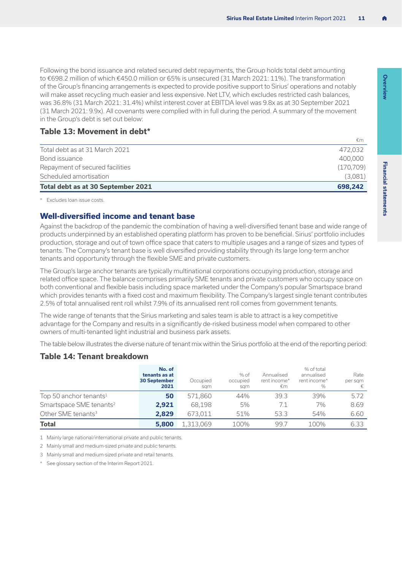Following the bond issuance and related secured debt repayments, the Group holds total debt amounting to €698.2 million of which €450.0 million or 65% is unsecured (31 March 2021: 11%). The transformation of the Group's financing arrangements is expected to provide positive support to Sirius' operations and notably will make asset recycling much easier and less expensive. Net LTV, which excludes restricted cash balances, was 36.8% (31 March 2021: 31.4%) whilst interest cover at EBITDA level was 9.8x as at 30 September 2021 (31 March 2021: 9.9x). All covenants were complied with in full during the period. A summary of the movement in the Group's debt is set out below:

#### **Table 13: Movement in debt\***

| Total debt as at 30 September 2021 | 698.242   |
|------------------------------------|-----------|
|                                    |           |
| Scheduled amortisation             | (3.081)   |
| Repayment of secured facilities    | (170.709) |
| Bond issuance                      | 400,000   |
| Total debt as at 31 March 2021     | 472,032   |
|                                    | €m        |

\* Excludes loan issue costs.

#### **Well-diversified income and tenant base**

Against the backdrop of the pandemic the combination of having a well-diversified tenant base and wide range of products underpinned by an established operating platform has proven to be beneficial. Sirius' portfolio includes production, storage and out of town office space that caters to multiple usages and a range of sizes and types of tenants. The Company's tenant base is well diversified providing stability through its large long-term anchor tenants and opportunity through the flexible SME and private customers.

The Group's large anchor tenants are typically multinational corporations occupying production, storage and related office space. The balance comprises primarily SME tenants and private customers who occupy space on both conventional and flexible basis including space marketed under the Company's popular Smartspace brand which provides tenants with a fixed cost and maximum flexibility. The Company's largest single tenant contributes 2.5% of total annualised rent roll whilst 7.9% of its annualised rent roll comes from government tenants.

The wide range of tenants that the Sirius marketing and sales team is able to attract is a key competitive advantage for the Company and results in a significantly de-risked business model when compared to other owners of multi-tenanted light industrial and business park assets.

The table below illustrates the diverse nature of tenant mix within the Sirius portfolio at the end of the reporting period:

#### **Table 14: Tenant breakdown**

|                                     | No. of<br>tenants as at<br><b>30 September</b><br>2021 | Occupied<br>sam | % of<br>occupied<br>sam | Annualised<br>rent income*<br>€m | % of total<br>annualised<br>rent income*<br>% | Rate<br>per sqm<br>€ |
|-------------------------------------|--------------------------------------------------------|-----------------|-------------------------|----------------------------------|-----------------------------------------------|----------------------|
| Top 50 anchor tenants $1$           | 50                                                     | 571,860         | 44%                     | 39.3                             | 39%                                           | 5.72                 |
| Smartspace SME tenants <sup>2</sup> | 2.921                                                  | 68,198          | 5%                      | 7.1                              | 7%                                            | 8.69                 |
| Other SMF tenants <sup>3</sup>      | 2.829                                                  | 673.011         | 51%                     | 53.3                             | 54%                                           | 6.60                 |
| <b>Total</b>                        | 5,800                                                  | 1,313,069       | 100%                    | 99.7                             | 100%                                          | 6.33                 |

1 Mainly large national/international private and public tenants.

2 Mainly small and medium-sized private and public tenants.

3 Mainly small and medium-sized private and retail tenants.

\* See glossary section of the Interim Report 2021.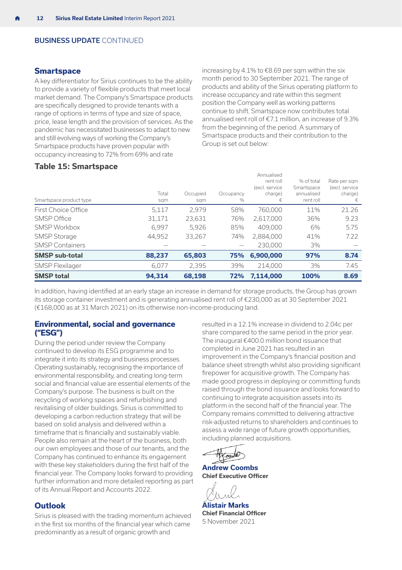#### **Smartspace**

A key differentiator for Sirius continues to be the ability to provide a variety of flexible products that meet local market demand. The Company's Smartspace products are specifically designed to provide tenants with a range of options in terms of type and size of space, price, lease length and the provision of services. As the pandemic has necessitated businesses to adapt to new and still evolving ways of working the Company's Smartspace products have proven popular with occupancy increasing to 72% from 69% and rate

increasing by 4.1% to  $€8.69$  per sqm within the six month period to 30 September 2021. The range of products and ability of the Sirius operating platform to increase occupancy and rate within this segment position the Company well as working patterns continue to shift. Smartspace now contributes total annualised rent roll of €7.1 million, an increase of 9.3% from the beginning of the period. A summary of Smartspace products and their contribution to the Group is set out below:

Annualised

#### **Table 15: Smartspace**

|                         | Total  | Occupied |                | rent roll<br>(excl. service | % of total<br>Smartspace | Rate per som<br>(excl. service |
|-------------------------|--------|----------|----------------|-----------------------------|--------------------------|--------------------------------|
| Smartspace product type | sqm    | sqm      | Occupancy<br>% | charge)<br>€                | annualised<br>rent roll  | charge)<br>€                   |
| First Choice Office     | 5.117  | 2.979    | 58%            | 760,000                     | 11%                      | 21.26                          |
| SMSP Office             | 31,171 | 23,631   | 76%            | 2,617,000                   | 36%                      | 9.23                           |
| <b>SMSP Workbox</b>     | 6.997  | 5,926    | 85%            | 409,000                     | 6%                       | 5.75                           |
| <b>SMSP Storage</b>     | 44,952 | 33,267   | 74%            | 2,884,000                   | 41%                      | 7.22                           |
| <b>SMSP Containers</b>  |        |          |                | 230,000                     | 3%                       |                                |
| <b>SMSP sub-total</b>   | 88,237 | 65,803   | 75%            | 6,900,000                   | 97%                      | 8.74                           |
| SMSP Flexilager         | 6.077  | 2,395    | 39%            | 214,000                     | 3%                       | 7.45                           |
| <b>SMSP total</b>       | 94.314 | 68.198   | 72%            | 7.114.000                   | 100%                     | 8.69                           |

In addition, having identified at an early stage an increase in demand for storage products, the Group has grown its storage container investment and is generating annualised rent roll of €230,000 as at 30 September 2021 (€168,000 as at 31 March 2021) on its otherwise non-income-producing land.

#### **Environmental, social and governance ("ESG")**

During the period under review the Company continued to develop its ESG programme and to integrate it into its strategy and business processes. Operating sustainably, recognising the importance of environmental responsibility, and creating long-term social and financial value are essential elements of the Company's purpose. The business is built on the recycling of working spaces and refurbishing and revitalising of older buildings. Sirius is committed to developing a carbon reduction strategy that will be based on solid analysis and delivered within a timeframe that is financially and sustainably viable. People also remain at the heart of the business, both our own employees and those of our tenants, and the Company has continued to enhance its engagement with these key stakeholders during the first half of the financial year. The Company looks forward to providing further information and more detailed reporting as part of its Annual Report and Accounts 2022.

#### **Outlook**

Sirius is pleased with the trading momentum achieved in the first six months of the financial year which came predominantly as a result of organic growth and

resulted in a 12.1% increase in dividend to 2.04c per share compared to the same period in the prior year. The inaugural €400.0 million bond issuance that completed in June 2021 has resulted in an improvement in the Company's financial position and balance sheet strength whilst also providing significant firepower for acquisitive growth. The Company has made good progress in deploying or committing funds raised through the bond issuance and looks forward to continuing to integrate acquisition assets into its platform in the second half of the financial year. The Company remains committed to delivering attractive risk-adjusted returns to shareholders and continues to assess a wide range of future growth opportunities, including planned acquisitions.

HKog

**Andrew Coombs Chief Executive Officer**

**Alistair Marks Chief Financial Officer** 5 November 2021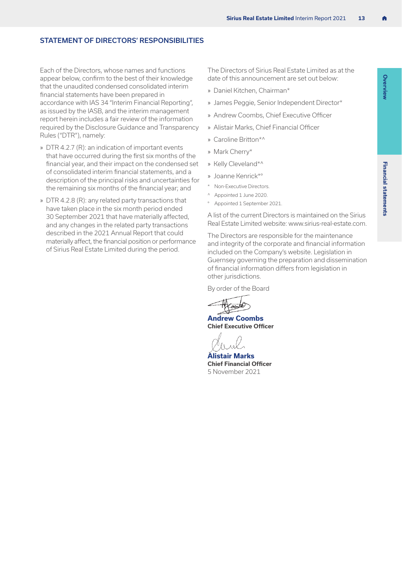#### <span id="page-14-0"></span>STATEMENT OF DIRECTORS' RESPONSIBILITIES

Each of the Directors, whose names and functions appear below, confirm to the best of their knowledge that the unaudited condensed consolidated interim financial statements have been prepared in accordance with IAS 34 "Interim Financial Reporting", as issued by the IASB, and the interim management report herein includes a fair review of the information required by the Disclosure Guidance and Transparency Rules ("DTR"), namely:

- » DTR 4.2.7 (R): an indication of important events that have occurred during the first six months of the financial year, and their impact on the condensed set of consolidated interim financial statements, and a description of the principal risks and uncertainties for the remaining six months of the financial year; and
- » DTR 4.2.8 (R): any related party transactions that have taken place in the six month period ended 30 September 2021 that have materially affected, and any changes in the related party transactions described in the 2021 Annual Report that could materially affect, the financial position or performance of Sirius Real Estate Limited during the period.

The Directors of Sirius Real Estate Limited as at the date of this announcement are set out below:

- » Daniel Kitchen, Chairman\*
- » James Peggie, Senior Independent Director\*
- » Andrew Coombs, Chief Executive Officer
- » Alistair Marks, Chief Financial Officer
- » Caroline Britton\*^
- » Mark Cherry\*
- » Kelly Cleveland\*^
- » Joanne Kenrick\*°
- \* Non-Executive Directors.
- ^ Appointed 1 June 2020.
- ° Appointed 1 September 2021.

A list of the current Directors is maintained on the Sirius Real Estate Limited website: [www.sirius-real-estate.com.](http://www.sirius-real-estate.com)

The Directors are responsible for the maintenance and integrity of the corporate and financial information included on the Company's website. Legislation in Guernsey governing the preparation and dissemination of financial information differs from legislation in other jurisdictions.

By order of the Board

**Andrew Coombs Chief Executive Officer**

**Alistair Marks Chief Financial Officer** 5 November 2021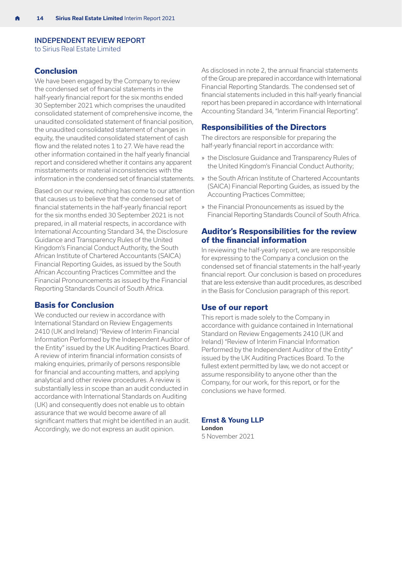#### <span id="page-15-0"></span>INDEPENDENT REVIEW REPORT

to Sirius Real Estate Limited

#### **Conclusion**

We have been engaged by the Company to review the condensed set of financial statements in the half-yearly financial report for the six months ended 30 September 2021 which comprises the unaudited consolidated statement of comprehensive income, the unaudited consolidated statement of financial position, the unaudited consolidated statement of changes in equity, the unaudited consolidated statement of cash flow and the related [notes 1 to 27.](#page-20-0) We have read the other information contained in the half yearly financial report and considered whether it contains any apparent misstatements or material inconsistencies with the information in the condensed set of financial statements.

Based on our review, nothing has come to our attention that causes us to believe that the condensed set of financial statements in the half-yearly financial report for the six months ended 30 September 2021 is not prepared, in all material respects, in accordance with International Accounting Standard 34, the Disclosure Guidance and Transparency Rules of the United Kingdom's Financial Conduct Authority, the South African Institute of Chartered Accountants (SAICA) Financial Reporting Guides, as issued by the South African Accounting Practices Committee and the Financial Pronouncements as issued by the Financial Reporting Standards Council of South Africa.

#### **Basis for Conclusion**

We conducted our review in accordance with International Standard on Review Engagements 2410 (UK and Ireland) "Review of Interim Financial Information Performed by the Independent Auditor of the Entity" issued by the UK Auditing Practices Board. A review of interim financial information consists of making enquiries, primarily of persons responsible for financial and accounting matters, and applying analytical and other review procedures. A review is substantially less in scope than an audit conducted in accordance with International Standards on Auditing (UK) and consequently does not enable us to obtain assurance that we would become aware of all significant matters that might be identified in an audit. Accordingly, we do not express an audit opinion.

As disclosed in [note 2](#page-20-0), the annual financial statements of the Group are prepared in accordance with International Financial Reporting Standards. The condensed set of financial statements included in this half-yearly financial report has been prepared in accordance with International Accounting Standard 34, "Interim Financial Reporting".

#### **Responsibilities of the Directors**

The directors are responsible for preparing the half-yearly financial report in accordance with:

- » the Disclosure Guidance and Transparency Rules of the United Kingdom's Financial Conduct Authority;
- » the South African Institute of Chartered Accountants (SAICA) Financial Reporting Guides, as issued by the Accounting Practices Committee;
- » the Financial Pronouncements as issued by the Financial Reporting Standards Council of South Africa.

#### **Auditor's Responsibilities for the review of the financial information**

In reviewing the half-yearly report, we are responsible for expressing to the Company a conclusion on the condensed set of financial statements in the half-yearly financial report. Our conclusion is based on procedures that are less extensive than audit procedures, as described in the Basis for Conclusion paragraph of this report.

#### **Use of our report**

This report is made solely to the Company in accordance with guidance contained in International Standard on Review Engagements 2410 (UK and Ireland) "Review of Interim Financial Information Performed by the Independent Auditor of the Entity" issued by the UK Auditing Practices Board. To the fullest extent permitted by law, we do not accept or assume responsibility to anyone other than the Company, for our work, for this report, or for the conclusions we have formed.

#### **Ernst & Young LLP London**

5 November 2021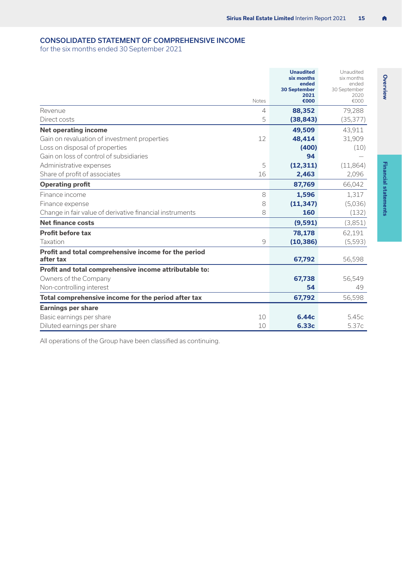#### <span id="page-16-0"></span>CONSOLIDATED STATEMENT OF COMPREHENSIVE INCOME

for the six months ended 30 September 2021

|                                                          |                          | <b>Unaudited</b><br>six months<br>ended | Unaudited<br>six months<br>ended |
|----------------------------------------------------------|--------------------------|-----------------------------------------|----------------------------------|
|                                                          |                          | <b>30 September</b>                     | 30 September                     |
|                                                          | Notes                    | 2021<br>€000                            | 2020<br>€000                     |
| Revenue                                                  | $\overline{\mathcal{L}}$ | 88,352                                  | 79,288                           |
| Direct costs                                             | 5                        | (38, 843)                               | (35, 377)                        |
| <b>Net operating income</b>                              |                          | 49,509                                  | 43,911                           |
| Gain on revaluation of investment properties             | 12                       | 48.414                                  | 31,909                           |
| Loss on disposal of properties                           |                          | (400)                                   | (10)                             |
| Gain on loss of control of subsidiaries                  |                          | 94                                      |                                  |
| Administrative expenses                                  | 5                        | (12, 311)                               | (11,864)                         |
| Share of profit of associates                            | 16                       | 2,463                                   | 2,096                            |
| <b>Operating profit</b>                                  |                          | 87.769                                  | 66,042                           |
| Finance income                                           | 8                        | 1.596                                   | 1,317                            |
| Finance expense                                          | 8                        | (11, 347)                               | (5,036)                          |
| Change in fair value of derivative financial instruments | 8                        | 160                                     | (132)                            |
| <b>Net finance costs</b>                                 |                          | (9,591)                                 | (3,851)                          |
| Profit before tax                                        |                          | 78,178                                  | 62,191                           |
| Taxation                                                 | 9                        | (10, 386)                               | (5,593)                          |
| Profit and total comprehensive income for the period     |                          |                                         |                                  |
| after tax                                                |                          | 67,792                                  | 56,598                           |
| Profit and total comprehensive income attributable to:   |                          |                                         |                                  |
| Owners of the Company                                    |                          | 67,738                                  | 56,549                           |
| Non-controlling interest                                 |                          | 54                                      | 49                               |
| Total comprehensive income for the period after tax      |                          | 67,792                                  | 56,598                           |
| <b>Earnings per share</b>                                |                          |                                         |                                  |
| Basic earnings per share                                 | 10                       | 6.44c                                   | 5.45c                            |
| Diluted earnings per share                               | 10                       | 6.33c                                   | 5.37c                            |

All operations of the Group have been classified as continuing.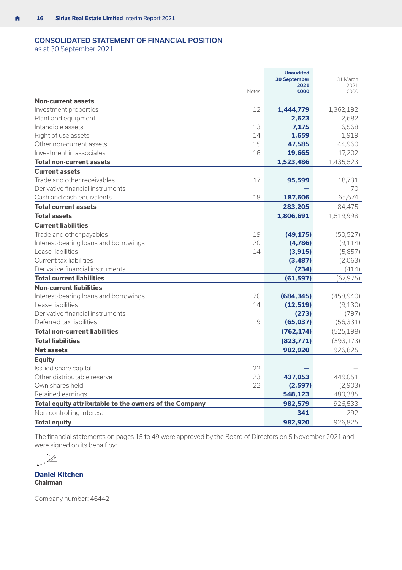#### <span id="page-17-0"></span>CONSOLIDATED STATEMENT OF FINANCIAL POSITION

as at 30 September 2021

|                                                        |       | <b>Unaudited</b><br><b>30 September</b> | 31 March   |
|--------------------------------------------------------|-------|-----------------------------------------|------------|
|                                                        |       | 2021                                    | 2021       |
|                                                        | Notes | €000                                    | €000       |
| Non-current assets                                     |       |                                         |            |
| Investment properties                                  | 12    | 1,444,779                               | 1,362,192  |
| Plant and equipment                                    |       | 2,623                                   | 2,682      |
| Intangible assets                                      | 13    | 7,175                                   | 6,568      |
| Right of use assets                                    | 14    | 1,659                                   | 1,919      |
| Other non-current assets                               | 15    | 47,585                                  | 44,960     |
| Investment in associates                               | 16    | 19,665                                  | 17,202     |
| <b>Total non-current assets</b>                        |       | 1,523,486                               | 1,435,523  |
| <b>Current assets</b>                                  |       |                                         |            |
| Trade and other receivables                            | 17    | 95,599                                  | 18,731     |
| Derivative financial instruments                       |       |                                         | 70         |
| Cash and cash equivalents                              | 18    | 187,606                                 | 65,674     |
| <b>Total current assets</b>                            |       | 283,205                                 | 84,475     |
| <b>Total assets</b>                                    |       | 1,806,691                               | 1,519,998  |
| <b>Current liabilities</b>                             |       |                                         |            |
| Trade and other payables                               | 19    | (49, 175)                               | (50, 527)  |
| Interest-bearing loans and borrowings                  | 20    | (4,786)                                 | (9,114)    |
| Lease liabilities                                      | 14    | (3,915)                                 | (5,857)    |
| Current tax liabilities                                |       | (3, 487)                                | (2,063)    |
| Derivative financial instruments                       |       | (234)                                   | (414)      |
| <b>Total current liabilities</b>                       |       | (61, 597)                               | (67, 975)  |
| <b>Non-current liabilities</b>                         |       |                                         |            |
| Interest-bearing loans and borrowings                  | 20    | (684, 345)                              | (458, 940) |
| Lease liabilities                                      | 14    | (12, 519)                               | (9, 130)   |
| Derivative financial instruments                       |       | (273)                                   | (797)      |
| Deferred tax liabilities                               | 9     | (65,037)                                | (56, 331)  |
| <b>Total non-current liabilities</b>                   |       | (762, 174)                              | (525, 198) |
| <b>Total liabilities</b>                               |       | (823,771)                               | (593, 173) |
| <b>Net assets</b>                                      |       | 982,920                                 | 926,825    |
| Equity                                                 |       |                                         |            |
| Issued share capital                                   | 22    |                                         |            |
| Other distributable reserve                            | 23    | 437.053                                 | 449,051    |
| Own shares held                                        | 22    | (2,597)                                 | (2,903)    |
| Retained earnings                                      |       | 548,123                                 | 480,385    |
| Total equity attributable to the owners of the Company |       | 982.579                                 | 926,533    |
| Non-controlling interest                               |       | 341                                     | 292        |
| <b>Total equity</b>                                    |       | 982,920                                 | 926,825    |
|                                                        |       |                                         |            |

The financial statements on [pages 15 to 49](#page-16-0) were approved by the Board of Directors on 5 November 2021 and were signed on its behalf by:

**Daniel Kitchen Chairman**

Company number: 46442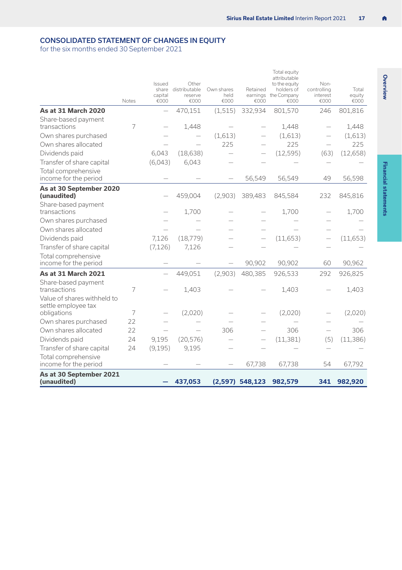#### <span id="page-18-0"></span>CONSOLIDATED STATEMENT OF CHANGES IN EQUITY

for the six months ended 30 September 2021

| Total comprehensive<br>income for the period<br>As at 30 September 2021 | 24<br>24 | (9, 195)                                  | 9,195                                     |                            | 67,738                       | 67,738                                                                             | 54                                      | 67,792                  |
|-------------------------------------------------------------------------|----------|-------------------------------------------|-------------------------------------------|----------------------------|------------------------------|------------------------------------------------------------------------------------|-----------------------------------------|-------------------------|
|                                                                         |          |                                           |                                           |                            |                              |                                                                                    |                                         |                         |
|                                                                         |          |                                           |                                           |                            |                              |                                                                                    |                                         |                         |
| Transfer of share capital                                               |          |                                           |                                           |                            |                              |                                                                                    |                                         |                         |
| Dividends paid                                                          |          | 9,195                                     | (20, 576)                                 |                            |                              | (11, 381)                                                                          | (5)                                     | (11, 386)               |
| Own shares allocated                                                    | 22       |                                           |                                           | 306                        |                              | 306                                                                                |                                         | 306                     |
| Own shares purchased                                                    | 22       |                                           |                                           |                            |                              |                                                                                    |                                         |                         |
| Value of shares withheld to<br>settle employee tax<br>obligations       | 7        |                                           | (2,020)                                   |                            |                              | (2,020)                                                                            |                                         | (2,020)                 |
| As at 31 March 2021<br>Share-based payment<br>transactions              | 7        |                                           | 449,051<br>1,403                          | (2,903)                    | 480,385                      | 926,533<br>1,403                                                                   | 292                                     | 926,825<br>1,403        |
| income for the period                                                   |          |                                           |                                           |                            | 90,902                       | 90,902                                                                             | 60                                      | 90,962                  |
| Total comprehensive                                                     |          |                                           |                                           |                            |                              |                                                                                    |                                         |                         |
| Transfer of share capital                                               |          | (7, 126)                                  | 7,126                                     |                            |                              |                                                                                    |                                         |                         |
| Dividends paid                                                          |          | 7,126                                     | (18, 779)                                 |                            |                              | (11, 653)                                                                          |                                         | (11, 653)               |
| Own shares allocated                                                    |          |                                           |                                           |                            |                              |                                                                                    |                                         |                         |
| transactions<br>Own shares purchased                                    |          |                                           | 1,700                                     |                            |                              | 1,700                                                                              |                                         | 1,700                   |
| As at 30 September 2020<br>(unaudited)<br>Share-based payment           |          |                                           | 459,004                                   | (2,903)                    | 389,483                      | 845,584                                                                            | 232                                     | 845,816                 |
| Total comprehensive<br>income for the period                            |          |                                           |                                           |                            | 56,549                       | 56,549                                                                             | 49                                      | 56,598                  |
| Transfer of share capital                                               |          | (6,043)                                   | 6,043                                     |                            |                              |                                                                                    |                                         |                         |
| Dividends paid                                                          |          | 6.043                                     | (18, 638)                                 |                            |                              | (12, 595)                                                                          | (63)                                    | (12, 658)               |
| Own shares allocated                                                    |          |                                           |                                           | 225                        |                              | 225                                                                                |                                         | 225                     |
| Own shares purchased                                                    |          |                                           |                                           | (1.613)                    |                              | (1,613)                                                                            |                                         | (1,613)                 |
| Share-based payment<br>transactions                                     | 7        |                                           | 1,448                                     |                            |                              | 1,448                                                                              |                                         | 1,448                   |
| As at 31 March 2020                                                     |          | $\overline{\phantom{0}}$                  | 470.151                                   | (1, 515)                   | 332,934                      | 801,570                                                                            | 246                                     | 801,816                 |
|                                                                         | Notes    | <b>Issued</b><br>share<br>capital<br>€000 | Other<br>distributable<br>reserve<br>€000 | Own shares<br>held<br>€000 | Retained<br>earnings<br>€000 | Total equity<br>attributable<br>to the equity<br>holders of<br>the Company<br>€000 | Non-<br>controlling<br>interest<br>€000 | Total<br>equity<br>€000 |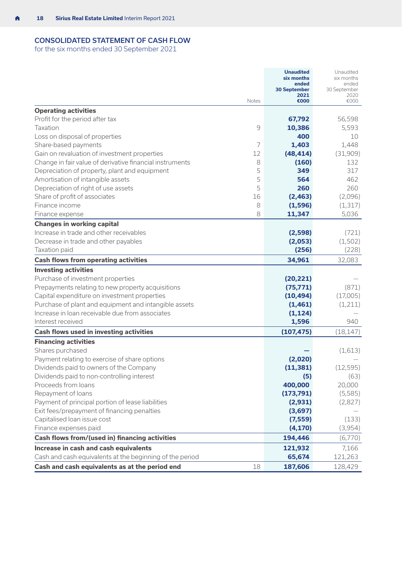#### <span id="page-19-0"></span>CONSOLIDATED STATEMENT OF CASH FLOW

for the six months ended 30 September 2021

| Notes                                                         | <b>Unaudited</b><br>six months<br>ended<br><b>30 September</b><br>2021<br>€000 | Unaudited<br>six months<br>ended<br>30 September<br>2020<br>€000 |
|---------------------------------------------------------------|--------------------------------------------------------------------------------|------------------------------------------------------------------|
| <b>Operating activities</b>                                   |                                                                                |                                                                  |
| Profit for the period after tax                               | 67,792                                                                         | 56,598                                                           |
| Taxation<br>9                                                 | 10,386                                                                         | 5,593                                                            |
| Loss on disposal of properties                                | 400                                                                            | 10                                                               |
| 7<br>Share-based payments                                     | 1.403                                                                          | 1,448                                                            |
| Gain on revaluation of investment properties<br>12            | (48, 414)                                                                      | (31,909)                                                         |
| Change in fair value of derivative financial instruments<br>8 | (160)                                                                          | 132                                                              |
| 5<br>Depreciation of property, plant and equipment            | 349                                                                            | 317                                                              |
| 5<br>Amortisation of intangible assets                        | 564                                                                            | 462                                                              |
| 5<br>Depreciation of right of use assets                      | 260                                                                            | 260                                                              |
| Share of profit of associates<br>16                           | (2, 463)                                                                       | (2,096)                                                          |
| Finance income<br>8                                           | (1, 596)                                                                       | (1, 317)                                                         |
| 8<br>Finance expense                                          | 11,347                                                                         | 5,036                                                            |
| <b>Changes in working capital</b>                             |                                                                                |                                                                  |
| Increase in trade and other receivables                       | (2, 598)                                                                       | (721)                                                            |
| Decrease in trade and other payables                          | (2,053)                                                                        | (1,502)                                                          |
| Taxation paid                                                 | (256)                                                                          | (228)                                                            |
| <b>Cash flows from operating activities</b>                   | 34,961                                                                         | 32,083                                                           |
| <b>Investing activities</b>                                   |                                                                                |                                                                  |
| Purchase of investment properties                             | (20, 221)                                                                      |                                                                  |
| Prepayments relating to new property acquisitions             | (75, 771)                                                                      | (871)                                                            |
| Capital expenditure on investment properties                  | (10, 494)                                                                      | (17,005)                                                         |
| Purchase of plant and equipment and intangible assets         | (1, 461)                                                                       | (1,211)                                                          |
| Increase in loan receivable due from associates               | (1, 124)                                                                       |                                                                  |
| Interest received                                             | 1,596                                                                          | 940                                                              |
| Cash flows used in investing activities                       | (107, 475)                                                                     | (18, 147)                                                        |
| <b>Financing activities</b>                                   |                                                                                |                                                                  |
| Shares purchased                                              |                                                                                | (1,613)                                                          |
| Payment relating to exercise of share options                 | (2,020)                                                                        |                                                                  |
| Dividends paid to owners of the Company                       | (11, 381)                                                                      | (12, 595)                                                        |
| Dividends paid to non-controlling interest                    | (5)                                                                            | (63)                                                             |
| Proceeds from loans                                           | 400,000                                                                        | 20,000                                                           |
| Repayment of loans                                            | (173, 791)                                                                     | (5, 585)                                                         |
| Payment of principal portion of lease liabilities             | (2,931)                                                                        | (2,827)                                                          |
| Exit fees/prepayment of financing penalties                   | (3,697)                                                                        |                                                                  |
| Capitalised Ioan issue cost                                   | (7, 559)                                                                       | (133)                                                            |
| Finance expenses paid                                         | (4, 170)                                                                       | (3,954)                                                          |
| Cash flows from/(used in) financing activities                | 194,446                                                                        | (6,770)                                                          |
| Increase in cash and cash equivalents                         | 121,932                                                                        | 7,166                                                            |
| Cash and cash equivalents at the beginning of the period      | 65,674                                                                         | 121,263                                                          |
| Cash and cash equivalents as at the period end<br>18          | 187,606                                                                        | 128,429                                                          |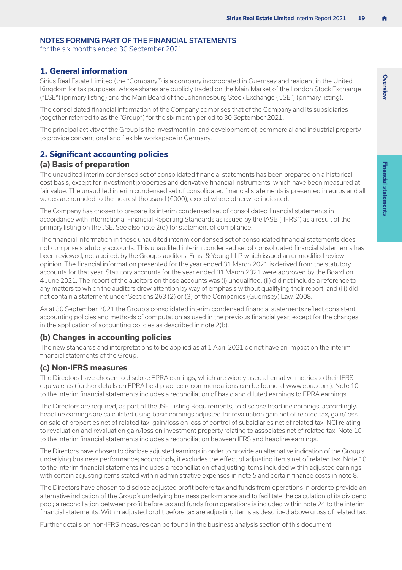<span id="page-20-0"></span>for the six months ended 30 September 2021

#### **1. General information**

Sirius Real Estate Limited (the "Company") is a company incorporated in Guernsey and resident in the United Kingdom for tax purposes, whose shares are publicly traded on the Main Market of the London Stock Exchange ("LSE") (primary listing) and the Main Board of the Johannesburg Stock Exchange ("JSE") (primary listing).

The consolidated financial information of the Company comprises that of the Company and its subsidiaries (together referred to as the "Group") for the six month period to 30 September 2021.

The principal activity of the Group is the investment in, and development of, commercial and industrial property to provide conventional and flexible workspace in Germany.

#### **2. Significant accounting policies**

#### **(a) Basis of preparation**

The unaudited interim condensed set of consolidated financial statements has been prepared on a historical cost basis, except for investment properties and derivative financial instruments, which have been measured at fair value. The unaudited interim condensed set of consolidated financial statements is presented in euros and all values are rounded to the nearest thousand (€000), except where otherwise indicated.

The Company has chosen to prepare its interim condensed set of consolidated financial statements in accordance with International Financial Reporting Standards as issued by the IASB ("IFRS") as a result of the primary listing on the JSE. See also [note 2\(d\)](#page-21-0) for statement of compliance.

The financial information in these unaudited interim condensed set of consolidated financial statements does not comprise statutory accounts. This unaudited interim condensed set of consolidated financial statements has been reviewed, not audited, by the Group's auditors, Ernst & Young LLP, which issued an unmodified review opinion. The financial information presented for the year ended 31 March 2021 is derived from the statutory accounts for that year. Statutory accounts for the year ended 31 March 2021 were approved by the Board on 4 June 2021. The report of the auditors on those accounts was (i) unqualified, (ii) did not include a reference to any matters to which the auditors drew attention by way of emphasis without qualifying their report, and (iii) did not contain a statement under Sections 263 (2) or (3) of the Companies (Guernsey) Law, 2008.

As at 30 September 2021 the Group's consolidated interim condensed financial statements reflect consistent accounting policies and methods of computation as used in the previous financial year, except for the changes in the application of accounting policies as described in note 2(b).

#### **(b) Changes in accounting policies**

The new standards and interpretations to be applied as at 1 April 2021 do not have an impact on the interim financial statements of the Group.

#### **(c) Non-IFRS measures**

The Directors have chosen to disclose EPRA earnings, which are widely used alternative metrics to their IFRS equivalents (further details on EPRA best practice recommendations can be found at [www.epra.com\)](http://www.epra.com). Note 10 to the interim financial statements includes a reconciliation of basic and diluted earnings to EPRA earnings.

The Directors are required, as part of the JSE Listing Requirements, to disclose headline earnings; accordingly, headline earnings are calculated using basic earnings adjusted for revaluation gain net of related tax, gain/loss on sale of properties net of related tax, gain/loss on loss of control of subsidiaries net of related tax, NCI relating to revaluation and revaluation gain/loss on investment property relating to associates net of related tax. Note 10 to the interim financial statements includes a reconciliation between IFRS and headline earnings.

The Directors have chosen to disclose adjusted earnings in order to provide an alternative indication of the Group's underlying business performance; accordingly, it excludes the effect of adjusting items net of related tax. [Note 10](#page-31-0)  to the interim financial statements includes a reconciliation of adjusting items included within adjusted earnings, with certain adjusting items stated within administrative expenses in [note 5](#page-24-0) and certain finance costs in [note 8.](#page-29-0)

The Directors have chosen to disclose adjusted profit before tax and funds from operations in order to provide an alternative indication of the Group's underlying business performance and to facilitate the calculation of its dividend pool; a reconciliation between profit before tax and funds from operations is included within [note 24](#page-48-0) to the interim financial statements. Within adjusted profit before tax are adjusting items as described above gross of related tax.

Further details on non-IFRS measures can be found in the business analysis section of this document.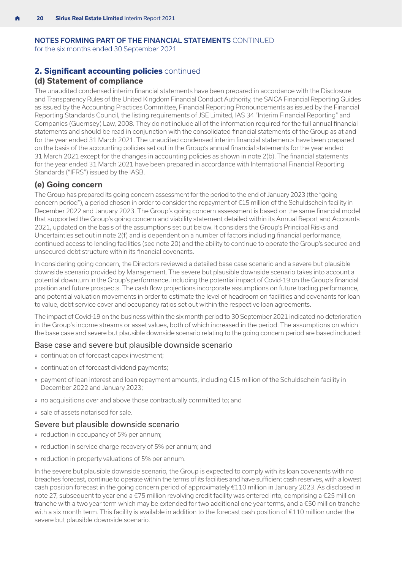<span id="page-21-0"></span>for the six months ended 30 September 2021

#### **2. Significant accounting policies** continued

#### **(d) Statement of compliance**

The unaudited condensed interim financial statements have been prepared in accordance with the Disclosure and Transparency Rules of the United Kingdom Financial Conduct Authority, the SAICA Financial Reporting Guides as issued by the Accounting Practices Committee, Financial Reporting Pronouncements as issued by the Financial Reporting Standards Council, the listing requirements of JSE Limited, IAS 34 "Interim Financial Reporting" and Companies (Guernsey) Law, 2008. They do not include all of the information required for the full annual financial statements and should be read in conjunction with the consolidated financial statements of the Group as at and for the year ended 31 March 2021. The unaudited condensed interim financial statements have been prepared on the basis of the accounting policies set out in the Group's annual financial statements for the year ended 31 March 2021 except for the changes in accounting policies as shown in [note 2\(b\)](#page-20-0). The financial statements for the year ended 31 March 2021 have been prepared in accordance with International Financial Reporting Standards ("IFRS") issued by the IASB.

#### **(e) Going concern**

The Group has prepared its going concern assessment for the period to the end of January 2023 (the "going concern period"), a period chosen in order to consider the repayment of €15 million of the Schuldschein facility in December 2022 and January 2023. The Group's going concern assessment is based on the same financial model that supported the Group's going concern and viability statement detailed within its Annual Report and Accounts 2021, updated on the basis of the assumptions set out below. It considers the Group's Principal Risks and Uncertainties set out in [note 2\(f\)](#page-22-0) and is dependent on a number of factors including financial performance, continued access to lending facilities (see [note 20](#page-42-0)) and the ability to continue to operate the Group's secured and unsecured debt structure within its financial covenants.

In considering going concern, the Directors reviewed a detailed base case scenario and a severe but plausible downside scenario provided by Management. The severe but plausible downside scenario takes into account a potential downturn in the Group's performance, including the potential impact of Covid-19 on the Group's financial position and future prospects. The cash flow projections incorporate assumptions on future trading performance, and potential valuation movements in order to estimate the level of headroom on facilities and covenants for loan to value, debt service cover and occupancy ratios set out within the respective loan agreements.

The impact of Covid-19 on the business within the six month period to 30 September 2021 indicated no deterioration in the Group's income streams or asset values, both of which increased in the period. The assumptions on which the base case and severe but plausible downside scenario relating to the going concern period are based included:

#### Base case and severe but plausible downside scenario

- » continuation of forecast capex investment;
- » continuation of forecast dividend payments;
- » payment of loan interest and loan repayment amounts, including €15 million of the Schuldschein facility in December 2022 and January 2023;
- » no acquisitions over and above those contractually committed to; and
- » sale of assets notarised for sale.

#### Severe but plausible downside scenario

- » reduction in occupancy of 5% per annum;
- » reduction in service charge recovery of 5% per annum; and
- » reduction in property valuations of 5% per annum.

In the severe but plausible downside scenario, the Group is expected to comply with its loan covenants with no breaches forecast, continue to operate within the terms of its facilities and have sufficient cash reserves, with a lowest cash position forecast in the going concern period of approximately €110 million in January 2023. As disclosed in [note 27,](#page-49-0) subsequent to year end a €75 million revolving credit facility was entered into, comprising a €25 million tranche with a two year term which may be extended for two additional one year terms, and a €50 million tranche with a six month term. This facility is available in addition to the forecast cash position of €110 million under the severe but plausible downside scenario.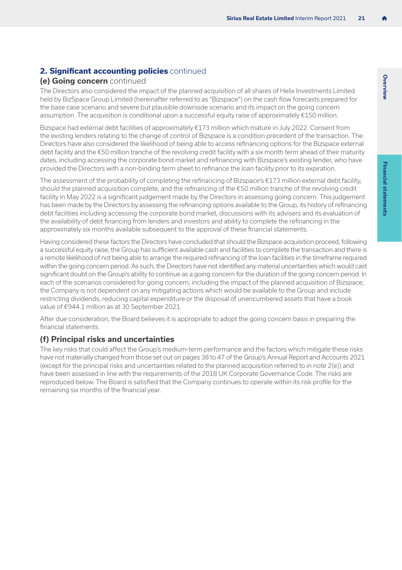#### <span id="page-22-0"></span>**2. Significant accounting policies** continued

#### **(e) Going concern** continued

The Directors also considered the impact of the planned acquisition of all shares of Helix Investments Limited held by BizSpace Group Limited (hereinafter referred to as "Bizspace") on the cash flow forecasts prepared for the base case scenario and severe but plausible downside scenario and its impact on the going concern assumption. The acquisition is conditional upon a successful equity raise of approximately €150 million.

Bizspace had external debt facilities of approximately €173 million which mature in July 2022. Consent from the existing lenders relating to the change of control of Bizspace is a condition precedent of the transaction. The Directors have also considered the likelihood of being able to access refinancing options for the Bizspace external debt facility and the €50 million tranche of the revolving credit facility with a six month term ahead of their maturity dates, including accessing the corporate bond market and refinancing with Bizspace's existing lender, who have provided the Directors with a non-binding term sheet to refinance the loan facility prior to its expiration.

The assessment of the probability of completing the refinancing of Bizspace's €173 million external debt facility, should the planned acquisition complete, and the refinancing of the €50 million tranche of the revolving credit facility in May 2022 is a significant judgement made by the Directors in assessing going concern. This judgement has been made by the Directors by assessing the refinancing options available to the Group, its history of refinancing debt facilities including accessing the corporate bond market, discussions with its advisers and its evaluation of the availability of debt financing from lenders and investors and ability to complete the refinancing in the approximately six months available subsequent to the approval of these financial statements.

Having considered these factors the Directors have concluded that should the Bizspace acquisition proceed, following a successful equity raise, the Group has sufficient available cash and facilities to complete the transaction and there is a remote likelihood of not being able to arrange the required refinancing of the loan facilities in the timeframe required within the going concern period. As such, the Directors have not identified any material uncertainties which would cast significant doubt on the Group's ability to continue as a going concern for the duration of the going concern period. In each of the scenarios considered for going concern, including the impact of the planned acquisition of Bizspace, the Company is not dependent on any mitigating actions which would be available to the Group and include restricting dividends, reducing capital expenditure or the disposal of unencumbered assets that have a book value of €944.1 million as at 30 September 2021.

After due consideration, the Board believes it is appropriate to adopt the going concern basis in preparing the financial statements.

#### **(f) Principal risks and uncertainties**

The key risks that could affect the Group's medium-term performance and the factors which mitigate these risks have not materially changed from those set out on [pages 38 to 47](#page-39-0) of the Group's Annual Report and Accounts 2021 (except for the principal risks and uncertainties related to the planned acquisition referred to in [note 2\(e\)](#page-21-0)) and have been assessed in line with the requirements of the 2018 UK Corporate Governance Code. The risks are reproduced below. The Board is satisfied that the Company continues to operate within its risk profile for the remaining six months of the financial year.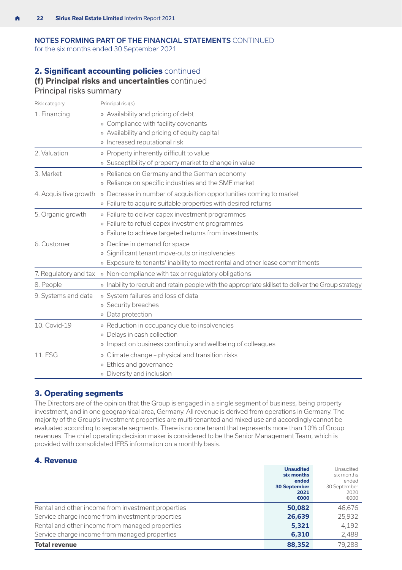<span id="page-23-0"></span>for the six months ended 30 September 2021

#### **2. Significant accounting policies** continued

#### **(f) Principal risks and uncertainties** continued

#### Principal risks summary

| Principal risk(s)                                                                                    |
|------------------------------------------------------------------------------------------------------|
| » Availability and pricing of debt                                                                   |
| » Compliance with facility covenants                                                                 |
| » Availability and pricing of equity capital                                                         |
| » Increased reputational risk                                                                        |
| » Property inherently difficult to value                                                             |
| » Susceptibility of property market to change in value                                               |
| » Reliance on Germany and the German economy                                                         |
| » Reliance on specific industries and the SME market                                                 |
| 4. Acquisitive growth » Decrease in number of acquisition opportunities coming to market             |
| » Failure to acquire suitable properties with desired returns                                        |
| » Failure to deliver capex investment programmes                                                     |
| » Failure to refuel capex investment programmes                                                      |
| » Failure to achieve targeted returns from investments                                               |
| » Decline in demand for space                                                                        |
| » Significant tenant move-outs or insolvencies                                                       |
| » Exposure to tenants' inability to meet rental and other lease commitments                          |
| » Non-compliance with tax or regulatory obligations                                                  |
| » Inability to recruit and retain people with the appropriate skillset to deliver the Group strategy |
| » System failures and loss of data                                                                   |
| » Security breaches                                                                                  |
| » Data protection                                                                                    |
| » Reduction in occupancy due to insolvencies                                                         |
| » Delays in cash collection                                                                          |
| » Impact on business continuity and wellbeing of colleagues                                          |
| » Climate change - physical and transition risks                                                     |
| » Ethics and governance                                                                              |
| » Diversity and inclusion                                                                            |
|                                                                                                      |

#### **3. Operating segments**

The Directors are of the opinion that the Group is engaged in a single segment of business, being property investment, and in one geographical area, Germany. All revenue is derived from operations in Germany. The majority of the Group's investment properties are multi-tenanted and mixed use and accordingly cannot be evaluated according to separate segments. There is no one tenant that represents more than 10% of Group revenues. The chief operating decision maker is considered to be the Senior Management Team, which is provided with consolidated IFRS information on a monthly basis.

#### **4. Revenue**

|                                                    | <b>Unaudited</b><br>six months<br>ended<br><b>30 September</b><br>2021<br>€000 | Unaudited<br>six months<br>ended<br>30 September<br>2020<br>€000 |
|----------------------------------------------------|--------------------------------------------------------------------------------|------------------------------------------------------------------|
| Rental and other income from investment properties | 50,082                                                                         | 46,676                                                           |
| Service charge income from investment properties   | 26,639                                                                         | 25,932                                                           |
| Rental and other income from managed properties    | 5,321                                                                          | 4,192                                                            |
| Service charge income from managed properties      | 6,310                                                                          | 2,488                                                            |
| <b>Total revenue</b>                               | 88,352                                                                         | 79,288                                                           |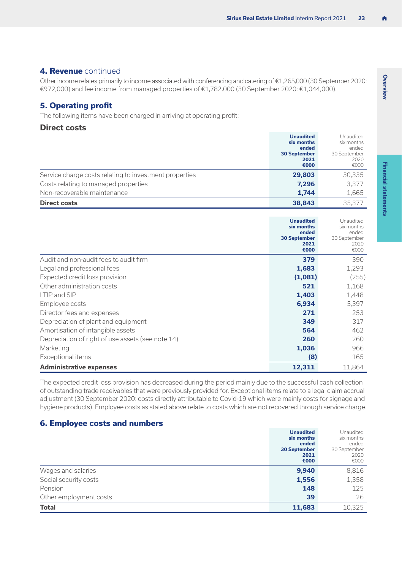#### <span id="page-24-0"></span>**4. Revenue** continued

Other income relates primarily to income associated with conferencing and catering of €1,265,000 (30 September 2020: €972,000) and fee income from managed properties of €1,782,000 (30 September 2020: €1,044,000).

#### **5. Operating profit**

The following items have been charged in arriving at operating profit:

#### **Direct costs**

|                                                        | <b>Unaudited</b>    | Unaudited    |
|--------------------------------------------------------|---------------------|--------------|
|                                                        | six months          | six months   |
|                                                        | ended               | ended        |
|                                                        | <b>30 September</b> | 30 September |
|                                                        | 2021                | 2020         |
|                                                        | €000                | €000         |
| Service charge costs relating to investment properties | 29,803              | 30,335       |
| Costs relating to managed properties                   | 7.296               | 3,377        |
| Non-recoverable maintenance                            | 1.744               | 1,665        |
| <b>Direct costs</b>                                    | 38,843              | 35,377       |

|                                                   | <b>Unaudited</b><br>six months<br>ended<br><b>30 September</b><br>2021<br>€000 | Unaudited<br>six months<br>ended<br>30 September<br>2020<br>€000 |
|---------------------------------------------------|--------------------------------------------------------------------------------|------------------------------------------------------------------|
| Audit and non-audit fees to audit firm            | 379                                                                            | 390                                                              |
| Legal and professional fees                       | 1,683                                                                          | 1,293                                                            |
| Expected credit loss provision                    | (1,081)                                                                        | (255)                                                            |
| Other administration costs                        | 521                                                                            | 1,168                                                            |
| <b>I TIP and SIP</b>                              | 1,403                                                                          | 1,448                                                            |
| Employee costs                                    | 6,934                                                                          | 5,397                                                            |
| Director fees and expenses                        | 271                                                                            | 253                                                              |
| Depreciation of plant and equipment               | 349                                                                            | 317                                                              |
| Amortisation of intangible assets                 | 564                                                                            | 462                                                              |
| Depreciation of right of use assets (see note 14) | 260                                                                            | 260                                                              |
| Marketing                                         | 1,036                                                                          | 966                                                              |
| Exceptional items                                 | (8)                                                                            | 165                                                              |
| <b>Administrative expenses</b>                    | 12,311                                                                         | 11,864                                                           |

The expected credit loss provision has decreased during the period mainly due to the successful cash collection of outstanding trade receivables that were previously provided for. Exceptional items relate to a legal claim accrual adjustment (30 September 2020: costs directly attributable to Covid-19 which were mainly costs for signage and hygiene products). Employee costs as stated above relate to costs which are not recovered through service charge.

#### **6. Employee costs and numbers**

|                        | <b>Unaudited</b>    | Unaudited    |
|------------------------|---------------------|--------------|
|                        | six months          | six months   |
|                        | ended               | ended        |
|                        | <b>30 September</b> | 30 September |
|                        | 2021                | 2020         |
|                        | €000                | €000         |
| Wages and salaries     | 9,940               | 8,816        |
| Social security costs  | 1,556               | 1,358        |
| Pension                | 148                 | 125          |
| Other employment costs | 39                  | 26           |
| <b>Total</b>           | 11,683              | 10,325       |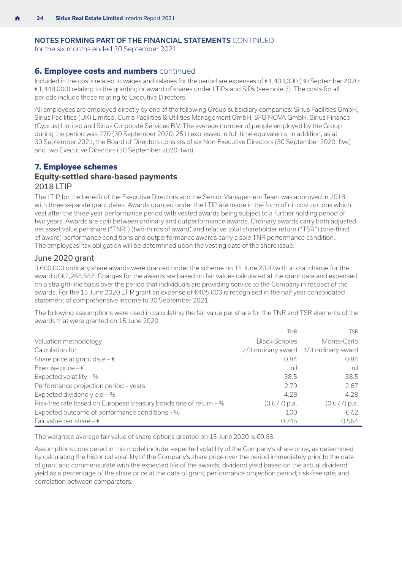<span id="page-25-0"></span>for the six months ended 30 September 2021

#### **6. Employee costs and numbers** continued

Included in the costs related to wages and salaries for the period are expenses of €1,403,000 (30 September 2020: €1,448,000) relating to the granting or award of shares under LTIPs and SIPs (see note 7). The costs for all periods include those relating to Executive Directors.

All employees are employed directly by one of the following Group subsidiary companies: Sirius Facilities GmbH, Sirius Facilities (UK) Limited, Curris Facilities & Utilities Management GmbH, SFG NOVA GmbH, Sirius Finance (Cyprus) Limited and Sirius Corporate Services B.V. The average number of people employed by the Group during the period was 270 (30 September 2020: 251) expressed in full-time equivalents. In addition, as at 30 September 2021, the Board of Directors consists of six Non-Executive Directors (30 September 2020: five) and two Executive Directors (30 September 2020: two).

#### **7. Employee schemes**

#### **Equity-settled share-based payments** 2018 LTIP

The LTIP for the benefit of the Executive Directors and the Senior Management Team was approved in 2018 with three separate grant dates. Awards granted under the LTIP are made in the form of nil-cost options which vest after the three year performance period with vested awards being subject to a further holding period of two years. Awards are split between ordinary and outperformance awards. Ordinary awards carry both adjusted net asset value per share ("TNR") (two-thirds of award) and relative total shareholder return ("TSR") (one-third of award) performance conditions and outperformance awards carry a sole TNR performance condition. The employees' tax obligation will be determined upon the vesting date of the share issue.

#### June 2020 grant

3,600,000 ordinary share awards were granted under the scheme on 15 June 2020 with a total charge for the award of €2,265,552. Charges for the awards are based on fair values calculated at the grant date and expensed on a straight-line basis over the period that individuals are providing service to the Company in respect of the awards. For the 15 June 2020 LTIP grant an expense of €405,000 is recognised in the half year consolidated statement of comprehensive income to 30 September 2021.

The following assumptions were used in calculating the fair value per share for the TNR and TSR elements of the awards that were granted on 15 June 2020:

|                                                                    | <b>TNR</b>     | <b>TSR</b>                            |
|--------------------------------------------------------------------|----------------|---------------------------------------|
| Valuation methodology                                              | Black-Scholes  | Monte-Carlo                           |
| Calculation for                                                    |                | 2/3 ordinary award 1/3 ordinary award |
| Share price at grant date - $\epsilon$                             | 0.84           | 0.84                                  |
| Exercise price $-\epsilon$                                         | nil            | nil                                   |
| Expected volatility - %                                            | 38.5           | 38.5                                  |
| Performance projection period - years                              | 279            | 2.67                                  |
| Expected dividend yield - %                                        | 4.28           | 4.28                                  |
| Risk-free rate based on European treasury bonds rate of return - % | $(0.677)$ p.a. | $(0.677)$ p.a.                        |
| Expected outcome of performance conditions - %                     | 100            | 67.2                                  |
| Fair value per share $-\epsilon$                                   | 0.745          | 0.564                                 |

The weighted average fair value of share options granted on 15 June 2020 is €0.68.

Assumptions considered in this model include: expected volatility of the Company's share price, as determined by calculating the historical volatility of the Company's share price over the period immediately prior to the date of grant and commensurate with the expected life of the awards; dividend yield based on the actual dividend yield as a percentage of the share price at the date of grant; performance projection period; risk-free rate; and correlation between comparators.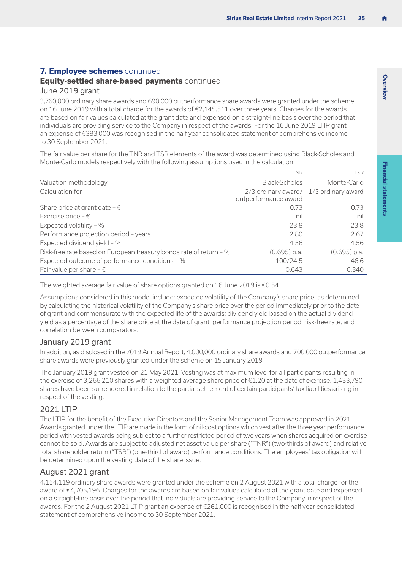# Overvies **Overview**

**7. Employee schemes** continued

#### **Equity-settled share-based payments** continued

#### June 2019 grant

3,760,000 ordinary share awards and 690,000 outperformance share awards were granted under the scheme on 16 June 2019 with a total charge for the awards of €2,145,511 over three years. Charges for the awards are based on fair values calculated at the grant date and expensed on a straight-line basis over the period that individuals are providing service to the Company in respect of the awards. For the 16 June 2019 LTIP grant an expense of €383,000 was recognised in the half year consolidated statement of comprehensive income to 30 September 2021.

The fair value per share for the TNR and TSR elements of the award was determined using Black-Scholes and Monte-Carlo models respectively with the following assumptions used in the calculation:

|                                                                    | <b>TNR</b>                                                     | <b>TSR</b>     |
|--------------------------------------------------------------------|----------------------------------------------------------------|----------------|
| Valuation methodology                                              | Black-Scholes                                                  | Monte-Carlo    |
| Calculation for                                                    | 2/3 ordinary award/ 1/3 ordinary award<br>outperformance award |                |
| Share price at grant date $-\epsilon$                              | 0.73                                                           | 0.73           |
| Exercise price $-\epsilon$                                         | nil                                                            | nil            |
| Expected volatility - %                                            | 23.8                                                           | 23.8           |
| Performance projection period - years                              | 2.80                                                           | 2.67           |
| Expected dividend yield - %                                        | 4.56                                                           | 4.56           |
| Risk-free rate based on European treasury bonds rate of return - % | $(0.695)$ p.a.                                                 | $(0.695)$ p.a. |
| Expected outcome of performance conditions - %                     | 100/24.5                                                       | 46.6           |
| Fair value per share - $\epsilon$                                  | 0.643                                                          | 0.340          |

The weighted average fair value of share options granted on 16 June 2019 is  $f \in \mathfrak{g}_4$ .

Assumptions considered in this model include: expected volatility of the Company's share price, as determined by calculating the historical volatility of the Company's share price over the period immediately prior to the date of grant and commensurate with the expected life of the awards; dividend yield based on the actual dividend yield as a percentage of the share price at the date of grant; performance projection period; risk-free rate; and correlation between comparators.

#### January 2019 grant

In addition, as disclosed in the 2019 Annual Report, 4,000,000 ordinary share awards and 700,000 outperformance share awards were previously granted under the scheme on 15 January 2019.

The January 2019 grant vested on 21 May 2021. Vesting was at maximum level for all participants resulting in the exercise of 3,266,210 shares with a weighted average share price of €1.20 at the date of exercise. 1,433,790 shares have been surrendered in relation to the partial settlement of certain participants' tax liabilities arising in respect of the vesting.

#### 2021 LTIP

The LTIP for the benefit of the Executive Directors and the Senior Management Team was approved in 2021. Awards granted under the LTIP are made in the form of nil-cost options which vest after the three year performance period with vested awards being subject to a further restricted period of two years when shares acquired on exercise cannot be sold. Awards are subject to adjusted net asset value per share ("TNR") (two-thirds of award) and relative total shareholder return ("TSR") (one-third of award) performance conditions. The employees' tax obligation will be determined upon the vesting date of the share issue.

#### August 2021 grant

4,154,119 ordinary share awards were granted under the scheme on 2 August 2021 with a total charge for the award of €4,705,196. Charges for the awards are based on fair values calculated at the grant date and expensed on a straight-line basis over the period that individuals are providing service to the Company in respect of the awards. For the 2 August 2021 LTIP grant an expense of €261,000 is recognised in the half year consolidated statement of comprehensive income to 30 September 2021.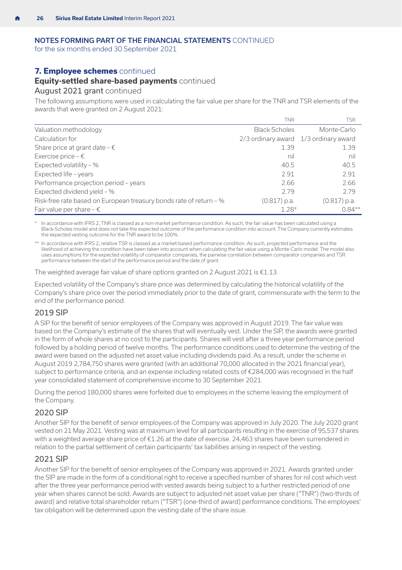for the six months ended 30 September 2021

#### **7. Employee schemes** continued

#### **Equity-settled share-based payments** continued

August 2021 grant continued

The following assumptions were used in calculating the fair value per share for the TNR and TSR elements of the awards that were granted on 2 August 2021:

|                                                                    | <b>TNR</b>     | <b>TSR</b>                            |
|--------------------------------------------------------------------|----------------|---------------------------------------|
| Valuation methodology                                              | Black-Scholes  | Monte-Carlo                           |
| Calculation for                                                    |                | 2/3 ordinary award 1/3 ordinary award |
| Share price at grant date - $\epsilon$                             | 1.39           | 1.39                                  |
| Exercise price $-\epsilon$                                         | nil            | nil                                   |
| Expected volatility - %                                            | 40.5           | 40.5                                  |
| Expected life - years                                              | 2.91           | 2.91                                  |
| Performance projection period - years                              | 2.66           | 2.66                                  |
| Expected dividend yield - %                                        | 2.79           | 2.79                                  |
| Risk-free rate based on European treasury bonds rate of return - % | $(0.817)$ p.a. | $(0.817)$ p.a.                        |
| Fair value per share $-\epsilon$                                   | $1.28*$        | $0.84**$                              |

\* In accordance with IFRS 2, TNR is classed as a non-market performance condition. As such, the fair value has been calculated using a Black-Scholes model and does not take the expected outcome of the performance condition into account. The Company currently estimates the expected vesting outcome for the TNR award to be 100%.

\*\* In accordance with IFRS 2, relative TSR is classed as a market-based performance condition. As such, projected performance and the likelihood of achieving the condition have been taken into account when calculating the fair value using a Monte-Carlo model. The model also uses assumptions for the expected volatility of comparator companies, the pairwise correlation between comparator companies and TSR performance between the start of the performance period and the date of grant.

The weighted average fair value of share options granted on 2 August 2021 is €1.13.

Expected volatility of the Company's share price was determined by calculating the historical volatility of the Company's share price over the period immediately prior to the date of grant, commensurate with the term to the end of the performance period.

#### 2019 SIP

A SIP for the benefit of senior employees of the Company was approved in August 2019. The fair value was based on the Company's estimate of the shares that will eventually vest. Under the SIP, the awards were granted in the form of whole shares at no cost to the participants. Shares will vest after a three year performance period followed by a holding period of twelve months. The performance conditions used to determine the vesting of the award were based on the adjusted net asset value including dividends paid. As a result, under the scheme in August 2019 2,784,750 shares were granted (with an additional 70,000 allocated in the 2021 financial year), subject to performance criteria, and an expense including related costs of €284,000 was recognised in the half year consolidated statement of comprehensive income to 30 September 2021.

During the period 180,000 shares were forfeited due to employees in the scheme leaving the employment of the Company.

#### 2020 SIP

Another SIP for the benefit of senior employees of the Company was approved in July 2020. The July 2020 grant vested on 21 May 2021. Vesting was at maximum level for all participants resulting in the exercise of 95,537 shares with a weighted average share price of €1.26 at the date of exercise. 24,463 shares have been surrendered in relation to the partial settlement of certain participants' tax liabilities arising in respect of the vesting.

#### 2021 SIP

Another SIP for the benefit of senior employees of the Company was approved in 2021. Awards granted under the SIP are made in the form of a conditional right to receive a specified number of shares for nil cost which vest after the three year performance period with vested awards being subject to a further restricted period of one year when shares cannot be sold. Awards are subject to adjusted net asset value per share ("TNR") (two-thirds of award) and relative total shareholder return ("TSR") (one-third of award) performance conditions. The employees' tax obligation will be determined upon the vesting date of the share issue.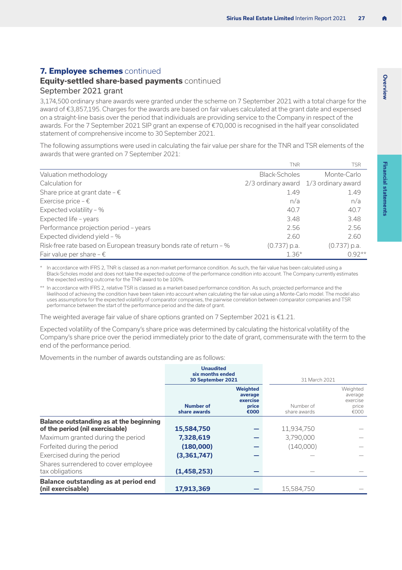## Overviev **Overview**

#### **7. Employee schemes** continued

#### **Equity-settled share-based payments** continued

#### September 2021 grant

3,174,500 ordinary share awards were granted under the scheme on 7 September 2021 with a total charge for the award of €3,857,195. Charges for the awards are based on fair values calculated at the grant date and expensed on a straight-line basis over the period that individuals are providing service to the Company in respect of the awards. For the 7 September 2021 SIP grant an expense of €70,000 is recognised in the half year consolidated statement of comprehensive income to 30 September 2021.

The following assumptions were used in calculating the fair value per share for the TNR and TSR elements of the awards that were granted on 7 September 2021:

|                                                                    | <b>TNR</b>                            | <b>TSR</b>     |
|--------------------------------------------------------------------|---------------------------------------|----------------|
| Valuation methodology                                              | Black-Scholes                         | Monte-Carlo    |
| Calculation for                                                    | 2/3 ordinary award 1/3 ordinary award |                |
| Share price at grant date $-\epsilon$                              | 1.49                                  | 1.49           |
| Exercise price $-\epsilon$                                         | n/a                                   | n/a            |
| Expected volatility - %                                            | 40.7                                  | 40.7           |
| Expected life - years                                              | 3.48                                  | 3.48           |
| Performance projection period - years                              | 2.56                                  | 2.56           |
| Expected dividend yield - %                                        | 2.60                                  | 2.60           |
| Risk-free rate based on European treasury bonds rate of return - % | $(0.737)$ p.a.                        | $(0.737)$ p.a. |
| Fair value per share - $\epsilon$                                  | $1.36*$                               | $0.92**$       |

\* In accordance with IFRS 2, TNR is classed as a non-market performance condition. As such, the fair value has been calculated using a Black-Scholes model and does not take the expected outcome of the performance condition into account. The Company currently estimates the expected vesting outcome for the TNR award to be 100%.

\*\* In accordance with IFRS 2, relative TSR is classed as a market-based performance condition. As such, projected performance and the likelihood of achieving the condition have been taken into account when calculating the fair value using a Monte-Carlo model. The model also uses assumptions for the expected volatility of comparator companies, the pairwise correlation between comparator companies and TSR performance between the start of the performance period and the date of grant.

The weighted average fair value of share options granted on 7 September 2021 is €1.21.

Expected volatility of the Company's share price was determined by calculating the historical volatility of the Company's share price over the period immediately prior to the date of grant, commensurate with the term to the end of the performance period.

Movements in the number of awards outstanding are as follows:

|                                                                            | <b>Unaudited</b><br>six months ended<br>30 September 2021 |                                                         | 31 March 2021             |                                                  |
|----------------------------------------------------------------------------|-----------------------------------------------------------|---------------------------------------------------------|---------------------------|--------------------------------------------------|
|                                                                            | <b>Number of</b><br>share awards                          | <b>Weighted</b><br>average<br>exercise<br>price<br>€000 | Number of<br>share awards | Weighted<br>average<br>exercise<br>price<br>€000 |
| Balance outstanding as at the beginning<br>of the period (nil exercisable) | 15,584,750                                                |                                                         | 11,934,750                |                                                  |
| Maximum granted during the period                                          | 7.328.619                                                 |                                                         | 3,790,000                 |                                                  |
| Forfeited during the period                                                | (180.000)                                                 |                                                         | (140,000)                 |                                                  |
| Exercised during the period                                                | (3,361,747)                                               |                                                         |                           |                                                  |
| Shares surrendered to cover employee<br>tax obligations                    | (1,458,253)                                               |                                                         | $\overline{\phantom{a}}$  |                                                  |
| Balance outstanding as at period end<br>(nil exercisable)                  | 17,913,369                                                |                                                         | 15,584,750                |                                                  |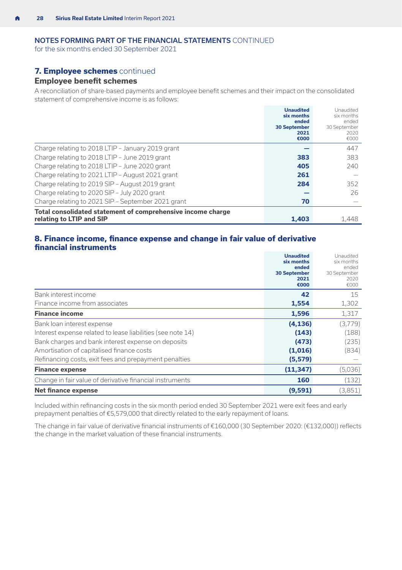<span id="page-29-0"></span>for the six months ended 30 September 2021

#### **7. Employee schemes** continued

#### **Employee benefit schemes**

A reconciliation of share-based payments and employee benefit schemes and their impact on the consolidated statement of comprehensive income is as follows:

|                                                             | <b>Unaudited</b><br>six months<br>ended<br><b>30 September</b><br>2021<br>€000 | Unaudited<br>six months<br>ended<br>30 September<br>2020<br>€000 |
|-------------------------------------------------------------|--------------------------------------------------------------------------------|------------------------------------------------------------------|
| Charge relating to 2018 LTIP - January 2019 grant           |                                                                                | 447                                                              |
| Charge relating to 2018 LTIP - June 2019 grant              | 383                                                                            | 383                                                              |
| Charge relating to 2018 LTIP - June 2020 grant              | 405                                                                            | 240                                                              |
| Charge relating to 2021 LTIP - August 2021 grant            | 261                                                                            |                                                                  |
| Charge relating to 2019 SIP - August 2019 grant             | 284                                                                            | 352                                                              |
| Charge relating to 2020 SIP - July 2020 grant               |                                                                                | 26                                                               |
| Charge relating to 2021 SIP - September 2021 grant          | 70                                                                             |                                                                  |
| Total consolidated statement of comprehensive income charge |                                                                                |                                                                  |
| relating to LTIP and SIP                                    | 1.403                                                                          | 1,448                                                            |

#### **8. Finance income, finance expense and change in fair value of derivative financial instruments**

|                                                             | <b>Unaudited</b><br>six months<br>ended<br><b>30 September</b><br>2021 | Unaudited<br>six months<br>ended<br>30 September<br>2020 |
|-------------------------------------------------------------|------------------------------------------------------------------------|----------------------------------------------------------|
| Bank interest income                                        | €000<br>42                                                             | €000<br>15                                               |
| Finance income from associates                              | 1,554                                                                  | 1,302                                                    |
| <b>Finance income</b>                                       | 1,596                                                                  | 1,317                                                    |
| Bank loan interest expense                                  | (4, 136)                                                               | (3,779)                                                  |
| Interest expense related to lease liabilities (see note 14) | (143)                                                                  | (188)                                                    |
| Bank charges and bank interest expense on deposits          | (473)                                                                  | (235)                                                    |
| Amortisation of capitalised finance costs                   | (1,016)                                                                | (834)                                                    |
| Refinancing costs, exit fees and prepayment penalties       | (5, 579)                                                               |                                                          |
| <b>Finance expense</b>                                      | (11, 347)                                                              | (5,036)                                                  |
| Change in fair value of derivative financial instruments    | 160                                                                    | (132)                                                    |
| Net finance expense                                         | (9,591)                                                                | (3,851)                                                  |

Included within refinancing costs in the six month period ended 30 September 2021 were exit fees and early prepayment penalties of €5,579,000 that directly related to the early repayment of loans.

The change in fair value of derivative financial instruments of €160,000 (30 September 2020: (€132,000)) reflects the change in the market valuation of these financial instruments.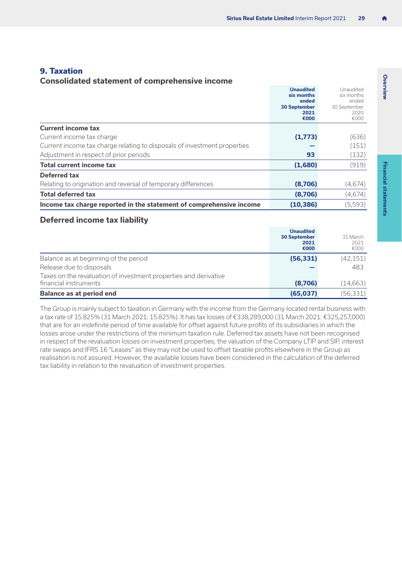#### <span id="page-30-0"></span>**9. Taxation**

#### **Consolidated statement of comprehensive income**

|                                                                          | <b>Unaudited</b><br>six months<br>ended<br><b>30 September</b><br>2021<br>€000 | Unaudited<br>six months<br>ended<br>30 September<br>2020<br>€000 |
|--------------------------------------------------------------------------|--------------------------------------------------------------------------------|------------------------------------------------------------------|
| <b>Current income tax</b>                                                |                                                                                |                                                                  |
| Current income tax charge                                                | (1,773)                                                                        | (636)                                                            |
| Current income tax charge relating to disposals of investment properties |                                                                                | (151)                                                            |
| Adjustment in respect of prior periods                                   | 93                                                                             | (132)                                                            |
| Total current income tax                                                 | (1,680)                                                                        | (919)                                                            |
| Deferred tax                                                             |                                                                                |                                                                  |
| Relating to origination and reversal of temporary differences            | (8,706)                                                                        | (4,674)                                                          |
| <b>Total deferred tax</b>                                                | (8,706)                                                                        | (4,674)                                                          |
| Income tax charge reported in the statement of comprehensive income      | (10, 386)                                                                      | (5,593)                                                          |

#### **Deferred income tax liability**

|                                                                  | <b>Unaudited</b><br><b>30 September</b><br>2021<br>€000 | 31 March<br>2021<br>€000 |
|------------------------------------------------------------------|---------------------------------------------------------|--------------------------|
| Balance as at beginning of the period                            | (56, 331)                                               | (42, 151)                |
| Release due to disposals                                         |                                                         | 483                      |
| Taxes on the revaluation of investment properties and derivative |                                                         |                          |
| financial instruments                                            | (8,706)                                                 | (14,663)                 |
| <b>Balance as at period end</b>                                  | (65,037)                                                | (56.331)                 |

The Group is mainly subject to taxation in Germany with the income from the Germany-located rental business with a tax rate of 15.825% (31 March 2021: 15.825%). It has tax losses of €338,289,000 (31 March 2021: €325,257,000) that are for an indefinite period of time available for offset against future profits of its subsidiaries in which the losses arose under the restrictions of the minimum taxation rule. Deferred tax assets have not been recognised in respect of the revaluation losses on investment properties, the valuation of the Company LTIP and SIP, interest rate swaps and IFRS 16 "Leases" as they may not be used to offset taxable profits elsewhere in the Group as realisation is not assured. However, the available losses have been considered in the calculation of the deferred tax liability in relation to the revaluation of investment properties.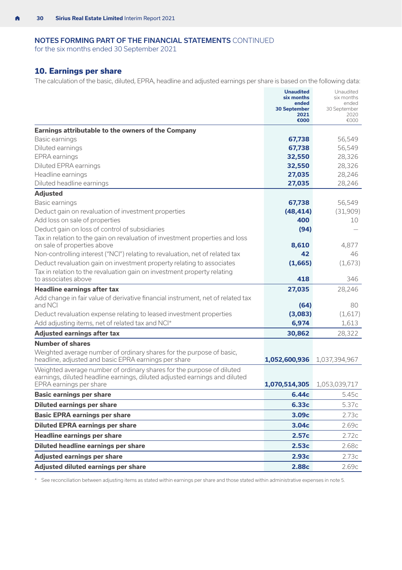<span id="page-31-0"></span>for the six months ended 30 September 2021

#### **10. Earnings per share**

The calculation of the basic, diluted, EPRA, headline and adjusted earnings per share is based on the following data:

|                                                                                                                                                  | <b>Unaudited</b><br>six months | Unaudited<br>six months |
|--------------------------------------------------------------------------------------------------------------------------------------------------|--------------------------------|-------------------------|
|                                                                                                                                                  | ended<br><b>30 September</b>   | ended<br>30 September   |
|                                                                                                                                                  | 2021<br>€000                   | 2020<br>€000            |
| Earnings attributable to the owners of the Company                                                                                               |                                |                         |
| Basic earnings                                                                                                                                   | 67,738                         | 56,549                  |
| Diluted earnings                                                                                                                                 | 67,738                         | 56,549                  |
| EPRA earnings                                                                                                                                    | 32,550                         | 28,326                  |
| Diluted EPRA earnings                                                                                                                            | 32,550                         | 28,326                  |
| Headline earnings                                                                                                                                | 27,035                         | 28,246                  |
| Diluted headline earnings                                                                                                                        | 27,035                         | 28,246                  |
| <b>Adjusted</b>                                                                                                                                  |                                |                         |
| Basic earnings                                                                                                                                   | 67,738                         | 56,549                  |
| Deduct gain on revaluation of investment properties                                                                                              | (48, 414)                      | (31,909)                |
| Add loss on sale of properties                                                                                                                   | 400                            | 10                      |
| Deduct gain on loss of control of subsidiaries                                                                                                   | (94)                           |                         |
| Tax in relation to the gain on revaluation of investment properties and loss                                                                     |                                |                         |
| on sale of properties above                                                                                                                      | 8.610                          | 4,877                   |
| Non-controlling interest ("NCI") relating to revaluation, net of related tax                                                                     | 42                             | 46                      |
| Deduct revaluation gain on investment property relating to associates<br>Tax in relation to the revaluation gain on investment property relating | (1,665)                        | (1,673)                 |
| to associates above                                                                                                                              | 418                            | 346                     |
| <b>Headline earnings after tax</b>                                                                                                               | 27.035                         | 28,246                  |
| Add change in fair value of derivative financial instrument, net of related tax<br>and NCI                                                       | (64)                           | 80                      |
| Deduct revaluation expense relating to leased investment properties                                                                              | (3,083)                        | (1,617)                 |
| Add adjusting items, net of related tax and NCI*                                                                                                 | 6,974                          | 1,613                   |
| <b>Adjusted earnings after tax</b>                                                                                                               | 30,862                         | 28,322                  |
| Number of shares                                                                                                                                 |                                |                         |
| Weighted average number of ordinary shares for the purpose of basic,<br>headline, adjusted and basic EPRA earnings per share                     | 1,052,600,936                  | 1,037,394,967           |
| Weighted average number of ordinary shares for the purpose of diluted                                                                            |                                |                         |
| earnings, diluted headline earnings, diluted adjusted earnings and diluted                                                                       |                                |                         |
| EPRA earnings per share                                                                                                                          | 1,070,514,305                  | 1,053,039,717           |
| <b>Basic earnings per share</b>                                                                                                                  | 6.44c                          | 5.45c                   |
| Diluted earnings per share                                                                                                                       | 6.33c                          | 5.37c                   |
| <b>Basic EPRA earnings per share</b>                                                                                                             | 3.09 <sub>c</sub>              | 2.73c                   |
| <b>Diluted EPRA earnings per share</b>                                                                                                           | 3.04c                          | 2.69с.                  |
| <b>Headline earnings per share</b>                                                                                                               | 2.57c                          | 2.72c                   |
| Diluted headline earnings per share                                                                                                              | 2.53c                          | 2.68c                   |
| Adjusted earnings per share                                                                                                                      | 2.93c                          | 2.73c                   |
| Adjusted diluted earnings per share                                                                                                              | 2.88c                          | 2.69c                   |

\* See reconciliation between adjusting items as stated within earnings per share and those stated within administrative expenses in [note 5](#page-24-0).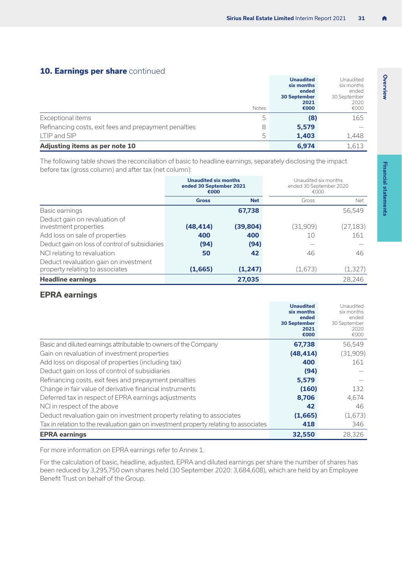#### **10. Earnings per share** continued

| Adjusting items as per note 10                        |              | 6.974                       | 1,613                |
|-------------------------------------------------------|--------------|-----------------------------|----------------------|
| LTIP and SIP                                          | 5            | 1,403                       | 1,448                |
| Refinancing costs, exit fees and prepayment penalties | 8            | 5,579                       |                      |
| Exceptional items                                     | 5            | (8)                         | 165                  |
|                                                       | <b>Notes</b> | €000                        | €000                 |
|                                                       |              | <b>30 September</b><br>2021 | 30 September<br>2020 |
|                                                       |              | ended                       | ended                |
|                                                       |              | six months                  | six months           |
|                                                       |              | Unaudited                   | Unaudited            |

The following table shows the reconciliation of basic to headline earnings, separately disclosing the impact before tax (gross column) and after tax (net column):

|                                                                                  | <b>Unaudited six months</b><br>ended 30 September 2021<br>€000 |             | Unaudited six months<br>ended 30 September 2020<br>€000 |          |  |
|----------------------------------------------------------------------------------|----------------------------------------------------------------|-------------|---------------------------------------------------------|----------|--|
|                                                                                  | <b>Gross</b>                                                   | <b>Net</b>  | Gross                                                   | Net      |  |
| Basic earnings                                                                   |                                                                | 67,738      |                                                         | 56,549   |  |
| Deduct gain on revaluation of<br>investment properties                           | (48, 414)                                                      | (39, 804)   | (31,909)                                                | (27,183) |  |
| Add loss on sale of properties<br>Deduct gain on loss of control of subsidiaries | 400<br>(94)                                                    | 400<br>(94) | 10                                                      | 161      |  |
| NCI relating to revaluation<br>Deduct revaluation gain on investment             | 50                                                             | 42          | 46                                                      | 46       |  |
| property relating to associates                                                  | (1,665)                                                        | (1, 247)    | (1,673)                                                 | (1,327)  |  |
| <b>Headline earnings</b>                                                         |                                                                | 27.035      |                                                         | 28,246   |  |

#### **EPRA earnings**

|                                                                                       | <b>Unaudited</b><br>six months<br>ended<br><b>30 September</b><br>2021<br>€000 | Unaudited<br>six months<br>ended<br>30 September<br>2020<br>€000 |
|---------------------------------------------------------------------------------------|--------------------------------------------------------------------------------|------------------------------------------------------------------|
| Basic and diluted earnings attributable to owners of the Company                      | 67,738                                                                         | 56,549                                                           |
| Gain on revaluation of investment properties                                          | (48, 414)                                                                      | (31,909)                                                         |
| Add loss on disposal of properties (including tax)                                    | 400                                                                            | 161                                                              |
| Deduct gain on loss of control of subsidiaries                                        | (94)                                                                           |                                                                  |
| Refinancing costs, exit fees and prepayment penalties                                 | 5,579                                                                          |                                                                  |
| Change in fair value of derivative financial instruments                              | (160)                                                                          | 132                                                              |
| Deferred tax in respect of EPRA earnings adjustments                                  | 8.706                                                                          | 4,674                                                            |
| NCI in respect of the above                                                           | 42                                                                             | 46                                                               |
| Deduct revaluation gain on investment property relating to associates                 | (1,665)                                                                        | (1,673)                                                          |
| Tax in relation to the revaluation gain on investment property relating to associates | 418                                                                            | 346                                                              |
| <b>EPRA earnings</b>                                                                  | 32,550                                                                         | 28,326                                                           |

For more information on EPRA earnings refer to Annex 1.

For the calculation of basic, headline, adjusted, EPRA and diluted earnings per share the number of shares has been reduced by 3,295,750 own shares held (30 September 2020: 3,684,608), which are held by an Employee Benefit Trust on behalf of the Group.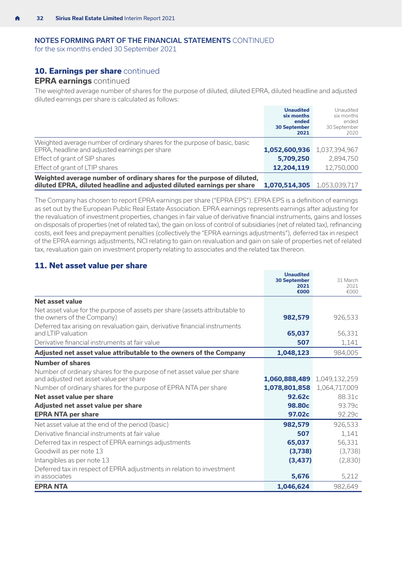<span id="page-33-0"></span>for the six months ended 30 September 2021

#### **10. Earnings per share** continued

#### **EPRA earnings** continued

The weighted average number of shares for the purpose of diluted, diluted EPRA, diluted headline and adjusted diluted earnings per share is calculated as follows:

|                                                                            | <b>Unaudited</b>    | Unaudited     |
|----------------------------------------------------------------------------|---------------------|---------------|
|                                                                            | six months          | six months    |
|                                                                            | ended               | ended         |
|                                                                            | <b>30 September</b> | 30 September  |
|                                                                            | 2021                | 2020          |
| Weighted average number of ordinary shares for the purpose of basic, basic |                     |               |
| EPRA, headline and adjusted earnings per share                             | 1,052,600,936       | 1,037,394,967 |
| Effect of grant of SIP shares                                              | 5,709,250           | 2,894,750     |
| Effect of grant of LTIP shares                                             | 12.204.119          | 12,750,000    |
| Weighted average number of ordinary shares for the purpose of diluted,     |                     |               |
| diluted EPRA, diluted headline and adjusted diluted earnings per share     | 1.070.514.305       | 1,053,039,717 |

The Company has chosen to report EPRA earnings per share ("EPRA EPS"). EPRA EPS is a definition of earnings as set out by the European Public Real Estate Association. EPRA earnings represents earnings after adjusting for the revaluation of investment properties, changes in fair value of derivative financial instruments, gains and losses on disposals of properties (net of related tax), the gain on loss of control of subsidiaries (net of related tax), refinancing costs, exit fees and prepayment penalties (collectively the "EPRA earnings adjustments"), deferred tax in respect of the EPRA earnings adjustments, NCI relating to gain on revaluation and gain on sale of properties net of related tax, revaluation gain on investment property relating to associates and the related tax thereon.

#### **11. Net asset value per share**

|                                                                                                                  | <b>Unaudited</b><br><b>30 September</b><br>2021<br>€000 | 31 March<br>2021<br>€000 |
|------------------------------------------------------------------------------------------------------------------|---------------------------------------------------------|--------------------------|
| Net asset value                                                                                                  |                                                         |                          |
| Net asset value for the purpose of assets per share (assets attributable to<br>the owners of the Company)        | 982.579                                                 | 926,533                  |
| Deferred tax arising on revaluation gain, derivative financial instruments<br>and I TIP valuation                | 65,037                                                  | 56,331                   |
| Derivative financial instruments at fair value                                                                   | 507                                                     | 1,141                    |
| Adjusted net asset value attributable to the owners of the Company                                               | 1,048,123                                               | 984,005                  |
| Number of shares                                                                                                 |                                                         |                          |
| Number of ordinary shares for the purpose of net asset value per share<br>and adjusted net asset value per share | 1,060,888,489 1,049,132,259                             |                          |
| Number of ordinary shares for the purpose of EPRA NTA per share                                                  | 1,078,801,858 1,064,717,009                             |                          |
| Net asset value per share                                                                                        | 92.62c                                                  | 88.31c                   |
| Adjusted net asset value per share                                                                               | 98.80c                                                  | 93.79c                   |
| <b>EPRA NTA per share</b>                                                                                        | 97.02c                                                  | 92.29c                   |
| Net asset value at the end of the period (basic)                                                                 | 982,579                                                 | 926,533                  |
| Derivative financial instruments at fair value                                                                   | 507                                                     | 1,141                    |
| Deferred tax in respect of EPRA earnings adjustments                                                             | 65,037                                                  | 56,331                   |
| Goodwill as per note 13                                                                                          | (3,738)                                                 | (3,738)                  |
| Intangibles as per note 13                                                                                       | (3, 437)                                                | (2,830)                  |
| Deferred tax in respect of EPRA adjustments in relation to investment<br>in associates                           | 5,676                                                   | 5,212                    |
| <b>EPRA NTA</b>                                                                                                  | 1,046,624                                               | 982,649                  |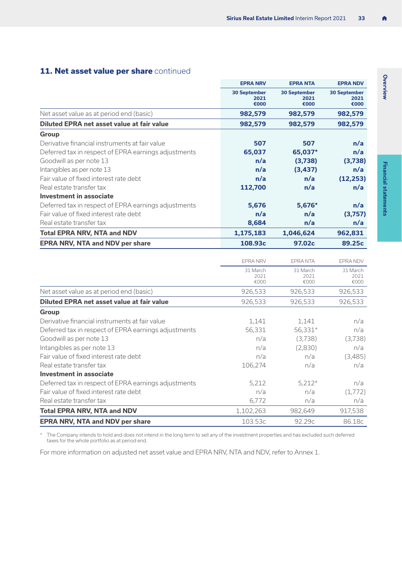#### **11. Net asset value per share** continued

|                                                      | <b>EPRA NRV</b>                     | <b>EPRA NTA</b>                     | <b>EPRA NDV</b>                     |
|------------------------------------------------------|-------------------------------------|-------------------------------------|-------------------------------------|
|                                                      | <b>30 September</b><br>2021<br>€000 | <b>30 September</b><br>2021<br>€000 | <b>30 September</b><br>2021<br>€000 |
| Net asset value as at period end (basic)             | 982,579                             | 982,579                             | 982,579                             |
| Diluted EPRA net asset value at fair value           | 982,579                             | 982,579                             | 982,579                             |
| Group                                                |                                     |                                     |                                     |
| Derivative financial instruments at fair value       | 507                                 | 507                                 | n/a                                 |
| Deferred tax in respect of EPRA earnings adjustments | 65.037                              | 65,037*                             | n/a                                 |
| Goodwill as per note 13                              | n/a                                 | (3,738)                             | (3,738)                             |
| Intangibles as per note 13                           | n/a                                 | (3, 437)                            | n/a                                 |
| Fair value of fixed interest rate debt               | n/a                                 | n/a                                 | (12, 253)                           |
| Real estate transfer tax                             | 112,700                             | n/a                                 | n/a                                 |
| Investment in associate                              |                                     |                                     |                                     |
| Deferred tax in respect of EPRA earnings adjustments | 5,676                               | 5,676*                              | n/a                                 |
| Fair value of fixed interest rate debt               | n/a                                 | n/a                                 | (3,757)                             |
| Real estate transfer tax                             | 8,684                               | n/a                                 | n/a                                 |
| <b>Total EPRA NRV, NTA and NDV</b>                   | 1,175,183                           | 1,046,624                           | 962,831                             |
| EPRA NRV, NTA and NDV per share                      | 108.93c                             | 97.02c                              | 89.25c                              |
|                                                      |                                     |                                     |                                     |
|                                                      | <b>EPRA NRV</b>                     | <b>EPRANTA</b>                      | EPRA NDV                            |
|                                                      | 31 March                            | 31 March                            | 31 March                            |
|                                                      | 2021<br>€000                        | 2021<br>€000                        | 2021<br>€000                        |
| Net asset value as at period end (basic)             | 926,533                             | 926,533                             | 926,533                             |
| Diluted EPRA net asset value at fair value           | 926,533                             | 926,533                             | 926,533                             |
| Group                                                |                                     |                                     |                                     |
| Derivative financial instruments at fair value       | 1,141                               | 1,141                               | n/a                                 |
| Deferred tax in respect of EPRA earnings adjustments | 56,331                              | 56,331*                             | n/a                                 |
| Goodwill as per note 13                              | n/a                                 | (3,738)                             | (3,738)                             |
| Intangibles as per note 13                           | n/a                                 | (2,830)                             | n/a                                 |
| Fair value of fixed interest rate debt               | n/a                                 | n/a                                 | (3,485)                             |
| Real estate transfer tax                             | 106,274                             | n/a                                 | n/a                                 |
| Investment in associate                              |                                     |                                     |                                     |
| Deferred tax in respect of EPRA earnings adjustments | 5,212                               | $5,212*$                            | n/a                                 |
| Fair value of fixed interest rate debt               | n/a                                 | n/a                                 | (1,772)                             |
| Real estate transfer tax                             | 6,772                               | n/a                                 | n/a                                 |
| <b>Total EPRA NRV, NTA and NDV</b>                   | 1,102,263                           | 982,649                             | 917,538                             |

\* The Company intends to hold and does not intend in the long term to sell any of the investment properties and has excluded such deferred taxes for the whole portfolio as at period end.

**EPRA NRV, NTA and NDV per share** 103.53c 92.29c 86.18c

For more information on adjusted net asset value and EPRA NRV, NTA and NDV, refer to Annex 1.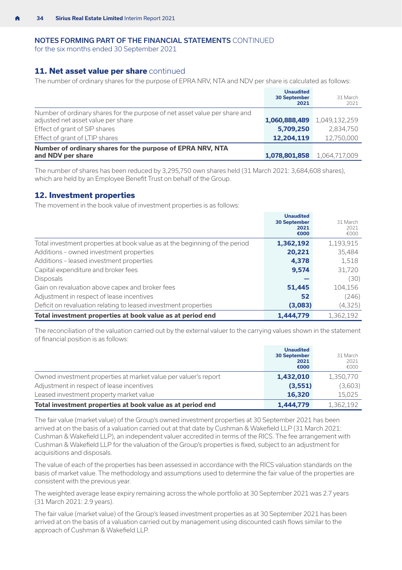<span id="page-35-0"></span>for the six months ended 30 September 2021

#### **11. Net asset value per share** continued

The number of ordinary shares for the purpose of EPRA NRV, NTA and NDV per share is calculated as follows:

|                                                                                                                  | <b>Unaudited</b><br><b>30 September</b><br>2021 | 31 March<br>2021 |
|------------------------------------------------------------------------------------------------------------------|-------------------------------------------------|------------------|
| Number of ordinary shares for the purpose of net asset value per share and<br>adjusted net asset value per share | 1,060,888,489                                   | 1,049,132,259    |
| Effect of grant of SIP shares                                                                                    | 5.709.250                                       | 2,834,750        |
| Effect of grant of LTIP shares                                                                                   | 12.204.119                                      | 12,750,000       |
| Number of ordinary shares for the purpose of EPRA NRV, NTA<br>and NDV per share                                  | 1,078,801,858                                   | 1,064,717,009    |

The number of shares has been reduced by 3,295,750 own shares held (31 March 2021: 3,684,608 shares), which are held by an Employee Benefit Trust on behalf of the Group.

#### **12. Investment properties**

The movement in the book value of investment properties is as follows:

|                                                                             | <b>Unaudited</b><br><b>30 September</b><br>2021<br>€000 | 31 March<br>2021<br>€000 |
|-----------------------------------------------------------------------------|---------------------------------------------------------|--------------------------|
| Total investment properties at book value as at the beginning of the period | 1,362,192                                               | 1,193,915                |
| Additions - owned investment properties                                     | 20,221                                                  | 35,484                   |
| Additions - leased investment properties                                    | 4,378                                                   | 1,518                    |
| Capital expenditure and broker fees                                         | 9,574                                                   | 31,720                   |
| <b>Disposals</b>                                                            |                                                         | (30)                     |
| Gain on revaluation above capex and broker fees                             | 51,445                                                  | 104,156                  |
| Adjustment in respect of lease incentives                                   | 52                                                      | (246)                    |
| Deficit on revaluation relating to leased investment properties             | (3,083)                                                 | (4, 325)                 |
| Total investment properties at book value as at period end                  | 1,444,779                                               | 1,362,192                |

The reconciliation of the valuation carried out by the external valuer to the carrying values shown in the statement of financial position is as follows:

|                                                                 | <b>Unaudited</b><br><b>30 September</b><br>2021<br>€000 | 31 March<br>2021<br>€000 |
|-----------------------------------------------------------------|---------------------------------------------------------|--------------------------|
| Owned investment properties at market value per valuer's report | 1,432,010                                               | 1,350,770                |
| Adjustment in respect of lease incentives                       | (3, 551)                                                | (3,603)                  |
| Leased investment property market value                         | 16,320                                                  | 15,025                   |
| Total investment properties at book value as at period end      | 1,444,779                                               | 1,362,192                |

The fair value (market value) of the Group's owned investment properties at 30 September 2021 has been arrived at on the basis of a valuation carried out at that date by Cushman & Wakefield LLP (31 March 2021: Cushman & Wakefield LLP), an independent valuer accredited in terms of the RICS. The fee arrangement with Cushman & Wakefield LLP for the valuation of the Group's properties is fixed, subject to an adjustment for acquisitions and disposals.

The value of each of the properties has been assessed in accordance with the RICS valuation standards on the basis of market value. The methodology and assumptions used to determine the fair value of the properties are consistent with the previous year.

The weighted average lease expiry remaining across the whole portfolio at 30 September 2021 was 2.7 years (31 March 2021: 2.9 years).

The fair value (market value) of the Group's leased investment properties as at 30 September 2021 has been arrived at on the basis of a valuation carried out by management using discounted cash flows similar to the approach of Cushman & Wakefield LLP.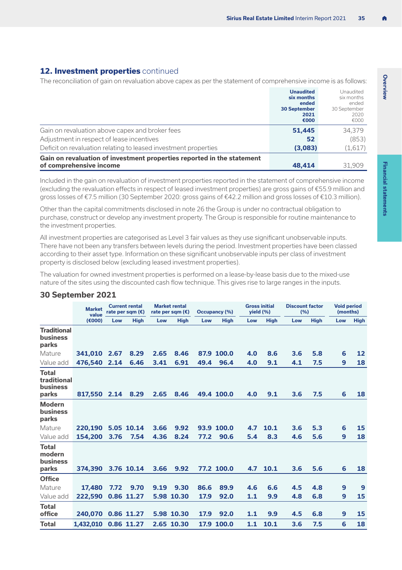#### **12. Investment properties** continued

The reconciliation of gain on revaluation above capex as per the statement of comprehensive income is as follows:

|                                                                        | <b>Unaudited</b><br>six months<br>ended<br><b>30 September</b><br>2021 | Unaudited<br>six months<br>ended<br>30 September<br>2020 |
|------------------------------------------------------------------------|------------------------------------------------------------------------|----------------------------------------------------------|
|                                                                        | €000                                                                   | €000                                                     |
| Gain on revaluation above capex and broker fees                        | 51.445                                                                 | 34,379                                                   |
| Adjustment in respect of lease incentives                              | 52                                                                     | (853)                                                    |
| Deficit on revaluation relating to leased investment properties        | (3,083)                                                                | (1,617)                                                  |
| Gain on revaluation of investment properties reported in the statement |                                                                        |                                                          |
| of comprehensive income                                                | 48.414                                                                 | 31,909                                                   |

Included in the gain on revaluation of investment properties reported in the statement of comprehensive income (excluding the revaluation effects in respect of leased investment properties) are gross gains of €55.9 million and gross losses of €7.5 million (30 September 2020: gross gains of €42.2 million and gross losses of €10.3 million).

Other than the capital commitments disclosed in [note 26](#page-49-0) the Group is under no contractual obligation to purchase, construct or develop any investment property. The Group is responsible for routine maintenance to the investment properties.

All investment properties are categorised as Level 3 fair values as they use significant unobservable inputs. There have not been any transfers between levels during the period. Investment properties have been classed according to their asset type. Information on these significant unobservable inputs per class of investment property is disclosed below (excluding leased investment properties).

The valuation for owned investment properties is performed on a lease-by-lease basis due to the mixed-use nature of the sites using the discounted cash flow technique. This gives rise to large ranges in the inputs.

|                                           | <b>Market</b><br>value |      | <b>Current rental</b><br>rate per sqm $(\epsilon)$ |      | <b>Market rental</b><br>rate per sqm $(\epsilon)$ |      | Occupancy (%) | <b>Gross initial</b><br>vield (%) |      | <b>Discount factor</b><br>(96) |             | <b>Void period</b><br>(months) |      |
|-------------------------------------------|------------------------|------|----------------------------------------------------|------|---------------------------------------------------|------|---------------|-----------------------------------|------|--------------------------------|-------------|--------------------------------|------|
|                                           | (6000)                 | Low  | High                                               | Low  | <b>High</b>                                       | Low  | <b>High</b>   | Low                               | High | Low                            | <b>High</b> | Low                            | High |
| <b>Traditional</b><br>business<br>parks   |                        |      |                                                    |      |                                                   |      |               |                                   |      |                                |             |                                |      |
| Mature                                    | 341.010                | 2.67 | 8.29                                               | 2.65 | 8.46                                              | 87.9 | 100.0         | 4.0                               | 8.6  | 3.6                            | 5.8         | 6                              | 12   |
| Value add                                 | 476.540 2.14           |      | 6.46                                               | 3.41 | 6.91                                              | 49.4 | 96.4          | 4.0                               | 9.1  | 4.1                            | 7.5         | 9                              | 18   |
| Total<br>traditional<br>business<br>parks | 817,550                | 2.14 | 8.29                                               | 2.65 | 8.46                                              |      | 49.4 100.0    | 4.0                               | 9.1  | 3.6                            | 7.5         | 6                              | 18   |
| <b>Modern</b><br>business<br>parks        |                        |      |                                                    |      |                                                   |      |               |                                   |      |                                |             |                                |      |
| Mature                                    | 220.190                |      | 5.05 10.14                                         | 3.66 | 9.92                                              | 93.9 | 100.0         | 4.7                               | 10.1 | 3.6                            | 5.3         | 6                              | 15   |
| Value add                                 | 154.200                | 3.76 | 7.54                                               | 4.36 | 8.24                                              | 77.2 | 90.6          | 5.4                               | 8.3  | 4.6                            | 5.6         | 9                              | 18   |
| Total<br>modern<br>business<br>parks      | 374.390                |      | 3.76 10.14                                         | 3.66 | 9.92                                              |      | 77.2 100.0    | 4.7                               | 10.1 | 3.6                            | 5.6         | 6                              | 18   |
| Office                                    |                        |      |                                                    |      |                                                   |      |               |                                   |      |                                |             |                                |      |
| Mature                                    | 17.480                 | 7.72 | 9.70                                               | 9.19 | 9.30                                              | 86.6 | 89.9          | 4.6                               | 6.6  | 4.5                            | 4.8         | 9                              | 9    |
| Value add                                 | 222,590                |      | 0.86 11.27                                         |      | 5.98 10.30                                        | 17.9 | 92.0          | 1.1                               | 9.9  | 4.8                            | 6.8         | 9                              | 15   |
| <b>Total</b><br>office                    | 240.070                |      | 0.86 11.27                                         |      | 5.98 10.30                                        | 17.9 | 92.0          | 1.1                               | 9.9  | 4.5                            | 6.8         | 9                              | 15   |
| Total                                     | 1.432.010              |      | 0.86 11.27                                         |      | 2.65 10.30                                        |      | 17.9 100.0    | 1.1                               | 10.1 | 3.6                            | 7.5         | 6                              | 18   |

#### **30 September 2021**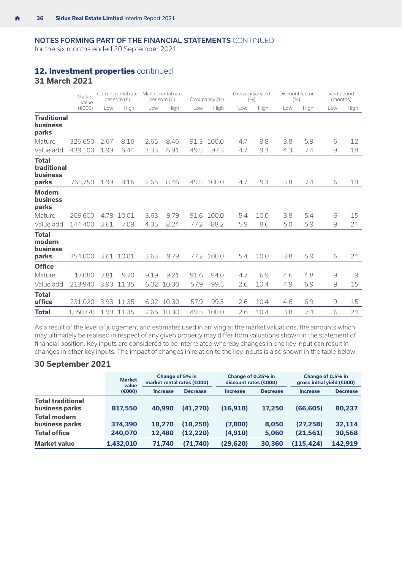for the six months ended 30 September 2021

#### **12. Investment properties** continued

#### **31 March 2021**

|                                                  | Market<br>value |      | Current rental rate<br>per sam (€) |      | Market rental rate<br>per sqm $(\epsilon)$ |      | Occupancy (%) |     | Gross initial yield<br>(96) | Discount factor<br>(96) |      | Void period<br>(months) |      |
|--------------------------------------------------|-----------------|------|------------------------------------|------|--------------------------------------------|------|---------------|-----|-----------------------------|-------------------------|------|-------------------------|------|
|                                                  | (6000)          | Low  | High                               | Low  | High                                       | Low  | High          | Low | High                        | Low                     | High | Low                     | High |
| <b>Traditional</b><br>business<br>parks          |                 |      |                                    |      |                                            |      |               |     |                             |                         |      |                         |      |
| Mature                                           | 326,650         | 2.67 | 8.16                               | 2.65 | 8.46                                       | 91.3 | 100.0         | 4.7 | 8.8                         | 3.8                     | 5.9  | 6                       | 12   |
| Value add                                        | 439,100         | 1.99 | 6.44                               | 3.33 | 6.91                                       | 49.5 | 97.3          | 4.7 | 9.3                         | 4.3                     | 7.4  | 9                       | 18   |
| <b>Total</b><br>traditional<br>business<br>parks | 765,750         | 1.99 | 8.16                               | 2.65 | 8.46                                       | 49.5 | 100.0         | 4.7 | 9.3                         | 3.8                     | 7.4  | 6                       | 18   |
| <b>Modern</b><br>business<br>parks               |                 |      |                                    |      |                                            |      |               |     |                             |                         |      |                         |      |
| Mature                                           | 209,600         |      | 4.78 10.01                         | 3.63 | 9.79                                       | 91.6 | 100.0         | 5.4 | 10.0                        | 3.8                     | 5.4  | 6                       | 15   |
| Value add                                        | 144,400         | 3.61 | 7.09                               | 4.35 | 8.24                                       | 77.2 | 88.2          | 5.9 | 8.6                         | 5.0                     | 5.9  | 9                       | 24   |
| <b>Total</b><br>modern<br>business<br>parks      | 354,000         |      | 3.61 10.01                         | 3.63 | 9.79                                       |      | 77.2 100.0    | 5.4 | 10.0                        | 3.8                     | 5.9  | 6                       | 24   |
| Office                                           |                 |      |                                    |      |                                            |      |               |     |                             |                         |      |                         |      |
| Mature                                           | 17,080          | 7.81 | 9.70                               | 9.19 | 9.21                                       | 91.6 | 94.0          | 4.7 | 6.9                         | 4.6                     | 4.8  | 9                       | 9    |
| Value add                                        | 213,940         | 3.93 | 11.35                              | 6.02 | 10.30                                      | 57.9 | 99.5          | 2.6 | 10.4                        | 4.9                     | 6.9  | 9                       | 15   |
| <b>Total</b><br>office                           | 231,020         |      | 3.93 11.35                         |      | 6.02 10.30                                 | 57.9 | 99.5          | 2.6 | 10.4                        | 4.6                     | 6.9  | 9                       | 15   |
| <b>Total</b>                                     | 1,350,770       | 1.99 | 11.35                              | 2.65 | 10.30                                      | 49.5 | 100.0         | 2.6 | 10.4                        | 3.8                     | 7.4  | 6                       | 24   |

As a result of the level of judgement and estimates used in arriving at the market valuations, the amounts which may ultimately be realised in respect of any given property may differ from valuations shown in the statement of financial position. Key inputs are considered to be interrelated whereby changes in one key input can result in changes in other key inputs. The impact of changes in relation to the key inputs is also shown in the table below:

#### **30 September 2021**

|                                            | <b>Market</b><br>value<br>(6000) | Change of 5% in<br>market rental rates (€000) |                 | Change of 0.25% in<br>discount rates (€000) |                 | Change of 0.5% in<br>gross initial yield (€000) |                 |  |
|--------------------------------------------|----------------------------------|-----------------------------------------------|-----------------|---------------------------------------------|-----------------|-------------------------------------------------|-----------------|--|
|                                            |                                  | <b>Increase</b>                               | <b>Decrease</b> | <b>Increase</b>                             | <b>Decrease</b> | Increase                                        | <b>Decrease</b> |  |
| <b>Total traditional</b><br>business parks | 817.550                          | 40.990                                        | (41.270)        | (16.910)                                    | 17.250          | (66, 605)                                       | 80.237          |  |
| <b>Total modern</b><br>business parks      | 374.390                          | 18.270                                        | (18.250)        | (7,800)                                     | 8.050           | (27.258)                                        | 32.114          |  |
| <b>Total office</b>                        | 240.070                          | 12.480                                        | (12.220)        | (4,910)                                     | 5,060           | (21, 561)                                       | 30,568          |  |
| <b>Market value</b>                        | 1,432,010                        | 71.740                                        | (71.740)        | (29, 620)                                   | 30,360          | (115.424)                                       | 142.919         |  |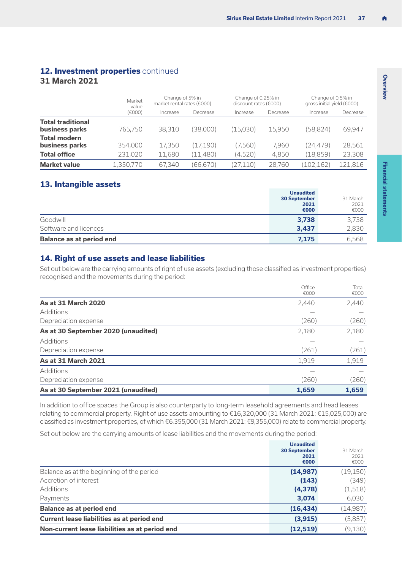#### <span id="page-38-0"></span>**12. Investment properties** continued

#### **31 March 2021**

|                                            | Market<br>value | Change of 5% in<br>market rental rates (€000) |          | Change of 0.25% in<br>discount rates (€000) |          | Change of 0.5% in<br>gross initial yield (€000) |          |
|--------------------------------------------|-----------------|-----------------------------------------------|----------|---------------------------------------------|----------|-------------------------------------------------|----------|
|                                            | (€000)          | Increase                                      | Decrease | Increase                                    | Decrease | Increase                                        | Decrease |
| <b>Total traditional</b><br>business parks | 765,750         | 38,310                                        | (38,000) | (15.030)                                    | 15,950   | (58.824)                                        | 69,947   |
| <b>Total modern</b><br>business parks      | 354,000         | 17,350                                        | (17.190) | (7.560)                                     | 7,960    | (24, 479)                                       | 28,561   |
| <b>Total office</b>                        | 231,020         | 11,680                                        | (11,480) | (4.520)                                     | 4,850    | (18.859)                                        | 23,308   |
| <b>Market value</b>                        | 1,350,770       | 67,340                                        | (66.670) | (27.110)                                    | 28,760   | (102.162)                                       | 121,816  |

#### **13. Intangible assets**

|                                 | <b>Unaudited</b><br><b>30 September</b><br>2021<br>€000 | 31 March<br>2021<br>€000 |
|---------------------------------|---------------------------------------------------------|--------------------------|
| Goodwill                        | 3.738                                                   | 3,738                    |
| Software and licences           | 3.437                                                   | 2,830                    |
| <b>Balance as at period end</b> | 7.175                                                   | 6,568                    |

#### **14. Right of use assets and lease liabilities**

Set out below are the carrying amounts of right of use assets (excluding those classified as investment properties) recognised and the movements during the period:

| Depreciation expense                | (260)          | (260)         |
|-------------------------------------|----------------|---------------|
| Additions                           |                |               |
| As at 31 March 2021                 | 1,919          | 1,919         |
| Depreciation expense                | (261)          | (261)         |
| Additions                           |                |               |
| As at 30 September 2020 (unaudited) | 2,180          | 2,180         |
| Depreciation expense                | (260)          | (260)         |
| Additions                           |                |               |
| As at 31 March 2020                 | 2,440          | 2,440         |
|                                     | Office<br>€000 | Total<br>€000 |

In addition to office spaces the Group is also counterparty to long-term leasehold agreements and head leases relating to commercial property. Right of use assets amounting to €16,320,000 (31 March 2021: €15,025,000) are classified as investment properties, of which €6,355,000 (31 March 2021: €9,355,000) relate to commercial property.

Set out below are the carrying amounts of lease liabilities and the movements during the period:

|                                                | <b>Unaudited</b><br><b>30 September</b><br>2021<br>€000 | 31 March<br>2021<br>€000 |
|------------------------------------------------|---------------------------------------------------------|--------------------------|
| Balance as at the beginning of the period      | (14, 987)                                               | (19, 150)                |
| Accretion of interest                          | (143)                                                   | (349)                    |
| Additions                                      | (4, 378)                                                | (1,518)                  |
| Payments                                       | 3,074                                                   | 6,030                    |
| <b>Balance as at period end</b>                | (16, 434)                                               | (14, 987)                |
| Current lease liabilities as at period end     | (3,915)                                                 | (5,857)                  |
| Non-current lease liabilities as at period end | (12, 519)                                               | (9, 130)                 |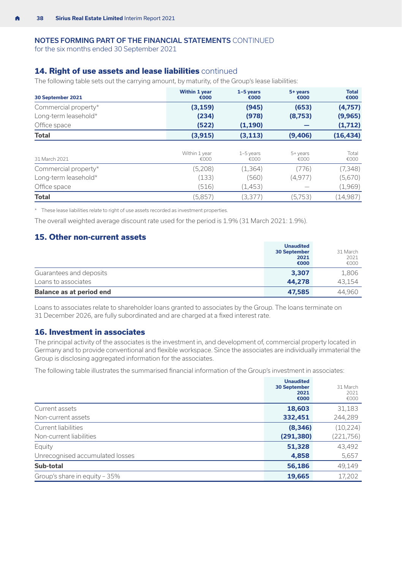<span id="page-39-0"></span>for the six months ended 30 September 2021

#### **14. Right of use assets and lease liabilities** continued

The following table sets out the carrying amount, by maturity, of the Group's lease liabilities:

| 30 September 2021    | <b>Within 1 year</b><br>€000 | $1-5$ years<br>€000 | 5+ years<br>€000 | <b>Total</b><br>€000 |
|----------------------|------------------------------|---------------------|------------------|----------------------|
| Commercial property* | (3, 159)                     | (945)               | (653)            | (4,757)              |
| Long-term leasehold* | (234)                        | (978)               | (8,753)          | (9, 965)             |
| Office space         | (522)                        | (1, 190)            |                  | (1,712)              |
| <b>Total</b>         | (3, 915)                     | (3, 113)            | (9,406)          | (16, 434)            |
|                      |                              |                     |                  |                      |
| 31 March 2021        | Within 1 year<br>€000        | 1-5 years<br>€000   | 5+ years<br>€000 | Total<br>€000        |
| Commercial property* | (5,208)                      | (1, 364)            | (776)            | (7, 348)             |
| Long-term leasehold* | (133)                        | (560)               | (4, 977)         | (5,670)              |
| Office space         | (516)                        | (1,453)             |                  | (1,969)              |
| <b>Total</b>         | (5,857)                      | (3.377)             | (5.753)          | (14, 987)            |

\* These lease liabilities relate to right of use assets recorded as investment properties.

The overall weighted average discount rate used for the period is 1.9% (31 March 2021: 1.9%).

#### **15. Other non-current assets**

|                                 | <b>Unaudited</b><br><b>30 September</b><br>2021<br>€000 | 31 March<br>2021<br>€000 |
|---------------------------------|---------------------------------------------------------|--------------------------|
| Guarantees and deposits         | 3.307                                                   | 1,806                    |
| Loans to associates             | 44.278                                                  | 43,154                   |
| <b>Balance as at period end</b> | 47.585                                                  | 44,960                   |

Loans to associates relate to shareholder loans granted to associates by the Group. The loans terminate on 31 December 2026, are fully subordinated and are charged at a fixed interest rate.

#### **16. Investment in associates**

The principal activity of the associates is the investment in, and development of, commercial property located in Germany and to provide conventional and flexible workspace. Since the associates are individually immaterial the Group is disclosing aggregated information for the associates.

The following table illustrates the summarised financial information of the Group's investment in associates:

|                                 | <b>Unaudited</b><br><b>30 September</b><br>2021<br>€000 | 31 March<br>2021<br>€000 |
|---------------------------------|---------------------------------------------------------|--------------------------|
| Current assets                  | 18,603                                                  | 31,183                   |
| Non-current assets              | 332,451                                                 | 244,289                  |
| Current liabilities             | (8, 346)                                                | (10, 224)                |
| Non-current liabilities         | (291, 380)                                              | (221, 756)               |
| Equity                          | 51,328                                                  | 43,492                   |
| Unrecognised accumulated losses | 4,858                                                   | 5,657                    |
| Sub-total                       | 56,186                                                  | 49,149                   |
| Group's share in equity - 35%   | 19.665                                                  | 17,202                   |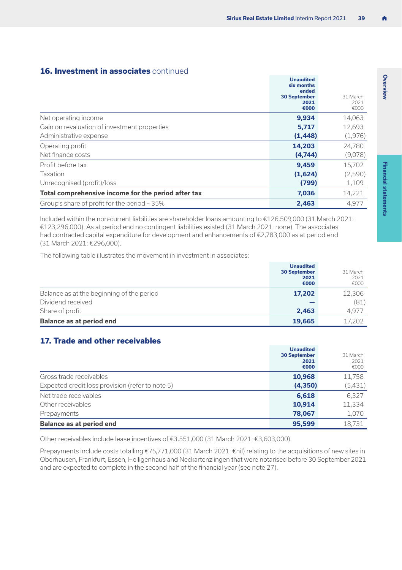#### <span id="page-40-0"></span>**16. Investment in associates** continued

|                                                     | <b>Unaudited</b><br>six months<br>ended<br><b>30 September</b><br>2021<br>€000 | 31 March<br>2021<br>€000 |
|-----------------------------------------------------|--------------------------------------------------------------------------------|--------------------------|
| Net operating income                                | 9.934                                                                          | 14,063                   |
| Gain on revaluation of investment properties        | 5,717                                                                          | 12,693                   |
| Administrative expense                              | (1, 448)                                                                       | (1,976)                  |
| Operating profit                                    | 14.203                                                                         | 24,780                   |
| Net finance costs                                   | (4,744)                                                                        | (9,078)                  |
| Profit before tax                                   | 9,459                                                                          | 15,702                   |
| Taxation                                            | (1,624)                                                                        | (2,590)                  |
| Unrecognised (profit)/loss                          | (799)                                                                          | 1,109                    |
| Total comprehensive income for the period after tax | 7,036                                                                          | 14,221                   |
| Group's share of profit for the period - 35%        | 2.463                                                                          | 4.977                    |

Included within the non-current liabilities are shareholder loans amounting to €126,509,000 (31 March 2021: €123,296,000). As at period end no contingent liabilities existed (31 March 2021: none). The associates had contracted capital expenditure for development and enhancements of €2,783,000 as at period end (31 March 2021: €296,000).

The following table illustrates the movement in investment in associates:

|                                           | <b>Unaudited</b>    |          |
|-------------------------------------------|---------------------|----------|
|                                           | <b>30 September</b> | 31 March |
|                                           | 2021                | 2021     |
|                                           | €000                | €000     |
| Balance as at the beginning of the period | 17,202              | 12,306   |
| Dividend received                         |                     | (81)     |
| Share of profit                           | 2.463               | 4.977    |
| <b>Balance as at period end</b>           | 19.665              | 17,202   |

#### **17. Trade and other receivables**

|                                                  | <b>Unaudited</b><br><b>30 September</b><br>2021<br>€000 | 31 March<br>2021<br>€000 |
|--------------------------------------------------|---------------------------------------------------------|--------------------------|
| Gross trade receivables                          | 10.968                                                  | 11,758                   |
| Expected credit loss provision (refer to note 5) | (4, 350)                                                | (5,431)                  |
| Net trade receivables                            | 6,618                                                   | 6,327                    |
| Other receivables                                | 10.914                                                  | 11,334                   |
| Prepayments                                      | 78.067                                                  | 1,070                    |
| <b>Balance as at period end</b>                  | 95.599                                                  | 18,731                   |

Other receivables include lease incentives of €3,551,000 (31 March 2021: €3,603,000).

Prepayments include costs totalling €75,771,000 (31 March 2021: €nil) relating to the acquisitions of new sites in Oberhausen, Frankfurt, Essen, Heiligenhaus and Neckartenzlingen that were notarised before 30 September 2021 and are expected to complete in the second half of the financial year (see [note 27\)](#page-49-0).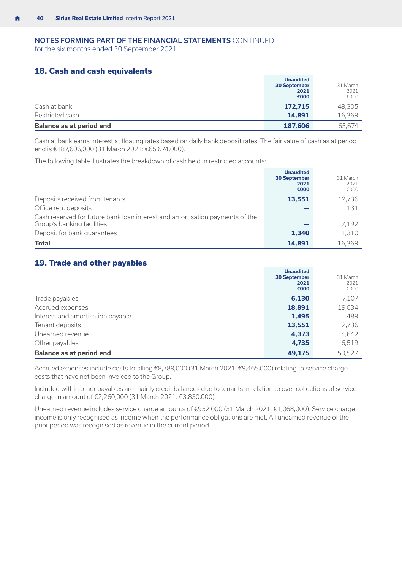<span id="page-41-0"></span>for the six months ended 30 September 2021

#### **18. Cash and cash equivalents**

|                                 | <b>Unaudited</b> |          |
|---------------------------------|------------------|----------|
|                                 | 30 September     | 31 March |
|                                 | 2021             | 2021     |
|                                 | €000             | €000     |
| Cash at bank                    | 172,715          | 49,305   |
| Restricted cash                 | 14.891           | 16,369   |
| <b>Balance as at period end</b> | 187,606          | 65,674   |

Cash at bank earns interest at floating rates based on daily bank deposit rates. The fair value of cash as at period end is €187,606,000 (31 March 2021: €65,674,000).

The following table illustrates the breakdown of cash held in restricted accounts:

|                                                                                                            | <b>Unaudited</b><br><b>30 September</b><br>2021<br>€000 | 31 March<br>2021<br>€000 |
|------------------------------------------------------------------------------------------------------------|---------------------------------------------------------|--------------------------|
| Deposits received from tenants                                                                             | 13,551                                                  | 12,736                   |
| Office rent deposits                                                                                       |                                                         | 131                      |
| Cash reserved for future bank loan interest and amortisation payments of the<br>Group's banking facilities |                                                         | 2,192                    |
| Deposit for bank quarantees                                                                                | 1.340                                                   | 1,310                    |
| <b>Total</b>                                                                                               | 14.891                                                  | 16,369                   |

#### **19. Trade and other payables**

|                                   | <b>Unaudited</b><br><b>30 September</b><br>2021<br>€000 | 31 March<br>2021<br>€000 |
|-----------------------------------|---------------------------------------------------------|--------------------------|
| Trade payables                    | 6.130                                                   | 7.107                    |
| Accrued expenses                  | 18,891                                                  | 19,034                   |
| Interest and amortisation payable | 1.495                                                   | 489                      |
| Tenant deposits                   | 13,551                                                  | 12,736                   |
| Unearned revenue                  | 4,373                                                   | 4,642                    |
| Other payables                    | 4,735                                                   | 6,519                    |
| <b>Balance as at period end</b>   | 49.175                                                  | 50,527                   |

Accrued expenses include costs totalling €8,789,000 (31 March 2021: €9,465,000) relating to service charge costs that have not been invoiced to the Group.

Included within other payables are mainly credit balances due to tenants in relation to over collections of service charge in amount of €2,260,000 (31 March 2021: €3,830,000).

Unearned revenue includes service charge amounts of €952,000 (31 March 2021: €1,068,000). Service charge income is only recognised as income when the performance obligations are met. All unearned revenue of the prior period was recognised as revenue in the current period.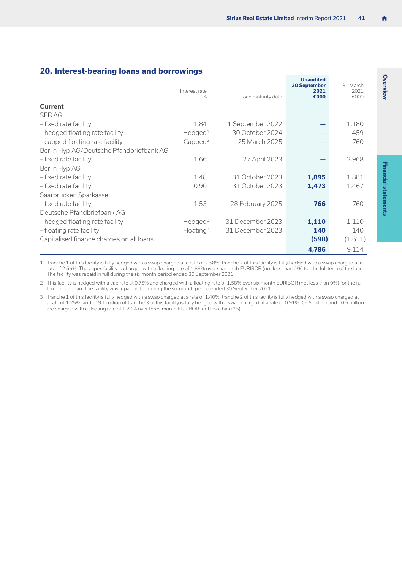#### <span id="page-42-0"></span>**20. Interest-bearing loans and borrowings**

|                                          | Interest rate<br>$\%$  | Loan maturity date | <b>Unaudited</b><br><b>30 September</b><br>2021<br>€000 | 31 March<br>2021<br>€000 |
|------------------------------------------|------------------------|--------------------|---------------------------------------------------------|--------------------------|
| Current                                  |                        |                    |                                                         |                          |
| SFB AG                                   |                        |                    |                                                         |                          |
| - fixed rate facility                    | 1.84                   | 1 September 2022   |                                                         | 1,180                    |
| - hedged floating rate facility          | $H$ edged <sup>1</sup> | 30 October 2024    |                                                         | 459                      |
| - capped floating rate facility          | Capped <sup>2</sup>    | 25 March 2025      |                                                         | 760                      |
| Berlin Hyp AG/Deutsche Pfandbriefbank AG |                        |                    |                                                         |                          |
| - fixed rate facility                    | 1.66                   | 27 April 2023      |                                                         | 2,968                    |
| Berlin Hyp AG                            |                        |                    |                                                         |                          |
| - fixed rate facility                    | 1.48                   | 31 October 2023    | 1,895                                                   | 1,881                    |
| - fixed rate facility                    | 0.90                   | 31 October 2023    | 1,473                                                   | 1,467                    |
| Saarbrücken Sparkasse                    |                        |                    |                                                         |                          |
| - fixed rate facility                    | 1.53                   | 28 February 2025   | 766                                                     | 760                      |
| Deutsche Pfandbriefbank AG               |                        |                    |                                                         |                          |
| - hedged floating rate facility          | Hedged <sup>3</sup>    | 31 December 2023   | 1,110                                                   | 1,110                    |
| - floating rate facility                 | Floating <sup>3</sup>  | 31 December 2023   | 140                                                     | 140                      |
| Capitalised finance charges on all loans |                        |                    | (598)                                                   | (1,611)                  |
|                                          |                        |                    | 4,786                                                   | 9,114                    |

1 Tranche 1 of this facility is fully hedged with a swap charged at a rate of 2.58%; tranche 2 of this facility is fully hedged with a swap charged at a rate of 2.56%. The capex facility is charged with a floating rate of 1.88% over six month EURIBOR (not less than 0%) for the full term of the loan. The facility was repaid in full during the six month period ended 30 September 2021.

2 This facility is hedged with a cap rate at 0.75% and charged with a floating rate of 1.58% over six month EURIBOR (not less than 0%) for the full term of the loan. The facility was repaid in full during the six month period ended 30 September 2021.

3 Tranche 1 of this facility is fully hedged with a swap charged at a rate of 1.40%; tranche 2 of this facility is fully hedged with a swap charged at<br>a rate of 1.25%; and €1.9.1 million of tranche 3 of this facility is f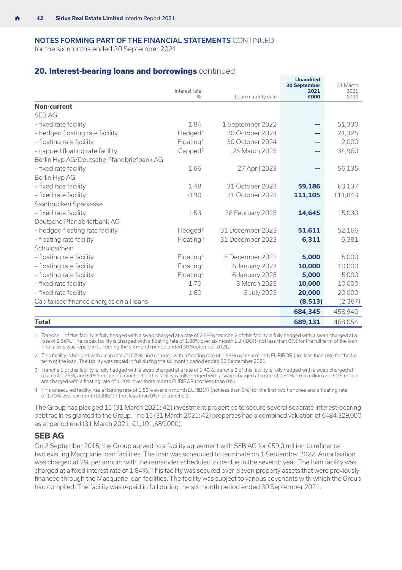for the six months ended 30 September 2021

#### **20. Interest-bearing loans and borrowings** continued

|                                          | Interest rate<br>$\frac{0}{n}$ | Loan maturity date | <b>Unaudited</b><br><b>30 September</b><br>2021<br>€000 | 31 March<br>2021<br>€000 |
|------------------------------------------|--------------------------------|--------------------|---------------------------------------------------------|--------------------------|
| Non-current                              |                                |                    |                                                         |                          |
| SEB AG                                   |                                |                    |                                                         |                          |
| - fixed rate facility                    | 1.84                           | 1 September 2022   |                                                         | 51,330                   |
| - hedged floating rate facility          | Hedged <sup>1</sup>            | 30 October 2024    |                                                         | 21,325                   |
| - floating rate facility                 | Floating <sup>1</sup>          | 30 October 2024    |                                                         | 2,000                    |
| - capped floating rate facility          | Capped <sup>2</sup>            | 25 March 2025      |                                                         | 34,960                   |
| Berlin Hyp AG/Deutsche Pfandbriefbank AG |                                |                    |                                                         |                          |
| - fixed rate facility                    | 1.66                           | 27 April 2023      |                                                         | 56,135                   |
| Berlin Hyp AG                            |                                |                    |                                                         |                          |
| - fixed rate facility                    | 1.48                           | 31 October 2023    | 59,186                                                  | 60,137                   |
| - fixed rate facility                    | 0.90                           | 31 October 2023    | 111,105                                                 | 111,843                  |
| Saarbrücken Sparkasse                    |                                |                    |                                                         |                          |
| - fixed rate facility                    | 1.53                           | 28 February 2025   | 14,645                                                  | 15,030                   |
| Deutsche Pfandbriefbank AG               |                                |                    |                                                         |                          |
| - hedged floating rate facility          | Hedged <sup>3</sup>            | 31 December 2023   | 51,611                                                  | 52,166                   |
| - floating rate facility                 | Floating <sup>3</sup>          | 31 December 2023   | 6,311                                                   | 6,381                    |
| Schuldschein                             |                                |                    |                                                         |                          |
| - floating rate facility                 | Floating <sup>4</sup>          | 5 December 2022    | 5.000                                                   | 5,000                    |
| - floating rate facility                 | Floating <sup>4</sup>          | 6 January 2023     | 10,000                                                  | 10,000                   |
| - floating rate facility                 | Floating <sup>4</sup>          | 6 January 2025     | 5,000                                                   | 5,000                    |
| - fixed rate facility                    | 1.70                           | 3 March 2025       | 10,000                                                  | 10,000                   |
| - fixed rate facility                    | 1.60                           | 3 July 2023        | 20,000                                                  | 20,000                   |
| Capitalised finance charges on all loans |                                |                    | (8, 513)                                                | (2, 367)                 |
|                                          |                                |                    | 684,345                                                 | 458,940                  |
| <b>Total</b>                             |                                |                    | 689,131                                                 | 468,054                  |

1 Tranche 1 of this facility is fully hedged with a swap charged at a rate of 2.58%; tranche 2 of this facility is fully hedged with a swap charged at a rate of 2.56%. The capex facility is charged with a floating rate of 1.88% over six month EURIBOR (not less than 0%) for the full term of the loan. The facility was repaid in full during the six month period ended 30 September 2021.

2 This facility is hedged with a cap rate at 0.75% and charged with a floating rate of 1.58% over six month EURIBOR (not less than 0%) for the full term of the loan. The facility was repaid in full during the six month period ended 30 September 2021.

3 Tranche 1 of this facility is fully hedged with a swap charged at a rate of 1.40%; tranche 2 of this facility is fully hedged with a swap charged at a rate of 1.25%; and €19.1 million of tranche 3 of this facility is fully hedged with a swap charged at a rate of 0.91%. €6.5 million and €0.5 million are charged with a floating rate of 1.20% over three month EURIBOR (not less than 0%).

4 This unsecured facility has a floating rate of 1.50% over six month EURIBOR (not less than 0%) for the first two tranches and a floating rate of 1.70% over six month EURIBOR (not less than 0%) for tranche 3.

The Group has pledged 15 (31 March 2021: 42) investment properties to secure several separate interest-bearing debt facilities granted to the Group. The 15 (31 March 2021: 42) properties had a combined valuation of €484,329,000 as at period end (31 March 2021: €1,101,689,000).

#### **SEB AG**

On 2 September 2015, the Group agreed to a facility agreement with SEB AG for €59.0 million to refinance two existing Macquarie loan facilities. The loan was scheduled to terminate on 1 September 2022. Amortisation was charged at 2% per annum with the remainder scheduled to be due in the seventh year. The loan facility was charged at a fixed interest rate of 1.84%. This facility was secured over eleven property assets that were previously financed through the Macquarie loan facilities. The facility was subject to various covenants with which the Group had complied. The facility was repaid in full during the six month period ended 30 September 2021.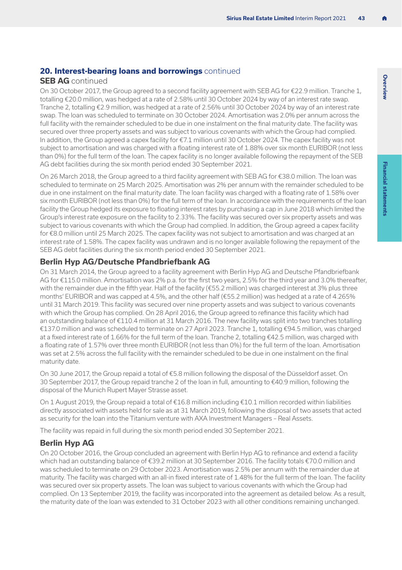#### **20. Interest-bearing loans and borrowings** continued

#### **SEB AG** continued

On 30 October 2017, the Group agreed to a second facility agreement with SEB AG for €22.9 million. Tranche 1, totalling €20.0 million, was hedged at a rate of 2.58% until 30 October 2024 by way of an interest rate swap. Tranche 2, totalling €2.9 million, was hedged at a rate of 2.56% until 30 October 2024 by way of an interest rate swap. The loan was scheduled to terminate on 30 October 2024. Amortisation was 2.0% per annum across the full facility with the remainder scheduled to be due in one instalment on the final maturity date. The facility was secured over three property assets and was subject to various covenants with which the Group had complied. In addition, the Group agreed a capex facility for €7.1 million until 30 October 2024. The capex facility was not subject to amortisation and was charged with a floating interest rate of 1.88% over six month EURIBOR (not less than 0%) for the full term of the loan. The capex facility is no longer available following the repayment of the SEB AG debt facilities during the six month period ended 30 September 2021.

On 26 March 2018, the Group agreed to a third facility agreement with SEB AG for €38.0 million. The loan was scheduled to terminate on 25 March 2025. Amortisation was 2% per annum with the remainder scheduled to be due in one instalment on the final maturity date. The loan facility was charged with a floating rate of 1.58% over six month EURIBOR (not less than 0%) for the full term of the loan. In accordance with the requirements of the loan facility the Group hedged its exposure to floating interest rates by purchasing a cap in June 2018 which limited the Group's interest rate exposure on the facility to 2.33%. The facility was secured over six property assets and was subject to various covenants with which the Group had complied. In addition, the Group agreed a capex facility for €8.0 million until 25 March 2025. The capex facility was not subject to amortisation and was charged at an interest rate of 1.58%. The capex facility was undrawn and is no longer available following the repayment of the SEB AG debt facilities during the six month period ended 30 September 2021.

#### **Berlin Hyp AG/Deutsche Pfandbriefbank AG**

On 31 March 2014, the Group agreed to a facility agreement with Berlin Hyp AG and Deutsche Pfandbriefbank AG for €115.0 million. Amortisation was 2% p.a. for the first two years, 2.5% for the third year and 3.0% thereafter, with the remainder due in the fifth year. Half of the facility (€55.2 million) was charged interest at 3% plus three months' EURIBOR and was capped at 4.5%, and the other half (€55.2 million) was hedged at a rate of 4.265% until 31 March 2019. This facility was secured over nine property assets and was subject to various covenants with which the Group has complied. On 28 April 2016, the Group agreed to refinance this facility which had an outstanding balance of €110.4 million at 31 March 2016. The new facility was split into two tranches totalling €137.0 million and was scheduled to terminate on 27 April 2023. Tranche 1, totalling €94.5 million, was charged at a fixed interest rate of 1.66% for the full term of the loan. Tranche 2, totalling €42.5 million, was charged with a floating rate of 1.57% over three month EURIBOR (not less than 0%) for the full term of the loan. Amortisation was set at 2.5% across the full facility with the remainder scheduled to be due in one instalment on the final maturity date.

On 30 June 2017, the Group repaid a total of €5.8 million following the disposal of the Düsseldorf asset. On 30 September 2017, the Group repaid tranche 2 of the loan in full, amounting to €40.9 million, following the disposal of the Munich Rupert Mayer Strasse asset.

On 1 August 2019, the Group repaid a total of €16.8 million including €10.1 million recorded within liabilities directly associated with assets held for sale as at 31 March 2019, following the disposal of two assets that acted as security for the loan into the Titanium venture with AXA Investment Managers – Real Assets.

The facility was repaid in full during the six month period ended 30 September 2021.

#### **Berlin Hyp AG**

On 20 October 2016, the Group concluded an agreement with Berlin Hyp AG to refinance and extend a facility which had an outstanding balance of €39.2 million at 30 September 2016. The facility totals €70.0 million and was scheduled to terminate on 29 October 2023. Amortisation was 2.5% per annum with the remainder due at maturity. The facility was charged with an all-in fixed interest rate of 1.48% for the full term of the loan. The facility was secured over six property assets. The loan was subject to various covenants with which the Group had complied. On 13 September 2019, the facility was incorporated into the agreement as detailed below. As a result, the maturity date of the loan was extended to 31 October 2023 with all other conditions remaining unchanged.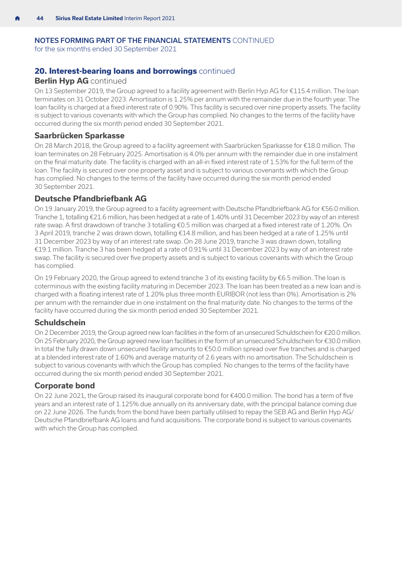for the six months ended 30 September 2021

#### **20. Interest-bearing loans and borrowings** continued

#### **Berlin Hyp AG** continued

On 13 September 2019, the Group agreed to a facility agreement with Berlin Hyp AG for €115.4 million. The loan terminates on 31 October 2023. Amortisation is 1.25% per annum with the remainder due in the fourth year. The loan facility is charged at a fixed interest rate of 0.90%. This facility is secured over nine property assets. The facility is subject to various covenants with which the Group has complied. No changes to the terms of the facility have occurred during the six month period ended 30 September 2021.

#### **Saarbrücken Sparkasse**

On 28 March 2018, the Group agreed to a facility agreement with Saarbrücken Sparkasse for €18.0 million. The loan terminates on 28 February 2025. Amortisation is 4.0% per annum with the remainder due in one instalment on the final maturity date. The facility is charged with an all-in fixed interest rate of 1.53% for the full term of the loan. The facility is secured over one property asset and is subject to various covenants with which the Group has complied. No changes to the terms of the facility have occurred during the six month period ended 30 September 2021.

#### **Deutsche Pfandbriefbank AG**

On 19 January 2019, the Group agreed to a facility agreement with Deutsche Pfandbriefbank AG for €56.0 million. Tranche 1, totalling €21.6 million, has been hedged at a rate of 1.40% until 31 December 2023 by way of an interest rate swap. A first drawdown of tranche 3 totalling €0.5 million was charged at a fixed interest rate of 1.20%. On 3 April 2019, tranche 2 was drawn down, totalling €14.8 million, and has been hedged at a rate of 1.25% until 31 December 2023 by way of an interest rate swap. On 28 June 2019, tranche 3 was drawn down, totalling €19.1 million. Tranche 3 has been hedged at a rate of 0.91% until 31 December 2023 by way of an interest rate swap. The facility is secured over five property assets and is subject to various covenants with which the Group has complied.

On 19 February 2020, the Group agreed to extend tranche 3 of its existing facility by €6.5 million. The loan is coterminous with the existing facility maturing in December 2023. The loan has been treated as a new loan and is charged with a floating interest rate of 1.20% plus three month EURIBOR (not less than 0%). Amortisation is 2% per annum with the remainder due in one instalment on the final maturity date. No changes to the terms of the facility have occurred during the six month period ended 30 September 2021.

#### **Schuldschein**

On 2 December 2019, the Group agreed new loan facilities in the form of an unsecured Schuldschein for €20.0 million. On 25 February 2020, the Group agreed new loan facilities in the form of an unsecured Schuldschein for €30.0 million. In total the fully drawn down unsecured facility amounts to €50.0 million spread over five tranches and is charged at a blended interest rate of 1.60% and average maturity of 2.6 years with no amortisation. The Schuldschein is subject to various covenants with which the Group has complied. No changes to the terms of the facility have occurred during the six month period ended 30 September 2021.

#### **Corporate bond**

On 22 June 2021, the Group raised its inaugural corporate bond for €400.0 million. The bond has a term of five years and an interest rate of 1.125% due annually on its anniversary date, with the principal balance coming due on 22 June 2026. The funds from the bond have been partially utilised to repay the SEB AG and Berlin Hyp AG/ Deutsche Pfandbriefbank AG loans and fund acquisitions. The corporate bond is subject to various covenants with which the Group has complied.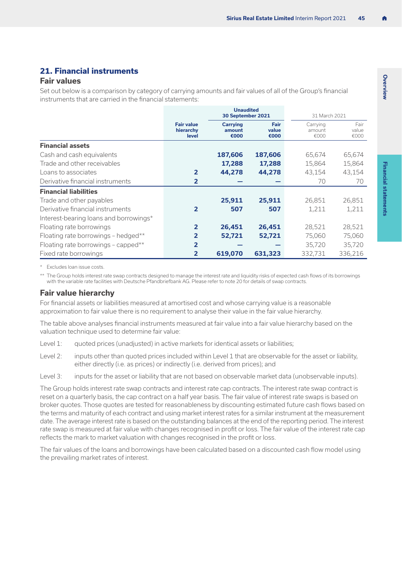#### **21. Financial instruments**

#### **Fair values**

Set out below is a comparison by category of carrying amounts and fair values of all of the Group's financial instruments that are carried in the financial statements:

|                                        |                                         | <b>Unaudited</b><br>30 September 2021 |                       | 31 March 2021              |                       |
|----------------------------------------|-----------------------------------------|---------------------------------------|-----------------------|----------------------------|-----------------------|
|                                        | <b>Fair value</b><br>hierarchy<br>level | <b>Carrying</b><br>amount<br>€000     | Fair<br>value<br>€000 | Carrying<br>amount<br>€000 | Fair<br>value<br>€000 |
| <b>Financial assets</b>                |                                         |                                       |                       |                            |                       |
| Cash and cash equivalents              |                                         | 187,606                               | 187,606               | 65,674                     | 65,674                |
| Trade and other receivables            |                                         | 17,288                                | 17,288                | 15,864                     | 15,864                |
| Loans to associates                    | $\overline{2}$                          | 44.278                                | 44,278                | 43,154                     | 43,154                |
| Derivative financial instruments       | $\overline{2}$                          |                                       |                       | 70                         | 70                    |
| <b>Financial liabilities</b>           |                                         |                                       |                       |                            |                       |
| Trade and other payables               |                                         | 25,911                                | 25,911                | 26,851                     | 26,851                |
| Derivative financial instruments       | $\overline{2}$                          | 507                                   | 507                   | 1,211                      | 1,211                 |
| Interest-bearing loans and borrowings* |                                         |                                       |                       |                            |                       |
| Floating rate borrowings               | $\overline{2}$                          | 26,451                                | 26,451                | 28,521                     | 28,521                |
| Floating rate borrowings - hedged**    | $\overline{2}$                          | 52,721                                | 52,721                | 75,060                     | 75,060                |
| Floating rate borrowings - capped**    | $\overline{2}$                          |                                       |                       | 35,720                     | 35,720                |
| Fixed rate borrowings                  | 2                                       | 619,070                               | 631,323               | 332.731                    | 336,216               |

\* Excludes loan issue costs.

\*\* The Group holds interest rate swap contracts designed to manage the interest rate and liquidity risks of expected cash flows of its borrowings with the variable rate facilities with Deutsche Pfandbriefbank AG. Please refer to [note 20](#page-42-0) for details of swap contracts.

#### **Fair value hierarchy**

For financial assets or liabilities measured at amortised cost and whose carrying value is a reasonable approximation to fair value there is no requirement to analyse their value in the fair value hierarchy.

The table above analyses financial instruments measured at fair value into a fair value hierarchy based on the valuation technique used to determine fair value:

- Level 1: quoted prices (unadjusted) in active markets for identical assets or liabilities;
- Level 2: inputs other than quoted prices included within Level 1 that are observable for the asset or liability, either directly (i.e. as prices) or indirectly (i.e. derived from prices); and
- Level 3: inputs for the asset or liability that are not based on observable market data (unobservable inputs).

The Group holds interest rate swap contracts and interest rate cap contracts. The interest rate swap contract is reset on a quarterly basis, the cap contract on a half year basis. The fair value of interest rate swaps is based on broker quotes. Those quotes are tested for reasonableness by discounting estimated future cash flows based on the terms and maturity of each contract and using market interest rates for a similar instrument at the measurement date. The average interest rate is based on the outstanding balances at the end of the reporting period. The interest rate swap is measured at fair value with changes recognised in profit or loss. The fair value of the interest rate cap reflects the mark to market valuation with changes recognised in the profit or loss.

The fair values of the loans and borrowings have been calculated based on a discounted cash flow model using the prevailing market rates of interest.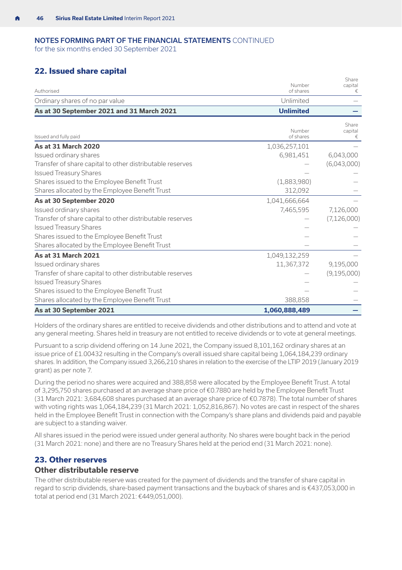<span id="page-47-0"></span>for the six months ended 30 September 2021

#### **22. Issued share capital**

|                                                           |                     | Share         |
|-----------------------------------------------------------|---------------------|---------------|
| Authorised                                                | Number<br>of shares | capital<br>€  |
| Ordinary shares of no par value                           | Unlimited           |               |
| As at 30 September 2021 and 31 March 2021                 | <b>Unlimited</b>    |               |
|                                                           |                     | Share         |
| Issued and fully paid                                     | Number<br>of shares | capital       |
| As at 31 March 2020                                       | 1,036,257,101       |               |
| Issued ordinary shares                                    | 6,981,451           | 6,043,000     |
| Transfer of share capital to other distributable reserves |                     | (6,043,000)   |
| <b>Issued Treasury Shares</b>                             |                     |               |
| Shares issued to the Employee Benefit Trust               | (1,883,980)         |               |
| Shares allocated by the Employee Benefit Trust            | 312,092             |               |
| As at 30 September 2020                                   | 1,041,666,664       |               |
| Issued ordinary shares                                    | 7,465,595           | 7,126,000     |
| Transfer of share capital to other distributable reserves |                     | (7, 126, 000) |
| <b>Issued Treasury Shares</b>                             |                     |               |
| Shares issued to the Employee Benefit Trust               |                     |               |
| Shares allocated by the Employee Benefit Trust            |                     |               |
| As at 31 March 2021                                       | 1,049,132,259       |               |
| Issued ordinary shares                                    | 11,367,372          | 9,195,000     |
| Transfer of share capital to other distributable reserves |                     | (9, 195, 000) |
| <b>Issued Treasury Shares</b>                             |                     |               |
| Shares issued to the Employee Benefit Trust               |                     |               |
| Shares allocated by the Employee Benefit Trust            | 388,858             |               |

**As at 30 September 2021 1,060,888,489 —**

Holders of the ordinary shares are entitled to receive dividends and other distributions and to attend and vote at any general meeting. Shares held in treasury are not entitled to receive dividends or to vote at general meetings.

Pursuant to a scrip dividend offering on 14 June 2021, the Company issued 8,101,162 ordinary shares at an issue price of £1.00432 resulting in the Company's overall issued share capital being 1,064,184,239 ordinary shares. In addition, the Company issued 3,266,210 shares in relation to the exercise of the LTIP 2019 (January 2019 grant) as per [note 7.](#page-25-0)

During the period no shares were acquired and 388,858 were allocated by the Employee Benefit Trust. A total of 3,295,750 shares purchased at an average share price of €0.7880 are held by the Employee Benefit Trust (31 March 2021: 3,684,608 shares purchased at an average share price of €0.7878). The total number of shares with voting rights was 1,064,184,239 (31 March 2021: 1,052,816,867). No votes are cast in respect of the shares held in the Employee Benefit Trust in connection with the Company's share plans and dividends paid and payable are subject to a standing waiver.

All shares issued in the period were issued under general authority. No shares were bought back in the period (31 March 2021: none) and there are no Treasury Shares held at the period end (31 March 2021: none).

#### **23. Other reserves**

#### **Other distributable reserve**

The other distributable reserve was created for the payment of dividends and the transfer of share capital in regard to scrip dividends, share-based payment transactions and the buyback of shares and is €437,053,000 in total at period end (31 March 2021: €449,051,000).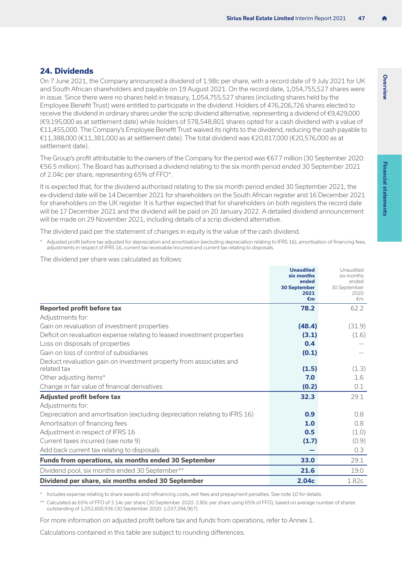#### <span id="page-48-0"></span>**24. Dividends**

On 7 June 2021, the Company announced a dividend of 1.98c per share, with a record date of 9 July 2021 for UK and South African shareholders and payable on 19 August 2021. On the record date, 1,054,755,527 shares were in issue. Since there were no shares held in treasury, 1,054,755,527 shares (including shares held by the Employee Benefit Trust) were entitled to participate in the dividend. Holders of 476,206,726 shares elected to receive the dividend in ordinary shares under the scrip dividend alternative, representing a dividend of €9,429,000 (€9,195,000 as at settlement date) while holders of 578,548,801 shares opted for a cash dividend with a value of €11,455,000. The Company's Employee Benefit Trust waived its rights to the dividend, reducing the cash payable to €11,388,000 (€11,381,000 as at settlement date). The total dividend was €20,817,000 (€20,576,000 as at settlement date).

The Group's profit attributable to the owners of the Company for the period was €67.7 million (30 September 2020: €56.5 million). The Board has authorised a dividend relating to the six month period ended 30 September 2021 of 2.04c per share, representing 65% of FFO\*.

It is expected that, for the dividend authorised relating to the six month period ended 30 September 2021, the ex-dividend date will be 14 December 2021 for shareholders on the South African register and 16 December 2021 for shareholders on the UK register. It is further expected that for shareholders on both registers the record date will be 17 December 2021 and the dividend will be paid on 20 January 2022. A detailed dividend announcement will be made on 29 November 2021, including details of a scrip dividend alternative.

The dividend paid per the statement of changes in equity is the value of the cash dividend.

\* Adjusted profit before tax adjusted for depreciation and amortisation (excluding depreciation relating to IFRS 16), amortisation of financing fees, adjustments in respect of IFRS 16, current tax receivable/incurred and current tax relating to disposals.

The dividend per share was calculated as follows:

|                                                                            | <b>Unaudited</b><br>six months | Unaudited<br>six months |
|----------------------------------------------------------------------------|--------------------------------|-------------------------|
|                                                                            | ended<br><b>30 September</b>   | ended<br>30 September   |
|                                                                            | 2021                           | 2020                    |
|                                                                            | €m                             | €m                      |
| Reported profit before tax                                                 | 78.2                           | 62.2                    |
| Adjustments for:                                                           |                                |                         |
| Gain on revaluation of investment properties                               | (48.4)                         | (31.9)                  |
| Deficit on revaluation expense relating to leased investment properties    | (3.1)                          | (1.6)                   |
| Loss on disposals of properties                                            | 0.4                            |                         |
| Gain on loss of control of subsidiaries                                    | (0.1)                          |                         |
| Deduct revaluation gain on investment property from associates and         |                                |                         |
| related tax                                                                | (1.5)                          | (1.3)                   |
| Other adjusting items*                                                     | 7.0                            | 1.6                     |
| Change in fair value of financial derivatives                              | (0.2)                          | 0.1                     |
| Adjusted profit before tax                                                 | 32.3                           | 29.1                    |
| Adjustments for:                                                           |                                |                         |
| Depreciation and amortisation (excluding depreciation relating to IFRS 16) | 0.9                            | 0.8                     |
| Amortisation of financing fees                                             | 1.0                            | 0.8                     |
| Adjustment in respect of IFRS 16                                           | 0.5                            | (1.0)                   |
| Current taxes incurred (see note 9)                                        | (1.7)                          | (0.9)                   |
| Add back current tax relating to disposals                                 |                                | 0.3                     |
| Funds from operations, six months ended 30 September                       | 33.0                           | 29.1                    |
| Dividend pool, six months ended 30 September**                             | 21.6                           | 19.0                    |
| Dividend per share, six months ended 30 September                          | 2.04c                          | 1.82c                   |

\* Includes expense relating to share awards and refinancing costs, exit fees and prepayment penalties. See [note 10](#page-31-0) for details.

\*\* Calculated as 65% of FFO of 3.14c per share (30 September 2020: 2.80c per share using 65% of FFO), based on average number of shares outstanding of 1,052,600,936 (30 September 2020: 1,037,394,967).

For more information on adjusted profit before tax and funds from operations, refer to Annex 1.

Calculations contained in this table are subject to rounding differences.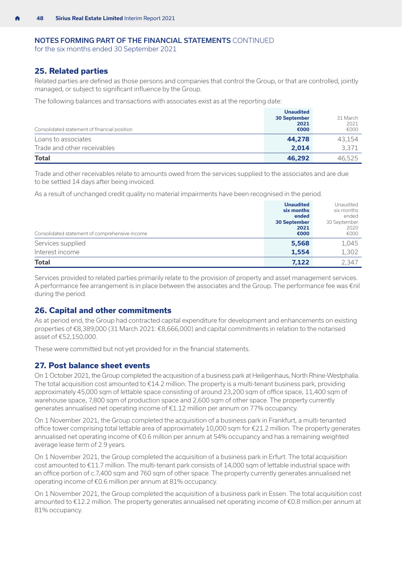<span id="page-49-0"></span>for the six months ended 30 September 2021

#### **25. Related parties**

Related parties are defined as those persons and companies that control the Group, or that are controlled, jointly managed, or subject to significant influence by the Group.

The following balances and transactions with associates exist as at the reporting date:

|                                              | <b>Unaudited</b>    |          |
|----------------------------------------------|---------------------|----------|
|                                              | <b>30 September</b> | 31 March |
|                                              | 2021                | 2021     |
| Consolidated statement of financial position | €000                | €000     |
| Loans to associates                          | 44.278              | 43,154   |
| Trade and other receivables                  | 2.014               | 3,371    |
| Total                                        | 46.292              | 46,525   |

Trade and other receivables relate to amounts owed from the services supplied to the associates and are due to be settled 14 days after being invoiced.

As a result of unchanged credit quality no material impairments have been recognised in the period.

|                                                | <b>Unaudited</b><br>six months | Unaudited<br>six months |
|------------------------------------------------|--------------------------------|-------------------------|
|                                                | ended                          | ended                   |
|                                                | <b>30 September</b>            | 30 September            |
|                                                | 2021                           | 2020                    |
| Consolidated statement of comprehensive income | €000                           | €000                    |
| Services supplied                              | 5,568                          | 1,045                   |
| Interest income                                | 1.554                          | 1,302                   |
| Total                                          | 7,122                          | 2.347                   |

Services provided to related parties primarily relate to the provision of property and asset management services. A performance fee arrangement is in place between the associates and the Group. The performance fee was €nil during the period.

#### **26. Capital and other commitments**

As at period end, the Group had contracted capital expenditure for development and enhancements on existing properties of €8,389,000 (31 March 2021: €8,666,000) and capital commitments in relation to the notarised asset of €52,150,000.

These were committed but not yet provided for in the financial statements.

#### **27. Post balance sheet events**

On 1 October 2021, the Group completed the acquisition of a business park at Heiligenhaus, North Rhine-Westphalia. The total acquisition cost amounted to €14.2 million. The property is a multi-tenant business park, providing approximately 45,000 sqm of lettable space consisting of around 23,200 sqm of office space, 11,400 sqm of warehouse space, 7,800 sqm of production space and 2,600 sqm of other space. The property currently generates annualised net operating income of €1.12 million per annum on 77% occupancy.

On 1 November 2021, the Group completed the acquisition of a business park in Frankfurt, a multi-tenanted office tower comprising total lettable area of approximately 10,000 sqm for €21.2 million. The property generates annualised net operating income of €0.6 million per annum at 54% occupancy and has a remaining weighted average lease term of 2.9 years.

On 1 November 2021, the Group completed the acquisition of a business park in Erfurt. The total acquisition cost amounted to €11.7 million. The multi-tenant park consists of 14,000 sqm of lettable industrial space with an office portion of c.7,400 sqm and 760 sqm of other space. The property currently generates annualised net operating income of €0.6 million per annum at 81% occupancy.

On 1 November 2021, the Group completed the acquisition of a business park in Essen. The total acquisition cost amounted to €12.2 million. The property generates annualised net operating income of €0.8 million per annum at 81% occupancy.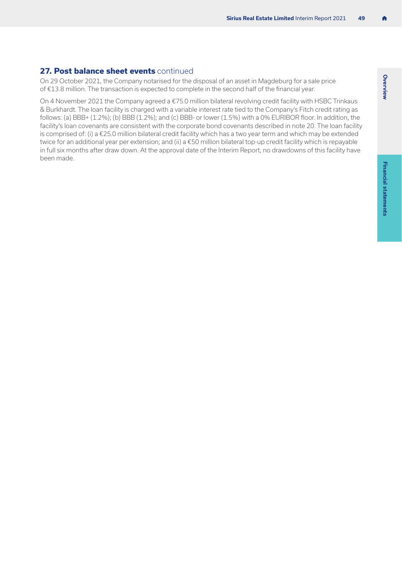#### **27. Post balance sheet events** continued

On 29 October 2021, the Company notarised for the disposal of an asset in Magdeburg for a sale price of €13.8 million. The transaction is expected to complete in the second half of the financial year.

On 4 November 2021 the Company agreed a €75.0 million bilateral revolving credit facility with HSBC Trinkaus & Burkhardt. The loan facility is charged with a variable interest rate tied to the Company's Fitch credit rating as follows: (a) BBB+ (1.2%); (b) BBB (1.2%); and (c) BBB- or lower (1.5%) with a 0% EURIBOR floor. In addition, the facility's loan covenants are consistent with the corporate bond covenants described in [note 20](#page-42-0). The loan facility is comprised of: (i) a €25.0 million bilateral credit facility which has a two year term and which may be extended twice for an additional year per extension; and (ii) a €50 million bilateral top-up credit facility which is repayable in full six months after draw down. At the approval date of the Interim Report, no drawdowns of this facility have been made.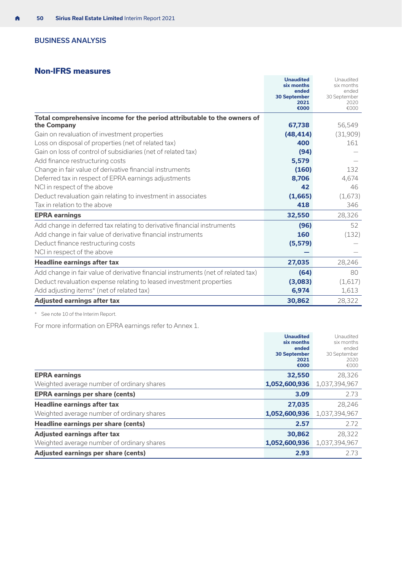#### <span id="page-51-0"></span>BUSINESS ANALYSIS

#### **Non-IFRS measures**

|                                                                                   | <b>Unaudited</b><br>six months | Unaudited<br>six months |
|-----------------------------------------------------------------------------------|--------------------------------|-------------------------|
|                                                                                   | ended                          | ended                   |
|                                                                                   | <b>30 September</b><br>2021    | 30 September<br>2020    |
|                                                                                   | €000                           | €000                    |
| Total comprehensive income for the period attributable to the owners of           |                                |                         |
| the Company                                                                       | 67,738                         | 56,549                  |
| Gain on revaluation of investment properties                                      | (48, 414)                      | (31,909)                |
| Loss on disposal of properties (net of related tax)                               | 400                            | 161                     |
| Gain on loss of control of subsidiaries (net of related tax)                      | (94)                           |                         |
| Add finance restructuring costs                                                   | 5.579                          |                         |
| Change in fair value of derivative financial instruments                          | (160)                          | 132                     |
| Deferred tax in respect of EPRA earnings adjustments                              | 8,706                          | 4,674                   |
| NCI in respect of the above                                                       | 42                             | 46                      |
| Deduct revaluation gain relating to investment in associates                      | (1,665)                        | (1,673)                 |
| Tax in relation to the above                                                      | 418                            | 346                     |
| <b>EPRA</b> earnings                                                              | 32,550                         | 28,326                  |
| Add change in deferred tax relating to derivative financial instruments           | (96)                           | 52                      |
| Add change in fair value of derivative financial instruments                      | 160                            | (132)                   |
| Deduct finance restructuring costs                                                | (5, 579)                       |                         |
| NCI in respect of the above                                                       |                                |                         |
| <b>Headline earnings after tax</b>                                                | 27,035                         | 28,246                  |
| Add change in fair value of derivative financial instruments (net of related tax) | (64)                           | 80                      |
| Deduct revaluation expense relating to leased investment properties               | (3,083)                        | (1,617)                 |
| Add adjusting items* (net of related tax)                                         | 6,974                          | 1,613                   |
| Adjusted earnings after tax                                                       | 30,862                         | 28,322                  |

\* See [note 10](#page-31-0) of the Interim Report.

For more information on EPRA earnings refer to Annex 1.

|                                            | <b>Unaudited</b><br>six months<br>ended<br><b>30 September</b><br>2021 | Unaudited<br>six months<br>ended<br>30 September<br>2020 |
|--------------------------------------------|------------------------------------------------------------------------|----------------------------------------------------------|
|                                            | €000                                                                   | €000                                                     |
| <b>EPRA earnings</b>                       | 32,550                                                                 | 28,326                                                   |
| Weighted average number of ordinary shares | 1,052,600,936                                                          | 1,037,394,967                                            |
| <b>EPRA earnings per share (cents)</b>     | 3.09                                                                   | 2.73                                                     |
| Headline earnings after tax                | 27.035                                                                 | 28,246                                                   |
| Weighted average number of ordinary shares | 1,052,600,936                                                          | 1,037,394,967                                            |
| Headline earnings per share (cents)        | 2.57                                                                   | 2.72                                                     |
| Adjusted earnings after tax                | 30,862                                                                 | 28,322                                                   |
| Weighted average number of ordinary shares | 1,052,600,936                                                          | 1,037,394,967                                            |
| Adjusted earnings per share (cents)        | 2.93                                                                   | 2.73                                                     |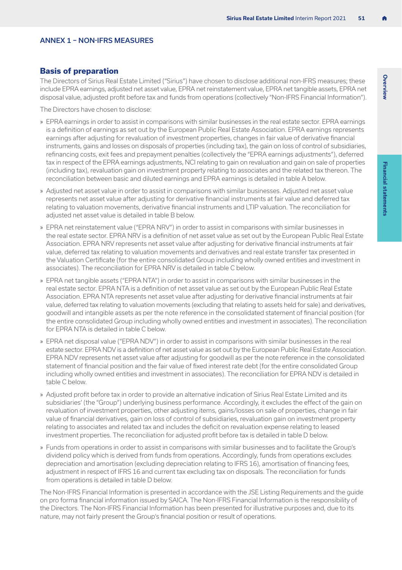#### <span id="page-52-0"></span>ANNEX 1 – NON-IFRS MEASURES

#### **Basis of preparation**

The Directors of Sirius Real Estate Limited ("Sirius") have chosen to disclose additional non-IFRS measures; these include EPRA earnings, adjusted net asset value, EPRA net reinstatement value, EPRA net tangible assets, EPRA net disposal value, adjusted profit before tax and funds from operations (collectively "Non-IFRS Financial Information").

The Directors have chosen to disclose:

- » EPRA earnings in order to assist in comparisons with similar businesses in the real estate sector. EPRA earnings is a definition of earnings as set out by the European Public Real Estate Association. EPRA earnings represents earnings after adjusting for revaluation of investment properties, changes in fair value of derivative financial instruments, gains and losses on disposals of properties (including tax), the gain on loss of control of subsidiaries, refinancing costs, exit fees and prepayment penalties (collectively the "EPRA earnings adjustments"), deferred tax in respect of the EPRA earnings adjustments, NCI relating to gain on revaluation and gain on sale of properties (including tax), revaluation gain on investment property relating to associates and the related tax thereon. The reconciliation between basic and diluted earnings and EPRA earnings is detailed in table A below.
- » Adjusted net asset value in order to assist in comparisons with similar businesses. Adjusted net asset value represents net asset value after adjusting for derivative financial instruments at fair value and deferred tax relating to valuation movements, derivative financial instruments and LTIP valuation. The reconciliation for adjusted net asset value is detailed in table B below.
- » EPRA net reinstatement value ("EPRA NRV") in order to assist in comparisons with similar businesses in the real estate sector. EPRA NRV is a definition of net asset value as set out by the European Public Real Estate Association. EPRA NRV represents net asset value after adjusting for derivative financial instruments at fair value, deferred tax relating to valuation movements and derivatives and real estate transfer tax presented in the Valuation Certificate (for the entire consolidated Group including wholly owned entities and investment in associates). The reconciliation for EPRA NRV is detailed in table C below.
- » EPRA net tangible assets ("EPRA NTA") in order to assist in comparisons with similar businesses in the real estate sector. EPRA NTA is a definition of net asset value as set out by the European Public Real Estate Association. EPRA NTA represents net asset value after adjusting for derivative financial instruments at fair value, deferred tax relating to valuation movements (excluding that relating to assets held for sale) and derivatives, goodwill and intangible assets as per the note reference in the consolidated statement of financial position (for the entire consolidated Group including wholly owned entities and investment in associates). The reconciliation for EPRA NTA is detailed in table C below.
- » EPRA net disposal value ("EPRA NDV") in order to assist in comparisons with similar businesses in the real estate sector. EPRA NDV is a definition of net asset value as set out by the European Public Real Estate Association. EPRA NDV represents net asset value after adjusting for goodwill as per the note reference in the consolidated statement of financial position and the fair value of fixed interest rate debt (for the entire consolidated Group including wholly owned entities and investment in associates). The reconciliation for EPRA NDV is detailed in table C below.
- » Adjusted profit before tax in order to provide an alternative indication of Sirius Real Estate Limited and its subsidiaries' (the "Group") underlying business performance. Accordingly, it excludes the effect of the gain on revaluation of investment properties, other adjusting items, gains/losses on sale of properties, change in fair value of financial derivatives, gain on loss of control of subsidiaries, revaluation gain on investment property relating to associates and related tax and includes the deficit on revaluation expense relating to leased investment properties. The reconciliation for adjusted profit before tax is detailed in table D below.
- » Funds from operations in order to assist in comparisons with similar businesses and to facilitate the Group's dividend policy which is derived from funds from operations. Accordingly, funds from operations excludes depreciation and amortisation (excluding depreciation relating to IFRS 16), amortisation of financing fees, adjustment in respect of IFRS 16 and current tax excluding tax on disposals. The reconciliation for funds from operations is detailed in table D below.

The Non-IFRS Financial Information is presented in accordance with the JSE Listing Requirements and the guide on pro forma financial information issued by SAICA. The Non-IFRS Financial Information is the responsibility of the Directors. The Non-IFRS Financial Information has been presented for illustrative purposes and, due to its nature, may not fairly present the Group's financial position or result of operations.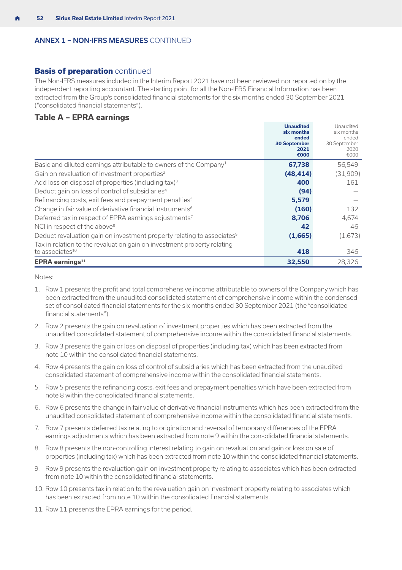#### <span id="page-53-0"></span>ANNEX 1 – NON-IFRS MEASURES CONTINUED

#### **Basis of preparation** continued

The Non-IFRS measures included in the Interim Report 2021 have not been reviewed nor reported on by the independent reporting accountant. The starting point for all the Non-IFRS Financial Information has been extracted from the Group's consolidated financial statements for the six months ended 30 September 2021 ("consolidated financial statements").

#### **Table A – EPRA earnings**

|                                                                                                        | <b>Unaudited</b><br>six months<br>ended<br><b>30 September</b><br>2021<br>€000 | Unaudited<br>six months<br>ended<br>30 September<br>2020<br>€000 |
|--------------------------------------------------------------------------------------------------------|--------------------------------------------------------------------------------|------------------------------------------------------------------|
| Basic and diluted earnings attributable to owners of the Company <sup>1</sup>                          | 67,738                                                                         | 56,549                                                           |
| Gain on revaluation of investment properties <sup>2</sup>                                              | (48, 414)                                                                      | (31,909)                                                         |
| Add loss on disposal of properties (including tax) <sup>3</sup>                                        | 400                                                                            | 161                                                              |
| Deduct gain on loss of control of subsidiaries <sup>4</sup>                                            | (94)                                                                           |                                                                  |
| Refinancing costs, exit fees and prepayment penalties <sup>5</sup>                                     | 5,579                                                                          |                                                                  |
| Change in fair value of derivative financial instruments <sup>6</sup>                                  | (160)                                                                          | 132                                                              |
| Deferred tax in respect of EPRA earnings adjustments <sup>7</sup>                                      | 8,706                                                                          | 4,674                                                            |
| NCI in respect of the above <sup>8</sup>                                                               | 42                                                                             | 46                                                               |
| Deduct revaluation gain on investment property relating to associates <sup>9</sup>                     | (1,665)                                                                        | (1,673)                                                          |
| Tax in relation to the revaluation gain on investment property relating<br>to associates <sup>10</sup> | 418                                                                            | 346                                                              |
| EPRA earnings <sup>11</sup>                                                                            | 32,550                                                                         | 28,326                                                           |

Notes:

- 1. Row 1 presents the profit and total comprehensive income attributable to owners of the Company which has been extracted from the unaudited consolidated statement of comprehensive income within the condensed set of consolidated financial statements for the six months ended 30 September 2021 (the "consolidated financial statements").
- 2. Row 2 presents the gain on revaluation of investment properties which has been extracted from the unaudited consolidated statement of comprehensive income within the consolidated financial statements.
- 3. Row 3 presents the gain or loss on disposal of properties (including tax) which has been extracted from note 10 within the consolidated financial statements.
- 4. Row 4 presents the gain on loss of control of subsidiaries which has been extracted from the unaudited consolidated statement of comprehensive income within the consolidated financial statements.
- 5. Row 5 presents the refinancing costs, exit fees and prepayment penalties which have been extracted from note 8 within the consolidated financial statements.
- 6. Row 6 presents the change in fair value of derivative financial instruments which has been extracted from the unaudited consolidated statement of comprehensive income within the consolidated financial statements.
- 7. Row 7 presents deferred tax relating to origination and reversal of temporary differences of the EPRA earnings adjustments which has been extracted from note 9 within the consolidated financial statements.
- 8. Row 8 presents the non-controlling interest relating to gain on revaluation and gain or loss on sale of properties (including tax) which has been extracted from note 10 within the consolidated financial statements.
- 9. Row 9 presents the revaluation gain on investment property relating to associates which has been extracted from note 10 within the consolidated financial statements.
- 10. Row 10 presents tax in relation to the revaluation gain on investment property relating to associates which has been extracted from note 10 within the consolidated financial statements.
- 11. Row 11 presents the EPRA earnings for the period.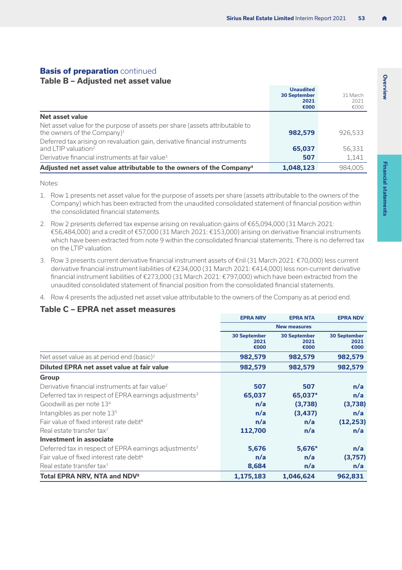#### **Basis of preparation** continued

#### **Table B – Adjusted net asset value**

|                                                                                                                        | <b>Unaudited</b><br><b>30 September</b><br>2021<br>€000 | 31 March<br>2021<br>€000 |
|------------------------------------------------------------------------------------------------------------------------|---------------------------------------------------------|--------------------------|
| Net asset value                                                                                                        |                                                         |                          |
| Net asset value for the purpose of assets per share (assets attributable to<br>the owners of the Company) <sup>1</sup> | 982,579                                                 | 926,533                  |
| Deferred tax arising on revaluation gain, derivative financial instruments<br>and I TIP valuation <sup>2</sup>         | 65,037                                                  | 56,331                   |
| Derivative financial instruments at fair value <sup>3</sup>                                                            | 507                                                     | 1,141                    |
| Adjusted net asset value attributable to the owners of the Company <sup>4</sup>                                        | 1,048,123                                               | 984,005                  |

Notes:

- 1. Row 1 presents net asset value for the purpose of assets per share (assets attributable to the owners of the Company) which has been extracted from the unaudited consolidated statement of financial position within the consolidated financial statements.
- 2. Row 2 presents deferred tax expense arising on revaluation gains of €65,094,000 (31 March 2021: €56,484,000) and a credit of €57,000 (31 March 2021: €153,000) arising on derivative financial instruments which have been extracted from note 9 within the consolidated financial statements. There is no deferred tax on the LTIP valuation.
- 3. Row 3 presents current derivative financial instrument assets of €nil (31 March 2021: €70,000) less current derivative financial instrument liabilities of €234,000 (31 March 2021: €414,000) less non-current derivative financial instrument liabilities of €273,000 (31 March 2021: €797,000) which have been extracted from the unaudited consolidated statement of financial position from the consolidated financial statements.
- 4. Row 4 presents the adjusted net asset value attributable to the owners of the Company as at period end.

#### **Table C – EPRA net asset measures**

|                                                                   | <b>EPRA NRV</b>                                            | <b>EPRA NTA</b> | <b>EPRA NDV</b>             |
|-------------------------------------------------------------------|------------------------------------------------------------|-----------------|-----------------------------|
|                                                                   | <b>New measures</b>                                        |                 |                             |
|                                                                   | <b>30 September</b><br><b>30 September</b><br>2021<br>2021 |                 | <b>30 September</b><br>2021 |
|                                                                   | €000                                                       | €000            | €000                        |
| Net asset value as at period end (basic) <sup>1</sup>             | 982,579                                                    | 982,579         | 982,579                     |
| Diluted EPRA net asset value at fair value                        | 982.579                                                    | 982.579         | 982,579                     |
| Group                                                             |                                                            |                 |                             |
| Derivative financial instruments at fair value <sup>2</sup>       | 507                                                        | 507             | n/a                         |
| Deferred tax in respect of EPRA earnings adjustments <sup>3</sup> | 65,037                                                     | 65.037*         | n/a                         |
| Goodwill as per note 13 <sup>4</sup>                              | n/a                                                        | (3,738)         | (3,738)                     |
| Intangibles as per note 13 <sup>5</sup>                           | n/a                                                        | (3, 437)        | n/a                         |
| Fair value of fixed interest rate debt <sup>6</sup>               | n/a                                                        | n/a             | (12, 253)                   |
| Real estate transfer tax <sup>7</sup>                             | 112,700                                                    | n/a             | n/a                         |
| Investment in associate                                           |                                                            |                 |                             |
| Deferred tax in respect of EPRA earnings adjustments <sup>3</sup> | 5,676                                                      | $5.676*$        | n/a                         |
| Fair value of fixed interest rate debt <sup>6</sup>               | n/a                                                        | n/a             | (3,757)                     |
| Real estate transfer tax <sup>7</sup>                             | 8,684                                                      | n/a             | n/a                         |
| Total EPRA NRV, NTA and NDV <sup>8</sup>                          | 1,175,183                                                  | 1.046.624       | 962.831                     |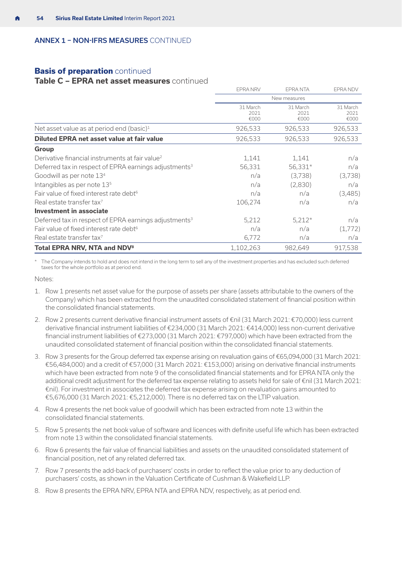#### ANNEX 1 – NON-IFRS MEASURES CONTINUED

#### **Basis of preparation** continued

#### **Table C – EPRA net asset measures** continued

|                                                                   | <b>EPRA NRV</b>          | <b>EPRANTA</b>           | EPRA NDV                 |
|-------------------------------------------------------------------|--------------------------|--------------------------|--------------------------|
|                                                                   | New measures             |                          |                          |
|                                                                   | 31 March<br>2021<br>€000 | 31 March<br>2021<br>€000 | 31 March<br>2021<br>€000 |
| Net asset value as at period end (basic) <sup>1</sup>             | 926,533                  | 926,533                  | 926,533                  |
| Diluted EPRA net asset value at fair value                        | 926,533                  | 926,533                  | 926,533                  |
| Group                                                             |                          |                          |                          |
| Derivative financial instruments at fair value <sup>2</sup>       | 1,141                    | 1,141                    | n/a                      |
| Deferred tax in respect of EPRA earnings adjustments <sup>3</sup> | 56,331                   | 56,331*                  | n/a                      |
| Goodwill as per note 13 <sup>4</sup>                              | n/a                      | (3,738)                  | (3,738)                  |
| Intangibles as per note 13 <sup>5</sup>                           | n/a                      | (2,830)                  | n/a                      |
| Fair value of fixed interest rate debt <sup>6</sup>               | n/a                      | n/a                      | (3,485)                  |
| Real estate transfer tax <sup>7</sup>                             | 106,274                  | n/a                      | n/a                      |
| <b>Investment in associate</b>                                    |                          |                          |                          |
| Deferred tax in respect of EPRA earnings adjustments <sup>3</sup> | 5,212                    | $5,212*$                 | n/a                      |
| Fair value of fixed interest rate debt <sup>6</sup>               | n/a                      | n/a                      | (1,772)                  |
| Real estate transfer tax <sup>7</sup>                             | 6,772                    | n/a                      | n/a                      |
| Total EPRA NRV, NTA and NDV <sup>8</sup>                          | 1,102,263                | 982,649                  | 917,538                  |

\* The Company intends to hold and does not intend in the long term to sell any of the investment properties and has excluded such deferred taxes for the whole portfolio as at period end.

Notes:

- 1. Row 1 presents net asset value for the purpose of assets per share (assets attributable to the owners of the Company) which has been extracted from the unaudited consolidated statement of financial position within the consolidated financial statements.
- 2. Row 2 presents current derivative financial instrument assets of €nil (31 March 2021: €70,000) less current derivative financial instrument liabilities of €234,000 (31 March 2021: €414,000) less non-current derivative financial instrument liabilities of €273,000 (31 March 2021: €797,000) which have been extracted from the unaudited consolidated statement of financial position within the consolidated financial statements.
- 3. Row 3 presents for the Group deferred tax expense arising on revaluation gains of €65,094,000 (31 March 2021: €56,484,000) and a credit of €57,000 (31 March 2021: €153,000) arising on derivative financial instruments which have been extracted from note 9 of the consolidated financial statements and for EPRA NTA only the additional credit adjustment for the deferred tax expense relating to assets held for sale of €nil (31 March 2021: €nil). For investment in associates the deferred tax expense arising on revaluation gains amounted to €5,676,000 (31 March 2021: €5,212,000). There is no deferred tax on the LTIP valuation.
- 4. Row 4 presents the net book value of goodwill which has been extracted from note 13 within the consolidated financial statements.
- 5. Row 5 presents the net book value of software and licences with definite useful life which has been extracted from note 13 within the consolidated financial statements.
- 6. Row 6 presents the fair value of financial liabilities and assets on the unaudited consolidated statement of financial position, net of any related deferred tax.
- 7. Row 7 presents the add-back of purchasers' costs in order to reflect the value prior to any deduction of purchasers' costs, as shown in the Valuation Certificate of Cushman & Wakefield LLP.
- 8. Row 8 presents the EPRA NRV, EPRA NTA and EPRA NDV, respectively, as at period end.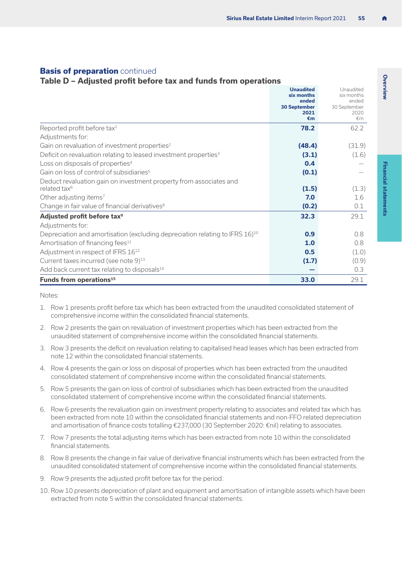#### **Basis of preparation** continued

#### **Table D – Adjusted profit before tax and funds from operations**

|                                                                                                | <b>Unaudited</b><br>six months<br>ended<br><b>30 September</b><br>2021 | Unaudited<br>six months<br>ended<br>30 September<br>2020 |
|------------------------------------------------------------------------------------------------|------------------------------------------------------------------------|----------------------------------------------------------|
|                                                                                                | €m                                                                     | €m                                                       |
| Reported profit before tax <sup>1</sup>                                                        | 78.2                                                                   | 62.2                                                     |
| Adjustments for:                                                                               |                                                                        |                                                          |
| Gain on revaluation of investment properties <sup>2</sup>                                      | (48.4)                                                                 | (31.9)                                                   |
| Deficit on revaluation relating to leased investment properties <sup>3</sup>                   | (3.1)                                                                  | (1.6)                                                    |
| Loss on disposals of properties <sup>4</sup>                                                   | 0.4                                                                    |                                                          |
| Gain on loss of control of subsidiaries <sup>5</sup>                                           | (0.1)                                                                  |                                                          |
| Deduct revaluation gain on investment property from associates and<br>related tax <sup>6</sup> | (1.5)                                                                  | (1.3)                                                    |
| Other adjusting items <sup>7</sup>                                                             | 7.0                                                                    | 1.6                                                      |
| Change in fair value of financial derivatives <sup>8</sup>                                     | (0.2)                                                                  | 0.1                                                      |
| Adjusted profit before tax <sup>9</sup>                                                        | 32.3                                                                   | 29.1                                                     |
| Adjustments for:                                                                               |                                                                        |                                                          |
| Depreciation and amortisation (excluding depreciation relating to IFRS $16)^{10}$              | 0.9                                                                    | 0.8                                                      |
| Amortisation of financing fees <sup>11</sup>                                                   | 1.0                                                                    | 0.8                                                      |
| Adjustment in respect of IFRS 1612                                                             | 0.5                                                                    | (1.0)                                                    |
| Current taxes incurred (see note 9) <sup>13</sup>                                              | (1.7)                                                                  | (0.9)                                                    |
| Add back current tax relating to disposals <sup>14</sup>                                       |                                                                        | 0.3                                                      |
| Funds from operations <sup>15</sup>                                                            | 33.0                                                                   | 29.1                                                     |

Notes:

- 1. Row 1 presents profit before tax which has been extracted from the unaudited consolidated statement of comprehensive income within the consolidated financial statements.
- 2. Row 2 presents the gain on revaluation of investment properties which has been extracted from the unaudited statement of comprehensive income within the consolidated financial statements.
- 3. Row 3 presents the deficit on revaluation relating to capitalised head leases which has been extracted from note 12 within the consolidated financial statements.
- 4. Row 4 presents the gain or loss on disposal of properties which has been extracted from the unaudited consolidated statement of comprehensive income within the consolidated financial statements.
- 5. Row 5 presents the gain on loss of control of subsidiaries which has been extracted from the unaudited consolidated statement of comprehensive income within the consolidated financial statements.
- 6. Row 6 presents the revaluation gain on investment property relating to associates and related tax which has been extracted from note 10 within the consolidated financial statements and non-FFO related depreciation and amortisation of finance costs totalling €237,000 (30 September 2020: €nil) relating to associates.
- 7. Row 7 presents the total adjusting items which has been extracted from note 10 within the consolidated financial statements.
- 8. Row 8 presents the change in fair value of derivative financial instruments which has been extracted from the unaudited consolidated statement of comprehensive income within the consolidated financial statements.
- 9. Row 9 presents the adjusted profit before tax for the period.
- 10. Row 10 presents depreciation of plant and equipment and amortisation of intangible assets which have been extracted from note 5 within the consolidated financial statements.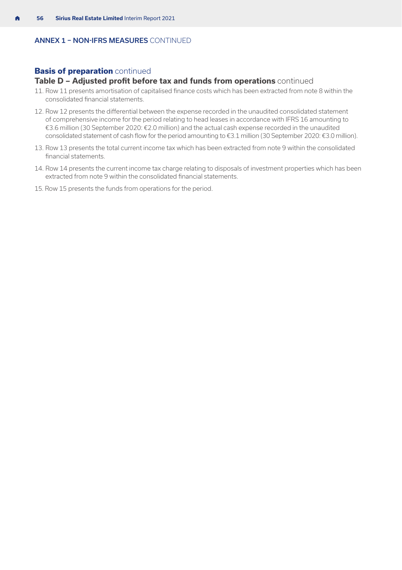#### ANNEX 1 – NON-IFRS MEASURES CONTINUED

#### **Basis of preparation** continued

#### **Table D – Adjusted profit before tax and funds from operations** continued

- 11. Row 11 presents amortisation of capitalised finance costs which has been extracted from note 8 within the consolidated financial statements.
- 12. Row 12 presents the differential between the expense recorded in the unaudited consolidated statement of comprehensive income for the period relating to head leases in accordance with IFRS 16 amounting to €3.6 million (30 September 2020: €2.0 million) and the actual cash expense recorded in the unaudited consolidated statement of cash flow for the period amounting to €3.1 million (30 September 2020: €3.0 million).
- 13. Row 13 presents the total current income tax which has been extracted from note 9 within the consolidated financial statements.
- 14. Row 14 presents the current income tax charge relating to disposals of investment properties which has been extracted from note 9 within the consolidated financial statements.
- 15. Row 15 presents the funds from operations for the period.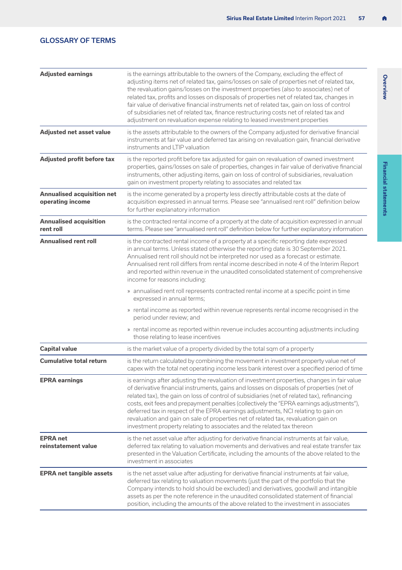#### <span id="page-58-0"></span>GLOSSARY OF TERMS

| <b>Adjusted earnings</b>                              | is the earnings attributable to the owners of the Company, excluding the effect of<br>adjusting items net of related tax, gains/losses on sale of properties net of related tax,<br>the revaluation gains/losses on the investment properties (also to associates) net of<br>related tax, profits and losses on disposals of properties net of related tax, changes in<br>fair value of derivative financial instruments net of related tax, gain on loss of control<br>of subsidiaries net of related tax, finance restructuring costs net of related tax and<br>adjustment on revaluation expense relating to leased investment properties |
|-------------------------------------------------------|----------------------------------------------------------------------------------------------------------------------------------------------------------------------------------------------------------------------------------------------------------------------------------------------------------------------------------------------------------------------------------------------------------------------------------------------------------------------------------------------------------------------------------------------------------------------------------------------------------------------------------------------|
| Adjusted net asset value                              | is the assets attributable to the owners of the Company adjusted for derivative financial<br>instruments at fair value and deferred tax arising on revaluation gain, financial derivative<br>instruments and ITIP valuation                                                                                                                                                                                                                                                                                                                                                                                                                  |
| <b>Adjusted profit before tax</b>                     | is the reported profit before tax adjusted for gain on revaluation of owned investment<br>properties, gains/losses on sale of properties, changes in fair value of derivative financial<br>instruments, other adjusting items, gain on loss of control of subsidiaries, revaluation<br>gain on investment property relating to associates and related tax                                                                                                                                                                                                                                                                                    |
| <b>Annualised acquisition net</b><br>operating income | is the income generated by a property less directly attributable costs at the date of<br>acquisition expressed in annual terms. Please see "annualised rent roll" definition below<br>for further explanatory information                                                                                                                                                                                                                                                                                                                                                                                                                    |
| <b>Annualised acquisition</b><br>rent roll            | is the contracted rental income of a property at the date of acquisition expressed in annual<br>terms. Please see "annualised rent roll" definition below for further explanatory information                                                                                                                                                                                                                                                                                                                                                                                                                                                |
| <b>Annualised rent roll</b>                           | is the contracted rental income of a property at a specific reporting date expressed<br>in annual terms. Unless stated otherwise the reporting date is 30 September 2021.<br>Annualised rent roll should not be interpreted nor used as a forecast or estimate.<br>Annualised rent roll differs from rental income described in note 4 of the Interim Report<br>and reported within revenue in the unaudited consolidated statement of comprehensive<br>income for reasons including:                                                                                                                                                        |
|                                                       | » annualised rent roll represents contracted rental income at a specific point in time<br>expressed in annual terms:                                                                                                                                                                                                                                                                                                                                                                                                                                                                                                                         |
|                                                       | » rental income as reported within revenue represents rental income recognised in the<br>period under review; and                                                                                                                                                                                                                                                                                                                                                                                                                                                                                                                            |
|                                                       | » rental income as reported within revenue includes accounting adjustments including<br>those relating to lease incentives                                                                                                                                                                                                                                                                                                                                                                                                                                                                                                                   |
| <b>Capital value</b>                                  | is the market value of a property divided by the total sqm of a property                                                                                                                                                                                                                                                                                                                                                                                                                                                                                                                                                                     |
| Cumulative total return                               | is the return calculated by combining the movement in investment property value net of<br>capex with the total net operating income less bank interest over a specified period of time                                                                                                                                                                                                                                                                                                                                                                                                                                                       |
| <b>EPRA earnings</b>                                  | is earnings after adjusting the revaluation of investment properties, changes in fair value<br>of derivative financial instruments, gains and losses on disposals of properties (net of<br>related tax), the gain on loss of control of subsidiaries (net of related tax), refinancing<br>costs, exit fees and prepayment penalties (collectively the "EPRA earnings adjustments"),<br>deferred tax in respect of the EPRA earnings adjustments, NCI relating to gain on<br>revaluation and gain on sale of properties net of related tax, revaluation gain on<br>investment property relating to associates and the related tax thereon     |
| <b>EPRA</b> net<br>reinstatement value                | is the net asset value after adjusting for derivative financial instruments at fair value,<br>deferred tax relating to valuation movements and derivatives and real estate transfer tax<br>presented in the Valuation Certificate, including the amounts of the above related to the<br>investment in associates                                                                                                                                                                                                                                                                                                                             |
| <b>EPRA net tangible assets</b>                       | is the net asset value after adjusting for derivative financial instruments at fair value,<br>deferred tax relating to valuation movements (just the part of the portfolio that the<br>Company intends to hold should be excluded) and derivatives, goodwill and intangible<br>assets as per the note reference in the unaudited consolidated statement of financial<br>position, including the amounts of the above related to the investment in associates                                                                                                                                                                                 |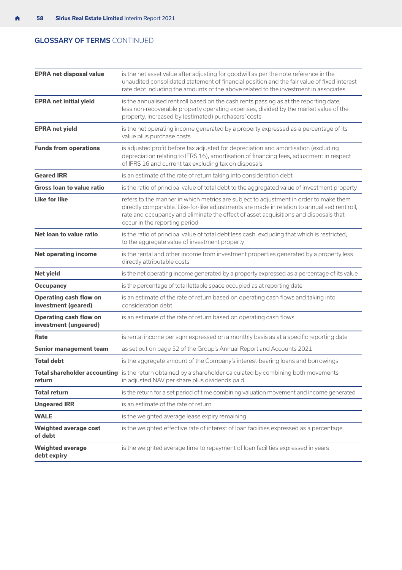#### GLOSSARY OF TERMS CONTINUED

| <b>EPRA net disposal value</b>                  | is the net asset value after adjusting for goodwill as per the note reference in the<br>unaudited consolidated statement of financial position and the fair value of fixed interest<br>rate debt including the amounts of the above related to the investment in associates                                    |
|-------------------------------------------------|----------------------------------------------------------------------------------------------------------------------------------------------------------------------------------------------------------------------------------------------------------------------------------------------------------------|
| <b>EPRA net initial yield</b>                   | is the annualised rent roll based on the cash rents passing as at the reporting date,<br>less non-recoverable property operating expenses, divided by the market value of the<br>property, increased by (estimated) purchasers' costs                                                                          |
| <b>EPRA net yield</b>                           | is the net operating income generated by a property expressed as a percentage of its<br>value plus purchase costs                                                                                                                                                                                              |
| <b>Funds from operations</b>                    | is adjusted profit before tax adjusted for depreciation and amortisation (excluding<br>depreciation relating to IFRS 16), amortisation of financing fees, adjustment in respect<br>of IFRS 16 and current tax excluding tax on disposals                                                                       |
| <b>Geared IRR</b>                               | is an estimate of the rate of return taking into consideration debt                                                                                                                                                                                                                                            |
| <b>Gross loan to value ratio</b>                | is the ratio of principal value of total debt to the aggregated value of investment property                                                                                                                                                                                                                   |
| Like for like                                   | refers to the manner in which metrics are subject to adjustment in order to make them<br>directly comparable. Like-for-like adjustments are made in relation to annualised rent roll,<br>rate and occupancy and eliminate the effect of asset acquisitions and disposals that<br>occur in the reporting period |
| Net loan to value ratio                         | is the ratio of principal value of total debt less cash, excluding that which is restricted,<br>to the aggregate value of investment property                                                                                                                                                                  |
| <b>Net operating income</b>                     | is the rental and other income from investment properties generated by a property less<br>directly attributable costs                                                                                                                                                                                          |
| Net yield                                       | is the net operating income generated by a property expressed as a percentage of its value                                                                                                                                                                                                                     |
| Occupancy                                       | is the percentage of total lettable space occupied as at reporting date                                                                                                                                                                                                                                        |
| Operating cash flow on<br>investment (geared)   | is an estimate of the rate of return based on operating cash flows and taking into<br>consideration debt                                                                                                                                                                                                       |
| Operating cash flow on<br>investment (ungeared) | is an estimate of the rate of return based on operating cash flows                                                                                                                                                                                                                                             |
| Rate                                            | is rental income per sqm expressed on a monthly basis as at a specific reporting date                                                                                                                                                                                                                          |
| Senior management team                          | as set out on page 52 of the Group's Annual Report and Accounts 2021                                                                                                                                                                                                                                           |
| <b>Total debt</b>                               | is the aggregate amount of the Company's interest-bearing loans and borrowings                                                                                                                                                                                                                                 |
| return                                          | Total shareholder accounting is the return obtained by a shareholder calculated by combining both movements<br>in adjusted NAV per share plus dividends paid                                                                                                                                                   |
| <b>Total return</b>                             | is the return for a set period of time combining valuation movement and income generated                                                                                                                                                                                                                       |
| <b>Ungeared IRR</b>                             | is an estimate of the rate of return                                                                                                                                                                                                                                                                           |
| <b>WALE</b>                                     | is the weighted average lease expiry remaining                                                                                                                                                                                                                                                                 |
| Weighted average cost<br>of debt                | is the weighted effective rate of interest of loan facilities expressed as a percentage                                                                                                                                                                                                                        |
| <b>Weighted average</b><br>debt expiry          | is the weighted average time to repayment of loan facilities expressed in years                                                                                                                                                                                                                                |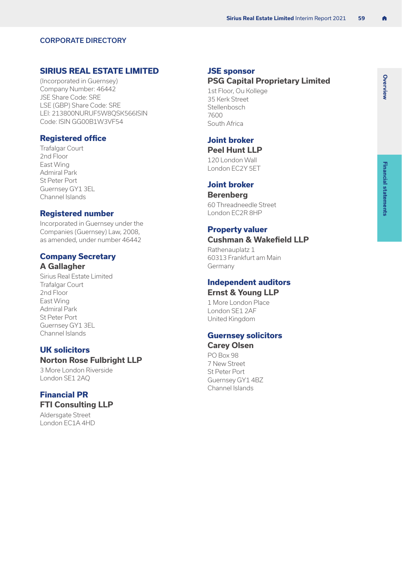#### <span id="page-60-0"></span>CORPORATE DIRECTORY

#### **SIRIUS REAL ESTATE LIMITED**

(Incorporated in Guernsey) Company Number: 46442 JSE Share Code: SRE LSE (GBP) Share Code: SRE LEI: 213800NURUF5W8QSK566ISIN Code: ISIN GG00B1W3VF54

#### **Registered office**

Trafalgar Court 2nd Floor East Wing Admiral Park St Peter Port Guernsey GY1 3EL Channel Islands

#### **Registered number**

Incorporated in Guernsey under the Companies (Guernsey) Law, 2008, as amended, under number 46442

#### **Company Secretary**

#### **A Gallagher**

Sirius Real Estate Limited Trafalgar Court 2nd Floor East Wing Admiral Park St Peter Port Guernsey GY1 3EL Channel Islands

#### **UK solicitors**

#### **Norton Rose Fulbright LLP**

3 More London Riverside London SE1 2AQ

### **Financial PR**

#### **FTI Consulting LLP** Aldersgate Street

London EC1A 4HD

#### **JSE sponsor**

#### **PSG Capital Proprietary Limited**

1st Floor, Ou Kollege 35 Kerk Street **Stellenbosch** 7600 South Africa

#### **Joint broker**

#### **Peel Hunt LLP**

120 London Wall London EC2Y 5ET

#### **Joint broker**

**Berenberg** 60 Threadneedle Street

London EC2R 8HP

#### **Property valuer**

#### **Cushman & Wakefield LLP**

Rathenauplatz 1 60313 Frankfurt am Main Germany

#### **Independent auditors Ernst & Young LLP**

1 More London Place London SE1 2AF United Kingdom

#### **Guernsey solicitors**

#### **Carey Olsen**

PO Box 98 7 New Street St Peter Port Guernsey GY1 4BZ Channel Islands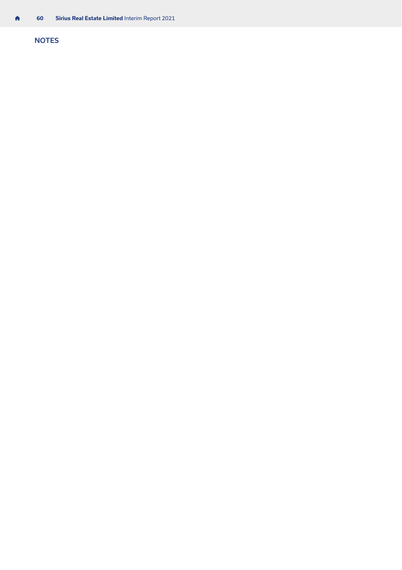#### <span id="page-61-0"></span>NOTES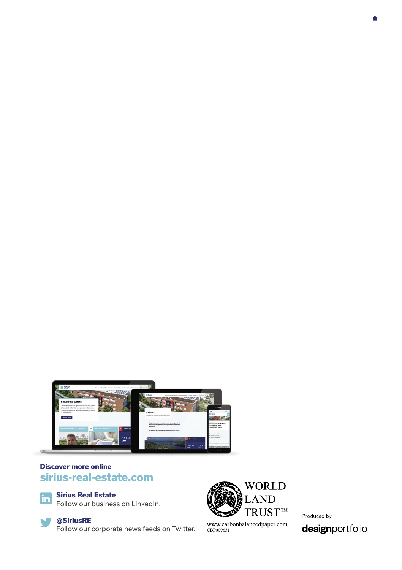

#### **Discover more online [sirius-real-estate.com](http://www.sirius-real-estate.com)**

#### in

**Sirius Real Estate** [Follow our business on LinkedIn.](http://de.linkedin.com/company/siriusrealestate)

#### **@SiriusRE**

[Follow our corporate news feeds on Twitter.](http://twitter.com/siriusre)



www.carbonbalancedpaper.com<br>CBP009631

Produced by

designportfolio